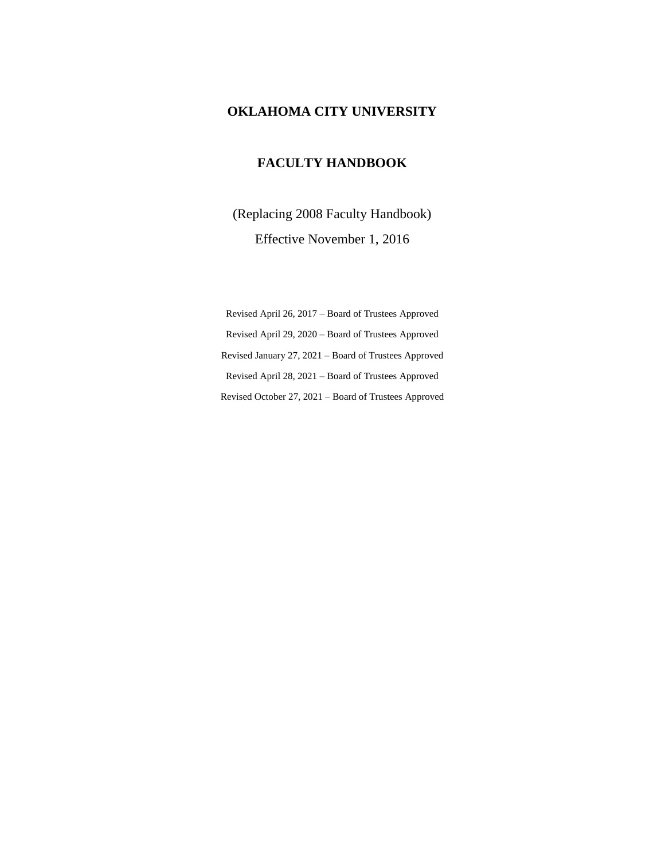## **OKLAHOMA CITY UNIVERSITY**

## **FACULTY HANDBOOK**

(Replacing 2008 Faculty Handbook) Effective November 1, 2016

Revised April 26, 2017 – Board of Trustees Approved Revised April 29, 2020 – Board of Trustees Approved Revised January 27, 2021 – Board of Trustees Approved Revised April 28, 2021 – Board of Trustees Approved Revised October 27, 2021 – Board of Trustees Approved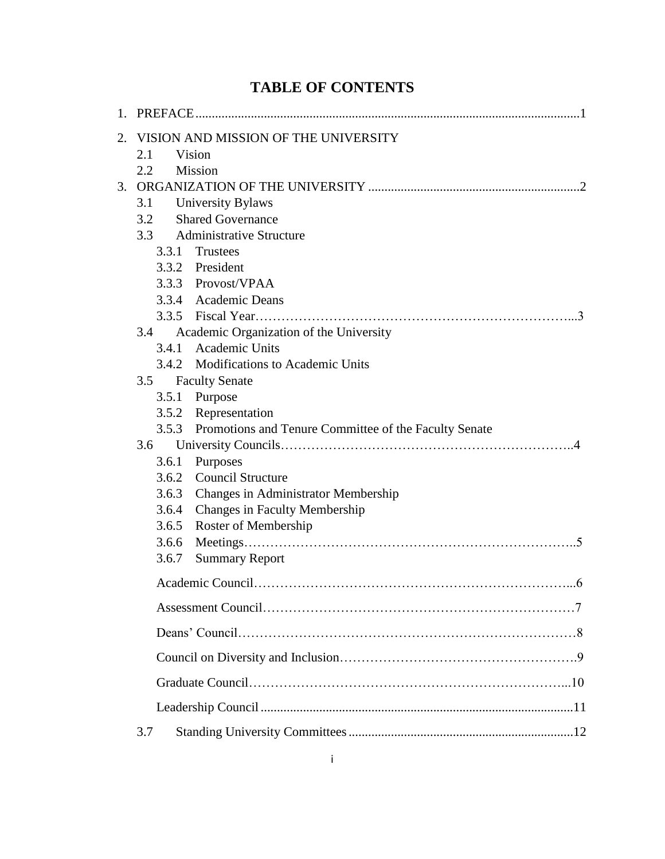# **TABLE OF CONTENTS**

| 1. |       |                                                       |  |
|----|-------|-------------------------------------------------------|--|
| 2. |       | VISION AND MISSION OF THE UNIVERSITY                  |  |
|    | 2.1   | Vision                                                |  |
|    | 2.2   | Mission                                               |  |
| 3. |       |                                                       |  |
|    | 3.1   | <b>University Bylaws</b>                              |  |
|    | 3.2   | <b>Shared Governance</b>                              |  |
|    | 3.3   | <b>Administrative Structure</b>                       |  |
|    | 3.3.1 | Trustees                                              |  |
|    | 3.3.2 | President                                             |  |
|    |       | 3.3.3 Provost/VPAA                                    |  |
|    |       | 3.3.4 Academic Deans                                  |  |
|    |       |                                                       |  |
|    | 3.4   | Academic Organization of the University               |  |
|    |       | 3.4.1 Academic Units                                  |  |
|    |       | 3.4.2 Modifications to Academic Units                 |  |
|    | 3.5   | <b>Faculty Senate</b>                                 |  |
|    | 3.5.1 | Purpose                                               |  |
|    |       | 3.5.2 Representation                                  |  |
|    | 3.5.3 | Promotions and Tenure Committee of the Faculty Senate |  |
|    | 3.6   |                                                       |  |
|    | 3.6.1 | Purposes                                              |  |
|    | 3.6.2 | <b>Council Structure</b>                              |  |
|    | 3.6.3 | <b>Changes in Administrator Membership</b>            |  |
|    |       | 3.6.4 Changes in Faculty Membership                   |  |
|    | 3.6.5 | Roster of Membership                                  |  |
|    | 3.6.6 |                                                       |  |
|    | 3.6.7 | <b>Summary Report</b>                                 |  |
|    |       |                                                       |  |
|    |       |                                                       |  |
|    |       |                                                       |  |
|    |       |                                                       |  |
|    |       |                                                       |  |
|    |       |                                                       |  |
|    | 3.7   |                                                       |  |
|    |       |                                                       |  |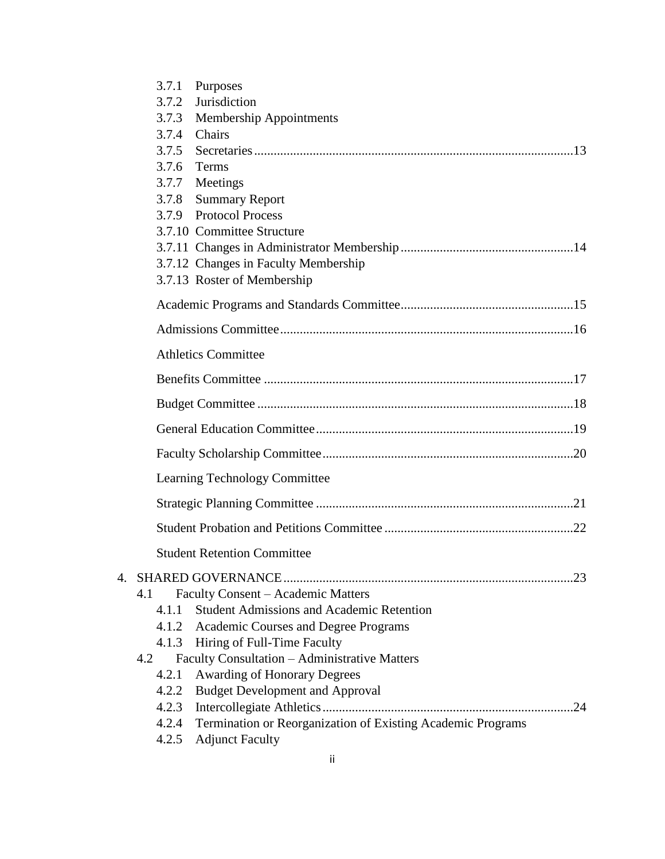| 3.7.1<br>Purposes                                                 |  |
|-------------------------------------------------------------------|--|
| Jurisdiction<br>3.7.2                                             |  |
| Membership Appointments<br>3.7.3                                  |  |
| 3.7.4<br>Chairs                                                   |  |
| 3.7.5                                                             |  |
| 3.7.6<br>Terms                                                    |  |
| 3.7.7<br>Meetings                                                 |  |
| 3.7.8<br><b>Summary Report</b>                                    |  |
| 3.7.9 Protocol Process                                            |  |
| 3.7.10 Committee Structure                                        |  |
|                                                                   |  |
| 3.7.12 Changes in Faculty Membership                              |  |
| 3.7.13 Roster of Membership                                       |  |
|                                                                   |  |
|                                                                   |  |
| <b>Athletics Committee</b>                                        |  |
|                                                                   |  |
|                                                                   |  |
|                                                                   |  |
|                                                                   |  |
| Learning Technology Committee                                     |  |
|                                                                   |  |
|                                                                   |  |
| <b>Student Retention Committee</b>                                |  |
|                                                                   |  |
| Faculty Consent - Academic Matters<br>4.1                         |  |
| <b>Student Admissions and Academic Retention</b><br>4.1.1         |  |
| 4.1.2 Academic Courses and Degree Programs                        |  |
| 4.1.3 Hiring of Full-Time Faculty                                 |  |
| Faculty Consultation - Administrative Matters<br>4.2              |  |
| <b>Awarding of Honorary Degrees</b><br>4.2.1                      |  |
| 4.2.2 Budget Development and Approval                             |  |
|                                                                   |  |
| 4.2.4 Termination or Reorganization of Existing Academic Programs |  |
| 4.2.5 Adjunct Faculty                                             |  |
|                                                                   |  |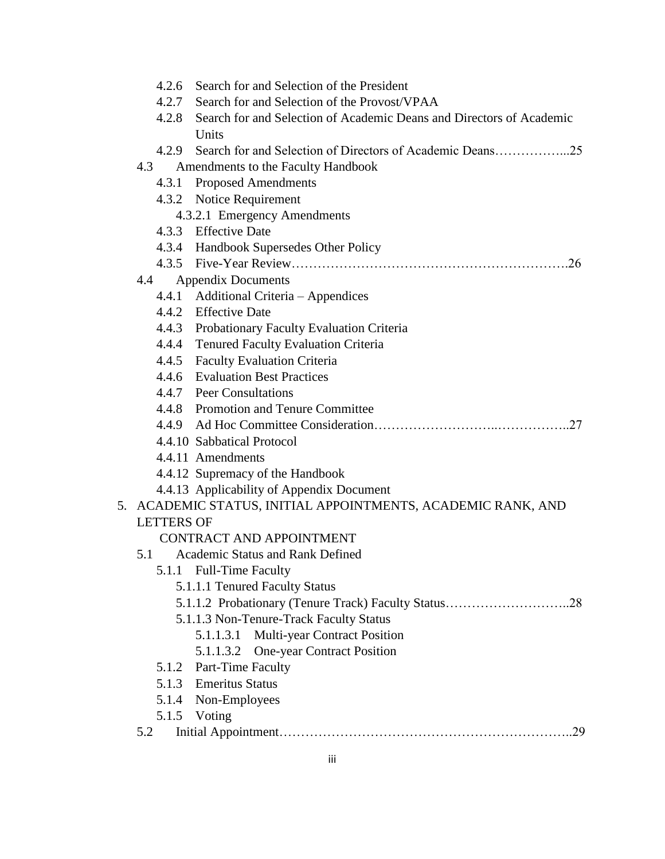|                   | 4.2.6 Search for and Selection of the President                            |
|-------------------|----------------------------------------------------------------------------|
|                   | 4.2.7 Search for and Selection of the Provost/VPAA                         |
|                   | 4.2.8 Search for and Selection of Academic Deans and Directors of Academic |
|                   | Units                                                                      |
|                   |                                                                            |
| 4.3               | Amendments to the Faculty Handbook                                         |
| 4.3.1             | <b>Proposed Amendments</b>                                                 |
|                   | 4.3.2 Notice Requirement                                                   |
|                   | 4.3.2.1 Emergency Amendments                                               |
|                   | 4.3.3 Effective Date                                                       |
|                   | 4.3.4 Handbook Supersedes Other Policy                                     |
|                   |                                                                            |
| 4.4               | <b>Appendix Documents</b>                                                  |
|                   | 4.4.1 Additional Criteria - Appendices                                     |
|                   | 4.4.2 Effective Date                                                       |
|                   | 4.4.3 Probationary Faculty Evaluation Criteria                             |
|                   | 4.4.4 Tenured Faculty Evaluation Criteria                                  |
|                   | 4.4.5 Faculty Evaluation Criteria                                          |
|                   | 4.4.6 Evaluation Best Practices                                            |
|                   | 4.4.7 Peer Consultations                                                   |
|                   | 4.4.8 Promotion and Tenure Committee                                       |
|                   |                                                                            |
|                   | 4.4.10 Sabbatical Protocol                                                 |
|                   | 4.4.11 Amendments                                                          |
|                   | 4.4.12 Supremacy of the Handbook                                           |
|                   | 4.4.13 Applicability of Appendix Document                                  |
|                   | 5. ACADEMIC STATUS, INITIAL APPOINTMENTS, ACADEMIC RANK, AND               |
| <b>LETTERS OF</b> |                                                                            |
| 5.1               | <b>CONTRACT AND APPOINTMENT</b><br><b>Academic Status and Rank Defined</b> |
|                   | 5.1.1 Full-Time Faculty                                                    |
|                   | 5.1.1.1 Tenured Faculty Status                                             |
|                   |                                                                            |
|                   | 5.1.1.3 Non-Tenure-Track Faculty Status                                    |
|                   | <b>Multi-year Contract Position</b><br>5.1.1.3.1                           |
|                   | <b>One-year Contract Position</b><br>5.1.1.3.2                             |
|                   | 5.1.2 Part-Time Faculty                                                    |
| 5.1.3             | <b>Emeritus Status</b>                                                     |
| 5.1.4             | Non-Employees                                                              |
|                   | 5.1.5 Voting                                                               |
| 5.2               | 29                                                                         |
|                   |                                                                            |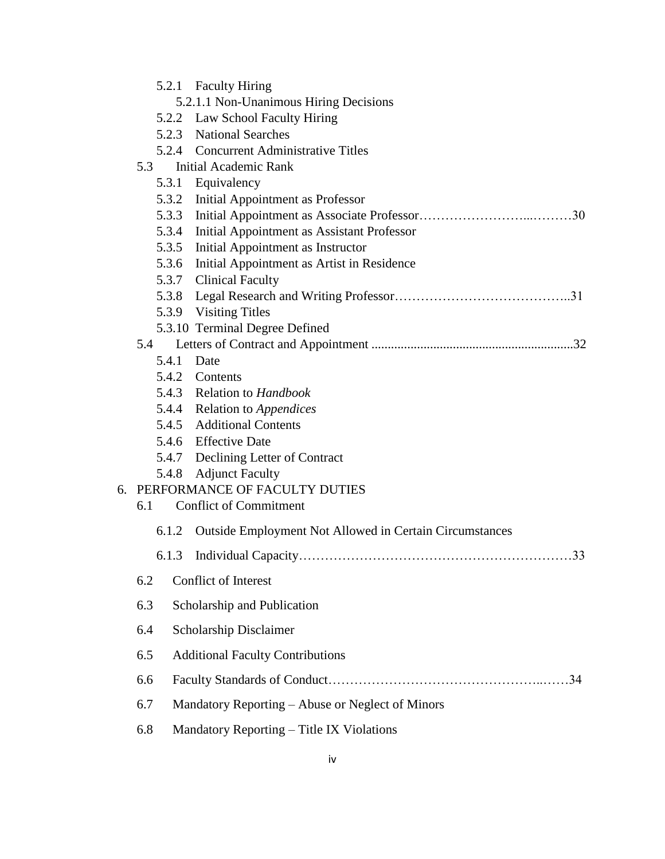|                                        |       | 5.2.1 Faculty Hiring                                           |
|----------------------------------------|-------|----------------------------------------------------------------|
| 5.2.1.1 Non-Unanimous Hiring Decisions |       |                                                                |
|                                        |       | 5.2.2 Law School Faculty Hiring                                |
|                                        |       | 5.2.3 National Searches                                        |
|                                        |       | 5.2.4 Concurrent Administrative Titles                         |
|                                        | 5.3   | <b>Initial Academic Rank</b>                                   |
|                                        |       | 5.3.1 Equivalency                                              |
|                                        |       | 5.3.2 Initial Appointment as Professor                         |
|                                        |       |                                                                |
|                                        |       | 5.3.4 Initial Appointment as Assistant Professor               |
|                                        |       | 5.3.5 Initial Appointment as Instructor                        |
|                                        |       | 5.3.6 Initial Appointment as Artist in Residence               |
|                                        |       | 5.3.7 Clinical Faculty                                         |
|                                        |       |                                                                |
|                                        |       | 5.3.9 Visiting Titles                                          |
|                                        |       | 5.3.10 Terminal Degree Defined                                 |
|                                        | 5.4   |                                                                |
|                                        |       | 5.4.1 Date                                                     |
|                                        |       | 5.4.2 Contents<br>5.4.3 Relation to Handbook                   |
|                                        |       | 5.4.4 Relation to Appendices                                   |
|                                        |       | 5.4.5 Additional Contents                                      |
|                                        |       | 5.4.6 Effective Date                                           |
|                                        |       | 5.4.7 Declining Letter of Contract                             |
|                                        |       | 5.4.8 Adjunct Faculty                                          |
|                                        |       | 6. PERFORMANCE OF FACULTY DUTIES                               |
|                                        | 6.1   | <b>Conflict of Commitment</b>                                  |
|                                        | 6.1.2 | <b>Outside Employment Not Allowed in Certain Circumstances</b> |
|                                        | 6.1.3 |                                                                |
|                                        | 6.2   | <b>Conflict of Interest</b>                                    |
|                                        | 6.3   | Scholarship and Publication                                    |
|                                        | 6.4   | Scholarship Disclaimer                                         |
|                                        | 6.5   | <b>Additional Faculty Contributions</b>                        |
|                                        | 6.6   |                                                                |
|                                        | 6.7   | Mandatory Reporting – Abuse or Neglect of Minors               |
|                                        | 6.8   | Mandatory Reporting – Title IX Violations                      |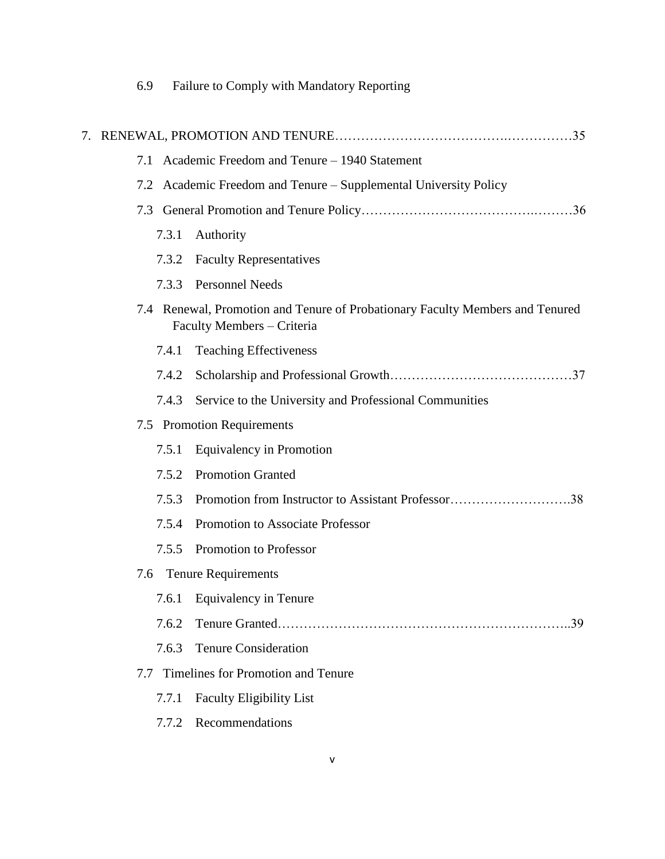| 6.9 | Failure to Comply with Mandatory Reporting |  |  |
|-----|--------------------------------------------|--|--|
|     |                                            |  |  |

| 7. |                                                     |                                                                                                             |  |  |  |
|----|-----------------------------------------------------|-------------------------------------------------------------------------------------------------------------|--|--|--|
|    | Academic Freedom and Tenure - 1940 Statement<br>7.1 |                                                                                                             |  |  |  |
|    |                                                     | 7.2 Academic Freedom and Tenure – Supplemental University Policy                                            |  |  |  |
|    |                                                     |                                                                                                             |  |  |  |
|    | 7.3.1                                               | Authority                                                                                                   |  |  |  |
|    | 7.3.2                                               | <b>Faculty Representatives</b>                                                                              |  |  |  |
|    | 7.3.3                                               | <b>Personnel Needs</b>                                                                                      |  |  |  |
|    |                                                     | 7.4 Renewal, Promotion and Tenure of Probationary Faculty Members and Tenured<br>Faculty Members - Criteria |  |  |  |
|    | 7.4.1                                               | <b>Teaching Effectiveness</b>                                                                               |  |  |  |
|    | 7.4.2                                               |                                                                                                             |  |  |  |
|    | 7.4.3                                               | Service to the University and Professional Communities                                                      |  |  |  |
|    |                                                     | 7.5 Promotion Requirements                                                                                  |  |  |  |
|    | 7.5.1                                               | Equivalency in Promotion                                                                                    |  |  |  |
|    | 7.5.2                                               | <b>Promotion Granted</b>                                                                                    |  |  |  |
|    | 7.5.3                                               | Promotion from Instructor to Assistant Professor38                                                          |  |  |  |
|    | 7.5.4                                               | Promotion to Associate Professor                                                                            |  |  |  |
|    | 7.5.5                                               | Promotion to Professor                                                                                      |  |  |  |
|    |                                                     | 7.6 Tenure Requirements                                                                                     |  |  |  |
|    |                                                     | 7.6.1 Equivalency in Tenure                                                                                 |  |  |  |
|    | 7.6.2                                               |                                                                                                             |  |  |  |
|    | 7.6.3                                               | <b>Tenure Consideration</b>                                                                                 |  |  |  |
|    | 7.7                                                 | Timelines for Promotion and Tenure                                                                          |  |  |  |
|    | 7.7.1                                               | <b>Faculty Eligibility List</b>                                                                             |  |  |  |
|    | 7.7.2                                               | Recommendations                                                                                             |  |  |  |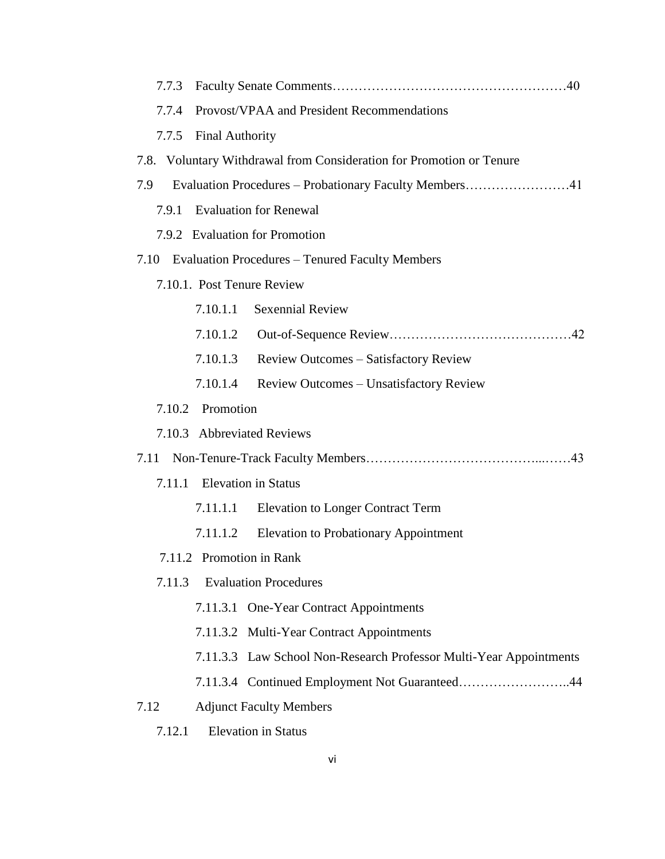| 7.7.3                                                                |
|----------------------------------------------------------------------|
| Provost/VPAA and President Recommendations<br>7.7.4                  |
| <b>Final Authority</b><br>7.7.5                                      |
| 7.8. Voluntary Withdrawal from Consideration for Promotion or Tenure |
| 7.9<br>Evaluation Procedures – Probationary Faculty Members41        |
| <b>Evaluation for Renewal</b><br>7.9.1                               |
| 7.9.2 Evaluation for Promotion                                       |
| <b>Evaluation Procedures - Tenured Faculty Members</b><br>7.10       |
| 7.10.1. Post Tenure Review                                           |
| 7.10.1.1<br><b>Sexennial Review</b>                                  |
| 7.10.1.2                                                             |
| 7.10.1.3<br><b>Review Outcomes – Satisfactory Review</b>             |
| 7.10.1.4<br><b>Review Outcomes – Unsatisfactory Review</b>           |
| Promotion<br>7.10.2                                                  |
| 7.10.3 Abbreviated Reviews                                           |
| 7.11                                                                 |
| <b>Elevation</b> in Status<br>7.11.1                                 |
| <b>Elevation to Longer Contract Term</b><br>7.11.1.1                 |
| 7.11.1.2<br><b>Elevation to Probationary Appointment</b>             |
| 7.11.2 Promotion in Rank                                             |
| <b>Evaluation Procedures</b><br>7.11.3                               |
| 7.11.3.1 One-Year Contract Appointments                              |
| 7.11.3.2 Multi-Year Contract Appointments                            |
| 7.11.3.3 Law School Non-Research Professor Multi-Year Appointments   |
| 7.11.3.4 Continued Employment Not Guaranteed44                       |
| <b>Adjunct Faculty Members</b><br>7.12                               |
| <b>Elevation</b> in Status<br>7.12.1                                 |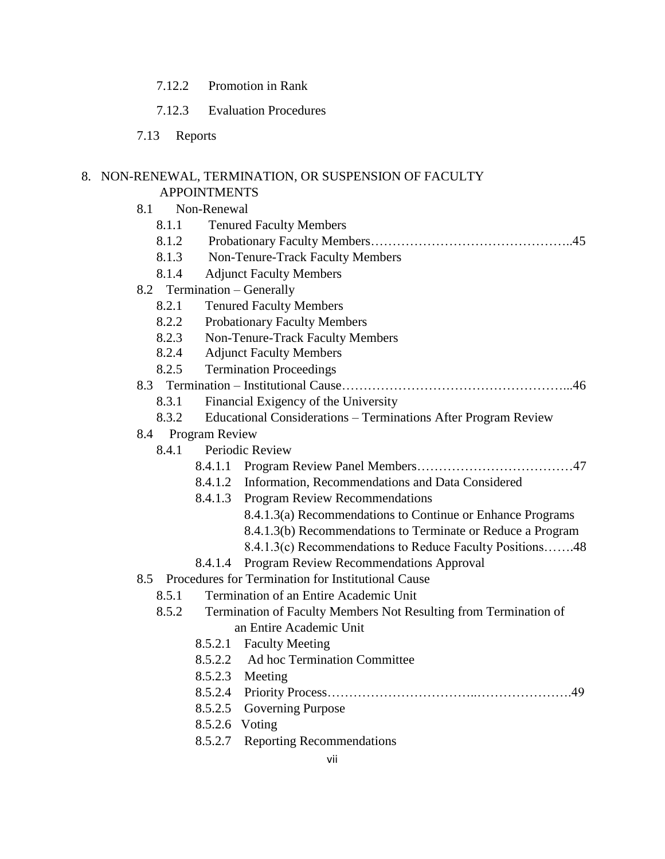- 7.12.2 Promotion in Rank
- 7.12.3 Evaluation Procedures
- 7.13 Reports

# 8. NON-RENEWAL, TERMINATION, OR SUSPENSION OF FACULTY

# APPOINTMENTS

- 8.1 Non-Renewal
	- 8.1.1 Tenured Faculty Members
	- 8.1.2 Probationary Faculty Members………………………………………..45
	- 8.1.3 Non-Tenure-Track Faculty Members
	- 8.1.4 Adjunct Faculty Members

#### 8.2 Termination – Generally

- 8.2.1 Tenured Faculty Members
- 8.2.2 Probationary Faculty Members
- 8.2.3 Non-Tenure-Track Faculty Members
- 8.2.4 Adjunct Faculty Members
- 8.2.5 Termination Proceedings

## 8.3 Termination – Institutional Cause……………………………………………...46

- 8.3.1 Financial Exigency of the University
- 8.3.2 Educational Considerations Terminations After Program Review

#### 8.4 Program Review

- 8.4.1 Periodic Review
	- 8.4.1.1 Program Review Panel Members………………………………47
	- 8.4.1.2 Information, Recommendations and Data Considered
	- 8.4.1.3 Program Review Recommendations
		- 8.4.1.3(a) Recommendations to Continue or Enhance Programs
		- 8.4.1.3(b) Recommendations to Terminate or Reduce a Program
		- 8.4.1.3(c) Recommendations to Reduce Faculty Positions…….48
	- 8.4.1.4 Program Review Recommendations Approval
- 8.5 Procedures for Termination for Institutional Cause
	- 8.5.1 Termination of an Entire Academic Unit
	- 8.5.2 Termination of Faculty Members Not Resulting from Termination of an Entire Academic Unit
		- 8.5.2.1 Faculty Meeting
		- 8.5.2.2 Ad hoc Termination Committee
		- 8.5.2.3 Meeting
		- 8.5.2.4 Priority Process……………………………..………………….49
		- 8.5.2.5 Governing Purpose
		- 8.5.2.6 Voting
		- 8.5.2.7 Reporting Recommendations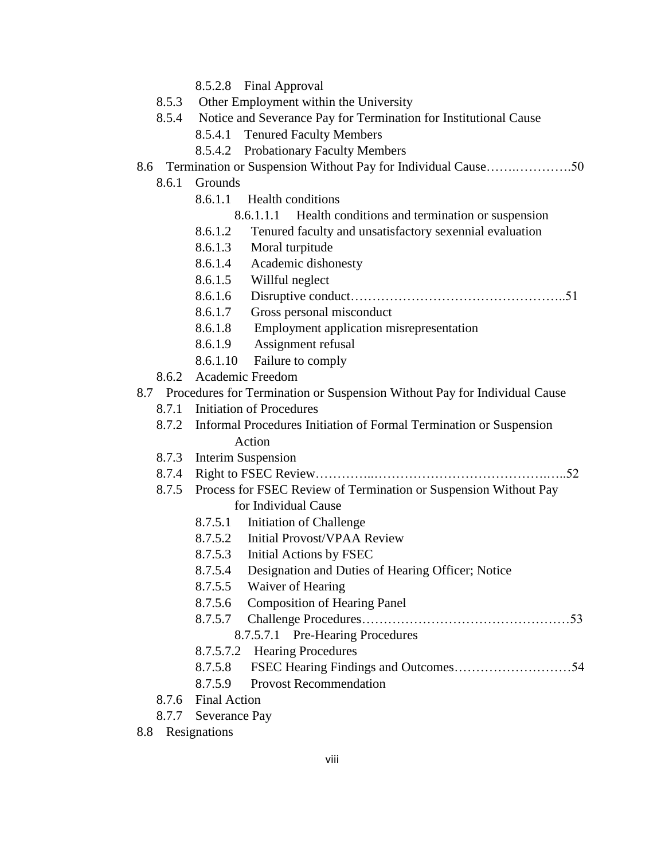- 8.5.2.8 Final Approval
- 8.5.3 Other Employment within the University
- 8.5.4 Notice and Severance Pay for Termination for Institutional Cause
	- 8.5.4.1 Tenured Faculty Members
	- 8.5.4.2 Probationary Faculty Members
- 8.6 Termination or Suspension Without Pay for Individual Cause…….………….50
	- 8.6.1 Grounds
		- 8.6.1.1 Health conditions
			- 8.6.1.1.1 Health conditions and termination or suspension
		- 8.6.1.2 Tenured faculty and unsatisfactory sexennial evaluation
		- 8.6.1.3 Moral turpitude
		- 8.6.1.4 Academic dishonesty
		- 8.6.1.5 Willful neglect
		- 8.6.1.6 Disruptive conduct…………………………………………..51
		- 8.6.1.7 Gross personal misconduct
		- 8.6.1.8 Employment application misrepresentation
		- 8.6.1.9 Assignment refusal
		- 8.6.1.10 Failure to comply
	- 8.6.2 Academic Freedom
- 8.7 Procedures for Termination or Suspension Without Pay for Individual Cause
	- 8.7.1 Initiation of Procedures
	- 8.7.2 Informal Procedures Initiation of Formal Termination or Suspension Action
	- 8.7.3 Interim Suspension
	- 8.7.4 Right to FSEC Review…………..………………………………….…..52
	- 8.7.5 Process for FSEC Review of Termination or Suspension Without Pay for Individual Cause
		- 8.7.5.1 Initiation of Challenge
		- 8.7.5.2 Initial Provost/VPAA Review
		- 8.7.5.3 Initial Actions by FSEC
		- 8.7.5.4 Designation and Duties of Hearing Officer; Notice
		- 8.7.5.5 Waiver of Hearing
		- 8.7.5.6 Composition of Hearing Panel
		- 8.7.5.7 Challenge Procedures…………………………………………53
		- 8.7.5.7.1 Pre-Hearing Procedures
		- 8.7.5.7.2 Hearing Procedures
		- 8.7.5.8 FSEC Hearing Findings and Outcomes………………………54
		- 8.7.5.9 Provost Recommendation
	- 8.7.6 Final Action
	- 8.7.7 Severance Pay
- 8.8 Resignations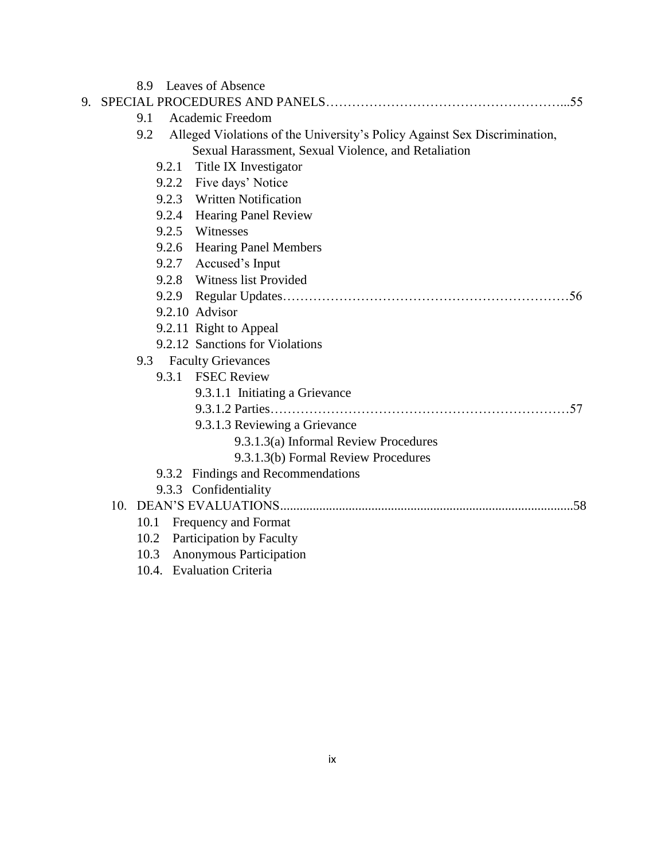|    | 8.9  | <b>Leaves of Absence</b>                                                  |
|----|------|---------------------------------------------------------------------------|
| 9. |      |                                                                           |
|    | 9.1  | Academic Freedom                                                          |
|    | 9.2  | Alleged Violations of the University's Policy Against Sex Discrimination, |
|    |      | Sexual Harassment, Sexual Violence, and Retaliation                       |
|    |      | 9.2.1 Title IX Investigator                                               |
|    |      | 9.2.2 Five days' Notice                                                   |
|    |      | 9.2.3 Written Notification                                                |
|    |      | 9.2.4 Hearing Panel Review                                                |
|    |      | 9.2.5 Witnesses                                                           |
|    |      | 9.2.6 Hearing Panel Members                                               |
|    |      | 9.2.7 Accused's Input                                                     |
|    |      | 9.2.8 Witness list Provided                                               |
|    |      |                                                                           |
|    |      | 9.2.10 Advisor                                                            |
|    |      | 9.2.11 Right to Appeal                                                    |
|    |      | 9.2.12 Sanctions for Violations                                           |
|    |      | 9.3 Faculty Grievances                                                    |
|    |      | 9.3.1 FSEC Review                                                         |
|    |      | 9.3.1.1 Initiating a Grievance                                            |
|    |      |                                                                           |
|    |      | 9.3.1.3 Reviewing a Grievance                                             |
|    |      | 9.3.1.3(a) Informal Review Procedures                                     |
|    |      | 9.3.1.3(b) Formal Review Procedures                                       |
|    |      | 9.3.2 Findings and Recommendations                                        |
|    |      | 9.3.3 Confidentiality                                                     |
|    | 10.  |                                                                           |
|    | 10.1 | Frequency and Format                                                      |
|    | 10.2 | Participation by Faculty                                                  |
|    | 10.3 | Anonymous Participation                                                   |
|    |      |                                                                           |

10.4. Evaluation Criteria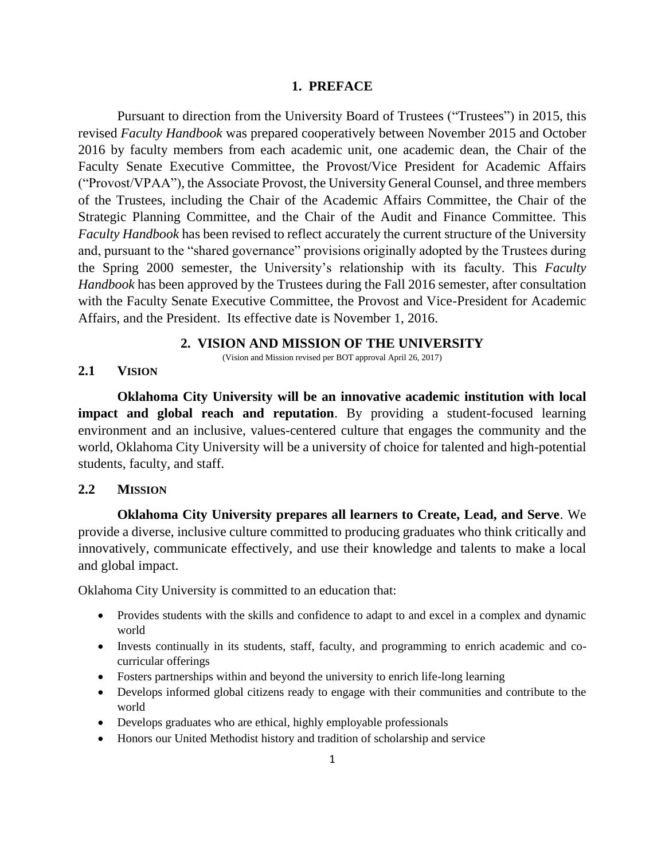#### **1. PREFACE**

Pursuant to direction from the University Board of Trustees ("Trustees") in 2015, this revised *Faculty Handbook* was prepared cooperatively between November 2015 and October 2016 by faculty members from each academic unit, one academic dean, the Chair of the Faculty Senate Executive Committee, the Provost/Vice President for Academic Affairs ("Provost/VPAA"), the Associate Provost, the University General Counsel, and three members of the Trustees, including the Chair of the Academic Affairs Committee, the Chair of the Strategic Planning Committee, and the Chair of the Audit and Finance Committee. This *Faculty Handbook* has been revised to reflect accurately the current structure of the University and, pursuant to the "shared governance" provisions originally adopted by the Trustees during the Spring 2000 semester, the University's relationship with its faculty. This *Faculty Handbook* has been approved by the Trustees during the Fall 2016 semester, after consultation with the Faculty Senate Executive Committee, the Provost and Vice-President for Academic Affairs, and the President. Its effective date is November 1, 2016.

#### **2. VISION AND MISSION OF THE UNIVERSITY**

(Vision and Mission revised per BOT approval April 26, 2017)

#### **2.1 VISION**

**Oklahoma City University will be an innovative academic institution with local impact and global reach and reputation**. By providing a student-focused learning environment and an inclusive, values-centered culture that engages the community and the world, Oklahoma City University will be a university of choice for talented and high-potential students, faculty, and staff.

#### **2.2 MISSION**

**Oklahoma City University prepares all learners to Create, Lead, and Serve**. We provide a diverse, inclusive culture committed to producing graduates who think critically and innovatively, communicate effectively, and use their knowledge and talents to make a local and global impact.

Oklahoma City University is committed to an education that:

- Provides students with the skills and confidence to adapt to and excel in a complex and dynamic world
- Invests continually in its students, staff, faculty, and programming to enrich academic and cocurricular offerings
- Fosters partnerships within and beyond the university to enrich life-long learning
- Develops informed global citizens ready to engage with their communities and contribute to the world
- Develops graduates who are ethical, highly employable professionals
- Honors our United Methodist history and tradition of scholarship and service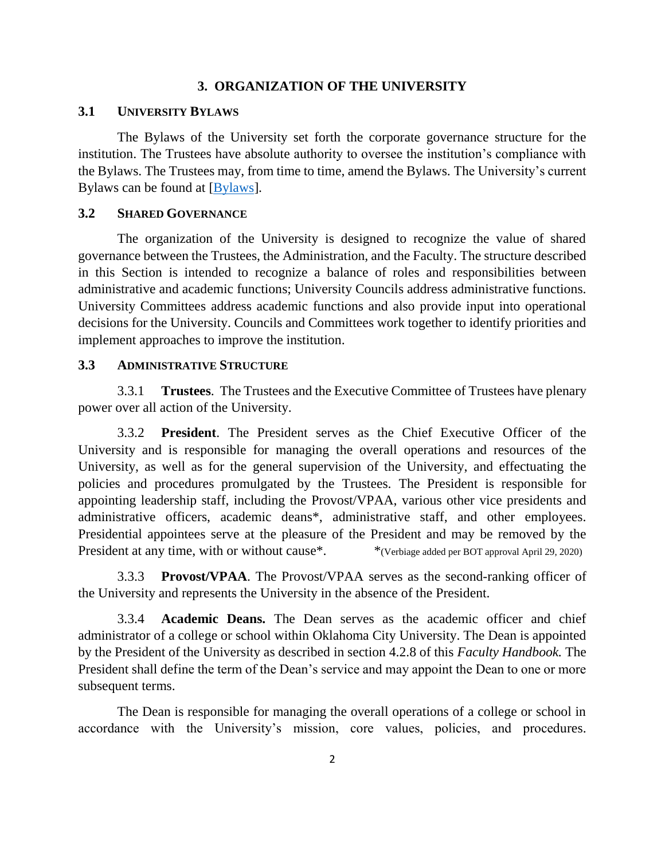#### **3. ORGANIZATION OF THE UNIVERSITY**

#### **3.1 UNIVERSITY BYLAWS**

The Bylaws of the University set forth the corporate governance structure for the institution. The Trustees have absolute authority to oversee the institution's compliance with the Bylaws. The Trustees may, from time to time, amend the Bylaws. The University's current Bylaws can be found at [\[Bylaws\]](http://starnet.okcu.edu/admin/president/Shared%20Documents/Bylaws%20Revised_10_2014%20CURRENT.pdf).

#### **3.2 SHARED GOVERNANCE**

The organization of the University is designed to recognize the value of shared governance between the Trustees, the Administration, and the Faculty. The structure described in this Section is intended to recognize a balance of roles and responsibilities between administrative and academic functions; University Councils address administrative functions. University Committees address academic functions and also provide input into operational decisions for the University. Councils and Committees work together to identify priorities and implement approaches to improve the institution.

#### **3.3 ADMINISTRATIVE STRUCTURE**

3.3.1 **Trustees**. The Trustees and the Executive Committee of Trustees have plenary power over all action of the University.

3.3.2 **President**. The President serves as the Chief Executive Officer of the University and is responsible for managing the overall operations and resources of the University, as well as for the general supervision of the University, and effectuating the policies and procedures promulgated by the Trustees. The President is responsible for appointing leadership staff, including the Provost/VPAA, various other vice presidents and administrative officers, academic deans\*, administrative staff, and other employees. Presidential appointees serve at the pleasure of the President and may be removed by the President at any time, with or without cause<sup>\*</sup>. \* (Verbiage added per BOT approval April 29, 2020)

3.3.3 **Provost/VPAA**. The Provost/VPAA serves as the second-ranking officer of the University and represents the University in the absence of the President.

3.3.4 **Academic Deans.** The Dean serves as the academic officer and chief administrator of a college or school within Oklahoma City University. The Dean is appointed by the President of the University as described in section 4.2.8 of this *Faculty Handbook.* The President shall define the term of the Dean's service and may appoint the Dean to one or more subsequent terms.

The Dean is responsible for managing the overall operations of a college or school in accordance with the University's mission, core values, policies, and procedures.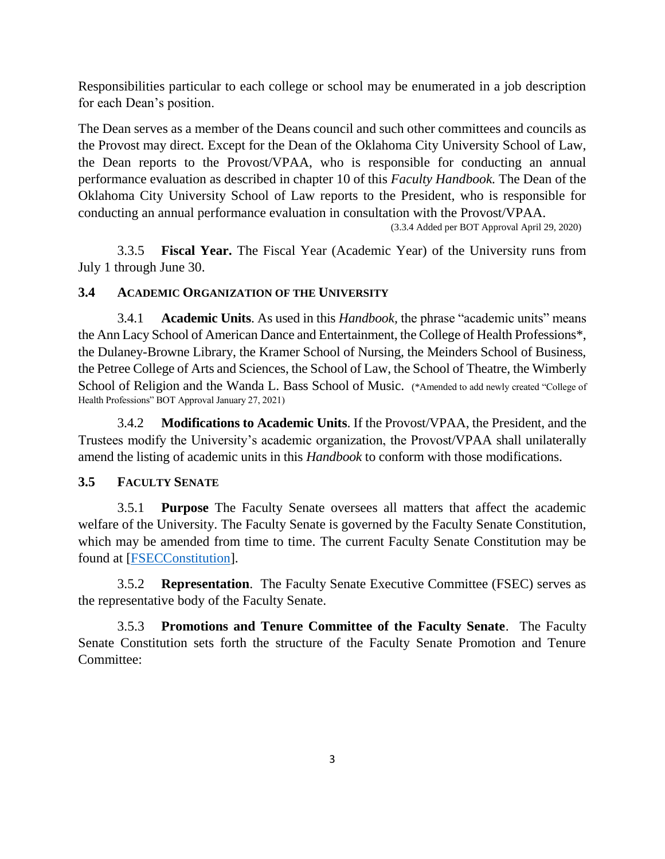Responsibilities particular to each college or school may be enumerated in a job description for each Dean's position.

The Dean serves as a member of the Deans council and such other committees and councils as the Provost may direct. Except for the Dean of the Oklahoma City University School of Law, the Dean reports to the Provost/VPAA, who is responsible for conducting an annual performance evaluation as described in chapter 10 of this *Faculty Handbook.* The Dean of the Oklahoma City University School of Law reports to the President, who is responsible for conducting an annual performance evaluation in consultation with the Provost/VPAA.

(3.3.4 Added per BOT Approval April 29, 2020)

3.3.5 **Fiscal Year.** The Fiscal Year (Academic Year) of the University runs from July 1 through June 30.

## **3.4 ACADEMIC ORGANIZATION OF THE UNIVERSITY**

3.4.1 **Academic Units**. As used in this *Handbook,* the phrase "academic units" means the Ann Lacy School of American Dance and Entertainment, the College of Health Professions\*, the Dulaney-Browne Library, the Kramer School of Nursing, the Meinders School of Business, the Petree College of Arts and Sciences, the School of Law, the School of Theatre, the Wimberly School of Religion and the Wanda L. Bass School of Music. (\*Amended to add newly created "College of Health Professions" BOT Approval January 27, 2021)

3.4.2 **Modifications to Academic Units**. If the Provost/VPAA, the President, and the Trustees modify the University's academic organization, the Provost/VPAA shall unilaterally amend the listing of academic units in this *Handbook* to conform with those modifications.

## **3.5 FACULTY SENATE**

3.5.1 **Purpose** The Faculty Senate oversees all matters that affect the academic welfare of the University. The Faculty Senate is governed by the Faculty Senate Constitution, which may be amended from time to time. The current Faculty Senate Constitution may be found at [\[FSECConstitution\]](http://starnet.okcu.edu/groups/FacultySenate/Faculty%20Senate%20Constitution/Forms/AllItems.aspx).

3.5.2 **Representation**. The Faculty Senate Executive Committee (FSEC) serves as the representative body of the Faculty Senate.

3.5.3 **Promotions and Tenure Committee of the Faculty Senate**. The Faculty Senate Constitution sets forth the structure of the Faculty Senate Promotion and Tenure Committee: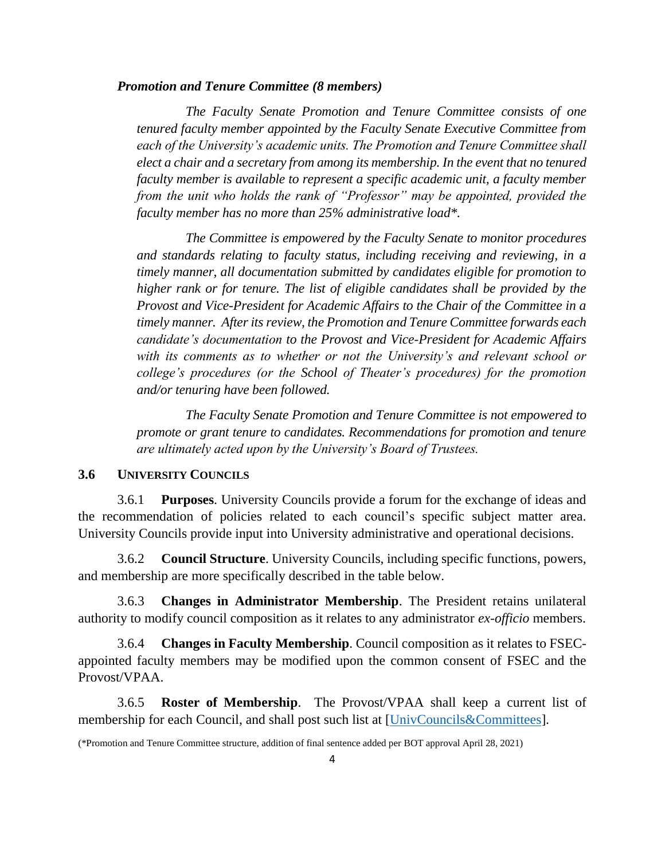#### *Promotion and Tenure Committee (8 members)*

*The Faculty Senate Promotion and Tenure Committee consists of one tenured faculty member appointed by the Faculty Senate Executive Committee from each of the University's academic units. The Promotion and Tenure Committee shall elect a chair and a secretary from among its membership. In the event that no tenured faculty member is available to represent a specific academic unit, a faculty member from the unit who holds the rank of "Professor" may be appointed, provided the faculty member has no more than 25% administrative load\*.*

*The Committee is empowered by the Faculty Senate to monitor procedures and standards relating to faculty status, including receiving and reviewing, in a timely manner, all documentation submitted by candidates eligible for promotion to higher rank or for tenure. The list of eligible candidates shall be provided by the Provost and Vice-President for Academic Affairs to the Chair of the Committee in a timely manner. After its review, the Promotion and Tenure Committee forwards each candidate's documentation to the Provost and Vice-President for Academic Affairs with its comments as to whether or not the University's and relevant school or college's procedures (or the School of Theater's procedures) for the promotion and/or tenuring have been followed.*

*The Faculty Senate Promotion and Tenure Committee is not empowered to promote or grant tenure to candidates. Recommendations for promotion and tenure are ultimately acted upon by the University's Board of Trustees.*

#### **3.6 UNIVERSITY COUNCILS**

3.6.1 **Purposes**. University Councils provide a forum for the exchange of ideas and the recommendation of policies related to each council's specific subject matter area. University Councils provide input into University administrative and operational decisions.

3.6.2 **Council Structure**. University Councils, including specific functions, powers, and membership are more specifically described in the table below.

3.6.3 **Changes in Administrator Membership**. The President retains unilateral authority to modify council composition as it relates to any administrator *ex-officio* members.

3.6.4 **Changes in Faculty Membership**. Council composition as it relates to FSECappointed faculty members may be modified upon the common consent of FSEC and the Provost/VPAA.

3.6.5 **Roster of Membership**. The Provost/VPAA shall keep a current list of membership for each Council, and shall post such list at [\[UnivCouncils&Committees\]](http://starnet.okcu.edu/admin/aa/University%20Councils%20and%20Committees/University%20Councils%20and%20Committees%20AY%202016-17.pdf).

<sup>(\*</sup>Promotion and Tenure Committee structure, addition of final sentence added per BOT approval April 28, 2021)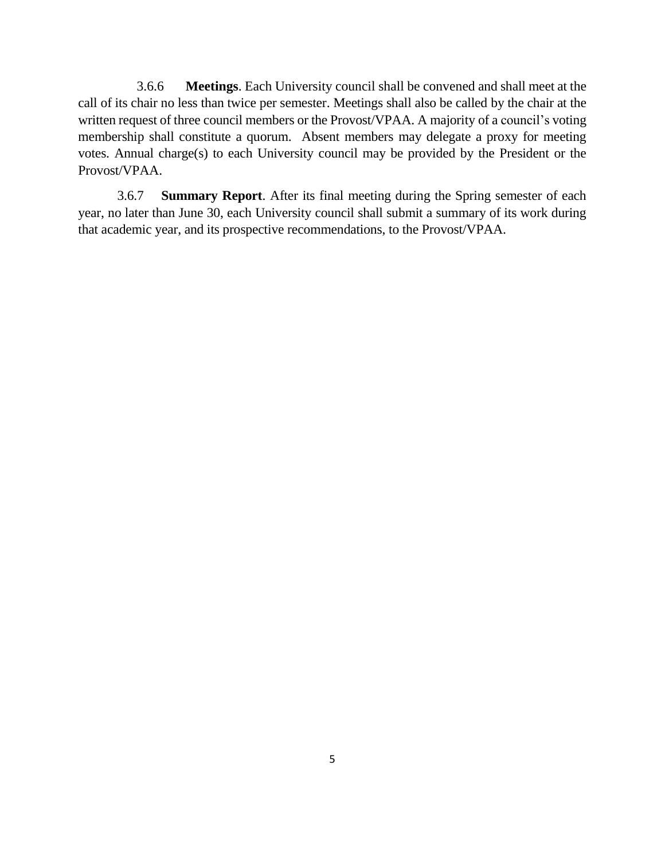3.6.6 **Meetings**. Each University council shall be convened and shall meet at the call of its chair no less than twice per semester. Meetings shall also be called by the chair at the written request of three council members or the Provost/VPAA. A majority of a council's voting membership shall constitute a quorum. Absent members may delegate a proxy for meeting votes. Annual charge(s) to each University council may be provided by the President or the Provost/VPAA.

3.6.7 **Summary Report**. After its final meeting during the Spring semester of each year, no later than June 30, each University council shall submit a summary of its work during that academic year, and its prospective recommendations, to the Provost/VPAA.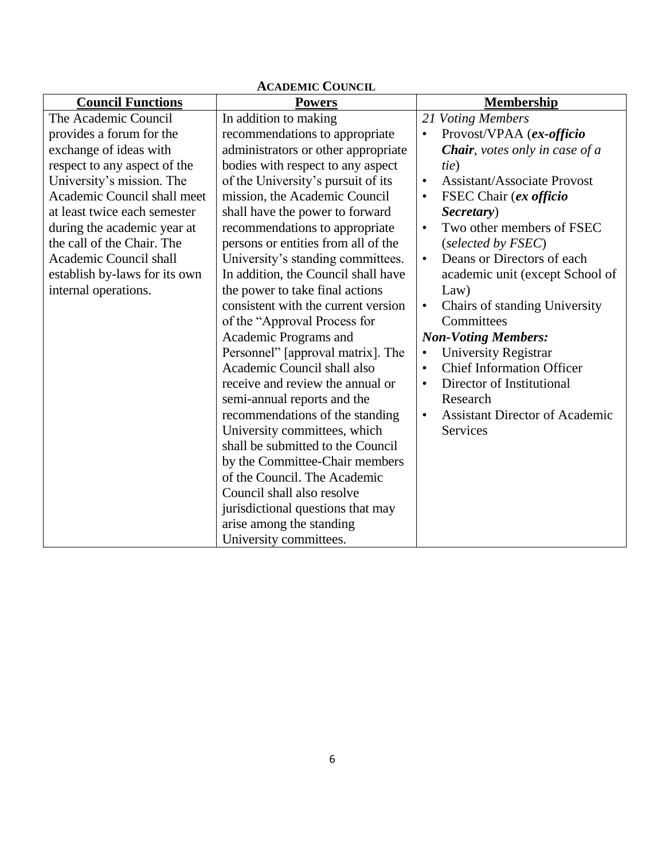| <b>ACADEMIC COUNCIL</b>       |                                     |                                                    |  |  |  |
|-------------------------------|-------------------------------------|----------------------------------------------------|--|--|--|
| <b>Council Functions</b>      | <b>Powers</b>                       | <b>Membership</b>                                  |  |  |  |
| The Academic Council          | In addition to making               | 21 Voting Members                                  |  |  |  |
| provides a forum for the      | recommendations to appropriate      | Provost/VPAA (ex-officio                           |  |  |  |
| exchange of ideas with        | administrators or other appropriate | <b>Chair</b> , votes only in case of a             |  |  |  |
| respect to any aspect of the  | bodies with respect to any aspect   | tie)                                               |  |  |  |
| University's mission. The     | of the University's pursuit of its  | <b>Assistant/Associate Provost</b><br>$\bullet$    |  |  |  |
| Academic Council shall meet   | mission, the Academic Council       | FSEC Chair (ex officio<br>$\bullet$                |  |  |  |
| at least twice each semester  | shall have the power to forward     | Secretary)                                         |  |  |  |
| during the academic year at   | recommendations to appropriate      | Two other members of FSEC<br>$\bullet$             |  |  |  |
| the call of the Chair. The    | persons or entities from all of the | (selected by FSEC)                                 |  |  |  |
| Academic Council shall        | University's standing committees.   | Deans or Directors of each<br>$\bullet$            |  |  |  |
| establish by-laws for its own | In addition, the Council shall have | academic unit (except School of                    |  |  |  |
| internal operations.          | the power to take final actions     | Law)                                               |  |  |  |
|                               | consistent with the current version | Chairs of standing University<br>$\bullet$         |  |  |  |
|                               | of the "Approval Process for        | Committees                                         |  |  |  |
|                               | Academic Programs and               | <b>Non-Voting Members:</b>                         |  |  |  |
|                               | Personnel" [approval matrix]. The   | University Registrar<br>$\bullet$                  |  |  |  |
|                               | Academic Council shall also         | <b>Chief Information Officer</b><br>$\bullet$      |  |  |  |
|                               | receive and review the annual or    | Director of Institutional<br>$\bullet$             |  |  |  |
|                               | semi-annual reports and the         | Research                                           |  |  |  |
|                               | recommendations of the standing     | <b>Assistant Director of Academic</b><br>$\bullet$ |  |  |  |
|                               | University committees, which        | <b>Services</b>                                    |  |  |  |
|                               | shall be submitted to the Council   |                                                    |  |  |  |
|                               | by the Committee-Chair members      |                                                    |  |  |  |
|                               | of the Council. The Academic        |                                                    |  |  |  |
|                               | Council shall also resolve          |                                                    |  |  |  |
|                               | jurisdictional questions that may   |                                                    |  |  |  |
|                               | arise among the standing            |                                                    |  |  |  |
|                               | University committees.              |                                                    |  |  |  |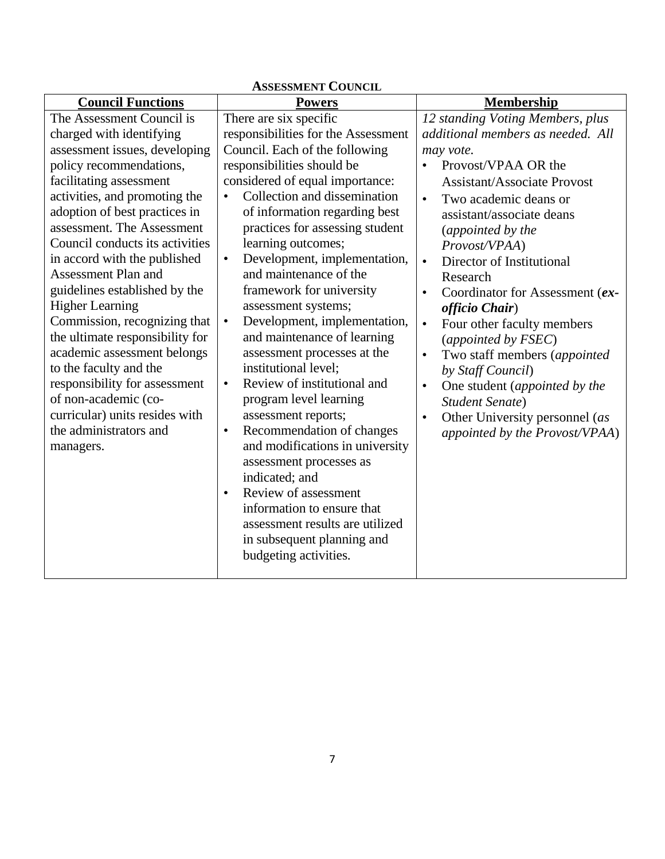| <b>ASSESSMENT COUNCIL</b>                                                                                                                                                                                                                                                                                                                                                                                                                                                                                                                                                                                                                                              |                                                                                                                                                                                                                                                                                                                                                                                                                                                                                                                                                                                                                                                                                                                                                                                                                                                                                                                                                          |                                                                                                                                                                                                                                                                                                                                                                                                                                                                                                                                                                                                                                                                  |  |  |  |
|------------------------------------------------------------------------------------------------------------------------------------------------------------------------------------------------------------------------------------------------------------------------------------------------------------------------------------------------------------------------------------------------------------------------------------------------------------------------------------------------------------------------------------------------------------------------------------------------------------------------------------------------------------------------|----------------------------------------------------------------------------------------------------------------------------------------------------------------------------------------------------------------------------------------------------------------------------------------------------------------------------------------------------------------------------------------------------------------------------------------------------------------------------------------------------------------------------------------------------------------------------------------------------------------------------------------------------------------------------------------------------------------------------------------------------------------------------------------------------------------------------------------------------------------------------------------------------------------------------------------------------------|------------------------------------------------------------------------------------------------------------------------------------------------------------------------------------------------------------------------------------------------------------------------------------------------------------------------------------------------------------------------------------------------------------------------------------------------------------------------------------------------------------------------------------------------------------------------------------------------------------------------------------------------------------------|--|--|--|
| <b>Council Functions</b>                                                                                                                                                                                                                                                                                                                                                                                                                                                                                                                                                                                                                                               | <b>Powers</b>                                                                                                                                                                                                                                                                                                                                                                                                                                                                                                                                                                                                                                                                                                                                                                                                                                                                                                                                            | <b>Membership</b>                                                                                                                                                                                                                                                                                                                                                                                                                                                                                                                                                                                                                                                |  |  |  |
| The Assessment Council is<br>charged with identifying<br>assessment issues, developing<br>policy recommendations,<br>facilitating assessment<br>activities, and promoting the<br>adoption of best practices in<br>assessment. The Assessment<br>Council conducts its activities<br>in accord with the published<br><b>Assessment Plan and</b><br>guidelines established by the<br><b>Higher Learning</b><br>Commission, recognizing that<br>the ultimate responsibility for<br>academic assessment belongs<br>to the faculty and the<br>responsibility for assessment<br>of non-academic (co-<br>curricular) units resides with<br>the administrators and<br>managers. | There are six specific<br>responsibilities for the Assessment<br>Council. Each of the following<br>responsibilities should be<br>considered of equal importance:<br>Collection and dissemination<br>$\bullet$<br>of information regarding best<br>practices for assessing student<br>learning outcomes;<br>Development, implementation,<br>$\bullet$<br>and maintenance of the<br>framework for university<br>assessment systems;<br>Development, implementation,<br>$\bullet$<br>and maintenance of learning<br>assessment processes at the<br>institutional level;<br>Review of institutional and<br>$\bullet$<br>program level learning<br>assessment reports;<br>Recommendation of changes<br>$\bullet$<br>and modifications in university<br>assessment processes as<br>indicated; and<br>Review of assessment<br>$\bullet$<br>information to ensure that<br>assessment results are utilized<br>in subsequent planning and<br>budgeting activities. | 12 standing Voting Members, plus<br>additional members as needed. All<br>may vote.<br>Provost/VPAA OR the<br><b>Assistant/Associate Provost</b><br>Two academic deans or<br>$\bullet$<br>assistant/associate deans<br>(appointed by the<br>Provost/VPAA)<br>Director of Institutional<br>$\bullet$<br>Research<br>Coordinator for Assessment (ex-<br>$\bullet$<br>officio Chair)<br>Four other faculty members<br>$\bullet$<br>(appointed by FSEC)<br>Two staff members (appointed<br>$\bullet$<br>by Staff Council)<br>One student (appointed by the<br>$\bullet$<br><b>Student Senate)</b><br>Other University personnel (as<br>appointed by the Provost/VPAA) |  |  |  |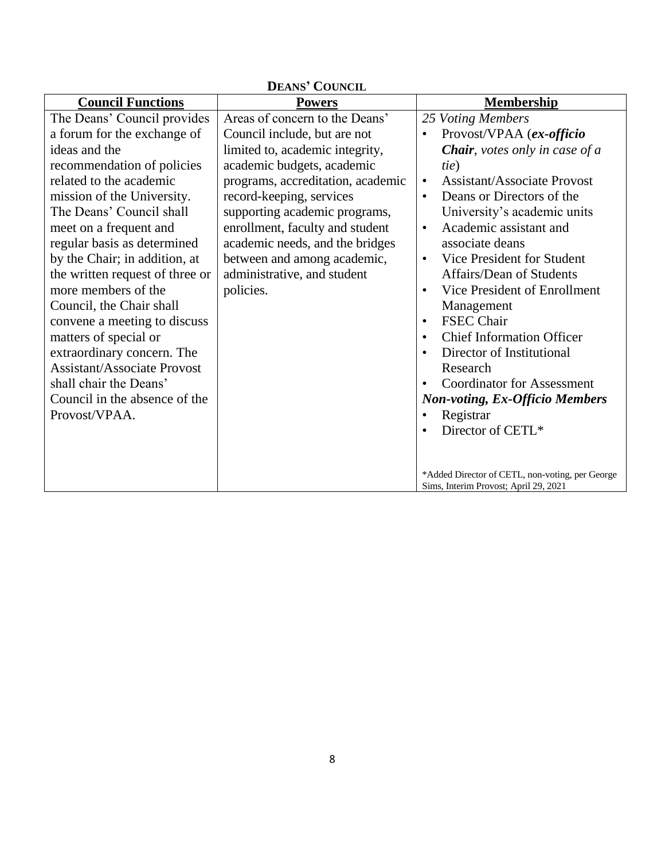| DEANS' COUNCIL                                                                                                                                                                                                                                                                                                                                                                                                                                                                                                                                                                          |                                                                                                                                                                                                                                                                                                                                                                                    |                                                                                                                                                                                                                                                                                                                                                                                                                                                                                                                                                                                                                                                                                                                        |  |  |  |
|-----------------------------------------------------------------------------------------------------------------------------------------------------------------------------------------------------------------------------------------------------------------------------------------------------------------------------------------------------------------------------------------------------------------------------------------------------------------------------------------------------------------------------------------------------------------------------------------|------------------------------------------------------------------------------------------------------------------------------------------------------------------------------------------------------------------------------------------------------------------------------------------------------------------------------------------------------------------------------------|------------------------------------------------------------------------------------------------------------------------------------------------------------------------------------------------------------------------------------------------------------------------------------------------------------------------------------------------------------------------------------------------------------------------------------------------------------------------------------------------------------------------------------------------------------------------------------------------------------------------------------------------------------------------------------------------------------------------|--|--|--|
| <b>Council Functions</b>                                                                                                                                                                                                                                                                                                                                                                                                                                                                                                                                                                | <b>Powers</b>                                                                                                                                                                                                                                                                                                                                                                      | Membership                                                                                                                                                                                                                                                                                                                                                                                                                                                                                                                                                                                                                                                                                                             |  |  |  |
| The Deans' Council provides<br>a forum for the exchange of<br>ideas and the<br>recommendation of policies<br>related to the academic<br>mission of the University.<br>The Deans' Council shall<br>meet on a frequent and<br>regular basis as determined<br>by the Chair; in addition, at<br>the written request of three or<br>more members of the<br>Council, the Chair shall<br>convene a meeting to discuss<br>matters of special or<br>extraordinary concern. The<br><b>Assistant/Associate Provost</b><br>shall chair the Deans'<br>Council in the absence of the<br>Provost/VPAA. | Areas of concern to the Deans'<br>Council include, but are not<br>limited to, academic integrity,<br>academic budgets, academic<br>programs, accreditation, academic<br>record-keeping, services<br>supporting academic programs,<br>enrollment, faculty and student<br>academic needs, and the bridges<br>between and among academic,<br>administrative, and student<br>policies. | 25 Voting Members<br>Provost/VPAA (ex-officio<br><b>Chair</b> , votes only in case of a<br>tie)<br><b>Assistant/Associate Provost</b><br>$\bullet$<br>Deans or Directors of the<br>$\bullet$<br>University's academic units<br>Academic assistant and<br>$\bullet$<br>associate deans<br>Vice President for Student<br>$\bullet$<br>Affairs/Dean of Students<br>Vice President of Enrollment<br>$\bullet$<br>Management<br><b>FSEC Chair</b><br>$\bullet$<br><b>Chief Information Officer</b><br>Director of Institutional<br>$\bullet$<br>Research<br><b>Coordinator for Assessment</b><br><b>Non-voting, Ex-Officio Members</b><br>Registrar<br>Director of CETL*<br>*Added Director of CETL, non-voting, per George |  |  |  |
|                                                                                                                                                                                                                                                                                                                                                                                                                                                                                                                                                                                         |                                                                                                                                                                                                                                                                                                                                                                                    | Sims, Interim Provost; April 29, 2021                                                                                                                                                                                                                                                                                                                                                                                                                                                                                                                                                                                                                                                                                  |  |  |  |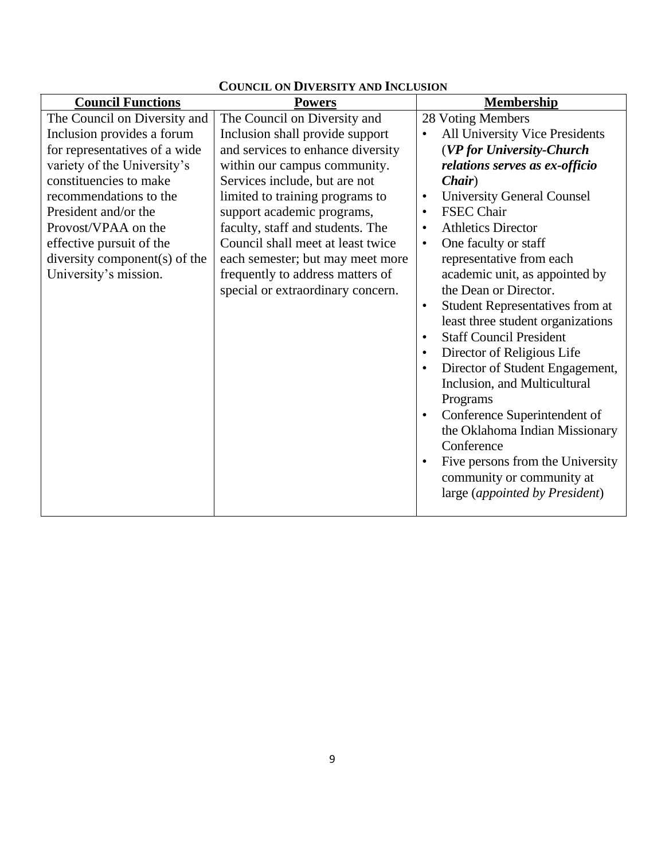| <b>Council Functions</b>      | <b>Powers</b>                     | <b>Membership</b>                                   |
|-------------------------------|-----------------------------------|-----------------------------------------------------|
| The Council on Diversity and  | The Council on Diversity and      | 28 Voting Members                                   |
| Inclusion provides a forum    | Inclusion shall provide support   | All University Vice Presidents                      |
| for representatives of a wide | and services to enhance diversity | (VP for University-Church                           |
| variety of the University's   | within our campus community.      | relations serves as ex-officio                      |
| constituencies to make        | Services include, but are not     | Chair)                                              |
| recommendations to the        | limited to training programs to   | <b>University General Counsel</b>                   |
| President and/or the          | support academic programs,        | <b>FSEC Chair</b>                                   |
| Provost/VPAA on the           | faculty, staff and students. The  | <b>Athletics Director</b>                           |
| effective pursuit of the      | Council shall meet at least twice | One faculty or staff<br>$\bullet$                   |
| diversity component(s) of the | each semester; but may meet more  | representative from each                            |
| University's mission.         | frequently to address matters of  | academic unit, as appointed by                      |
|                               | special or extraordinary concern. | the Dean or Director.                               |
|                               |                                   | <b>Student Representatives from at</b><br>$\bullet$ |
|                               |                                   | least three student organizations                   |
|                               |                                   | <b>Staff Council President</b>                      |
|                               |                                   | Director of Religious Life                          |
|                               |                                   | Director of Student Engagement,<br>$\bullet$        |
|                               |                                   | Inclusion, and Multicultural                        |
|                               |                                   | Programs                                            |
|                               |                                   | Conference Superintendent of                        |
|                               |                                   | the Oklahoma Indian Missionary                      |
|                               |                                   | Conference                                          |
|                               |                                   | Five persons from the University                    |
|                               |                                   | community or community at                           |
|                               |                                   | large (appointed by President)                      |
|                               |                                   |                                                     |

## **COUNCIL ON DIVERSITY AND INCLUSION**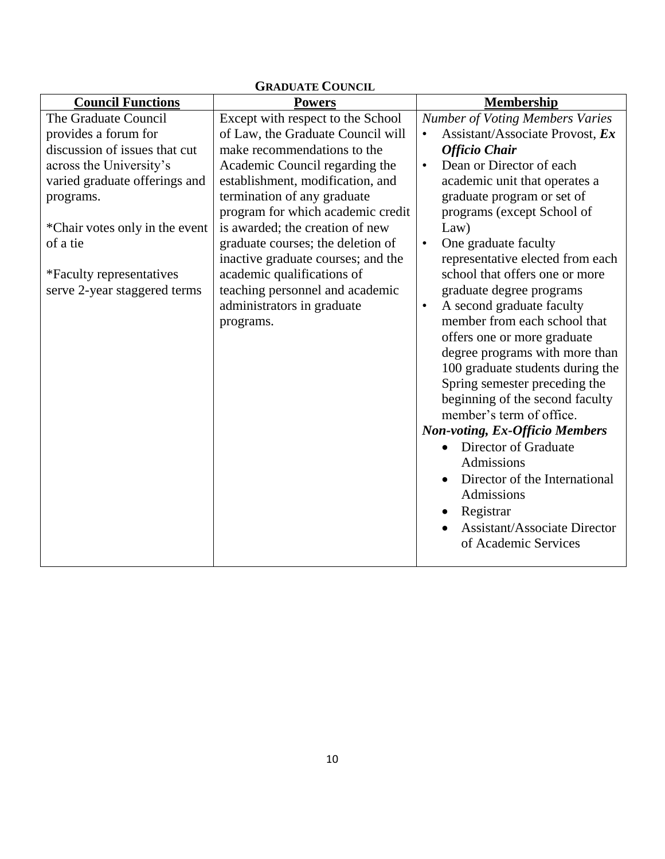| <b>GRADUATE COUNCIL</b>                                                                                                                                                                                                                                                       |                                                                                                                                                                                                                                                                                                                                                                                                                                                              |                                                                                                                                                                                                                                                                                                                                                                                                                                                                                                                                                                                                                                                                                                                                                                                                                                                                                                                        |
|-------------------------------------------------------------------------------------------------------------------------------------------------------------------------------------------------------------------------------------------------------------------------------|--------------------------------------------------------------------------------------------------------------------------------------------------------------------------------------------------------------------------------------------------------------------------------------------------------------------------------------------------------------------------------------------------------------------------------------------------------------|------------------------------------------------------------------------------------------------------------------------------------------------------------------------------------------------------------------------------------------------------------------------------------------------------------------------------------------------------------------------------------------------------------------------------------------------------------------------------------------------------------------------------------------------------------------------------------------------------------------------------------------------------------------------------------------------------------------------------------------------------------------------------------------------------------------------------------------------------------------------------------------------------------------------|
| <b>Council Functions</b>                                                                                                                                                                                                                                                      | <b>Powers</b>                                                                                                                                                                                                                                                                                                                                                                                                                                                | <b>Membership</b>                                                                                                                                                                                                                                                                                                                                                                                                                                                                                                                                                                                                                                                                                                                                                                                                                                                                                                      |
| The Graduate Council<br>provides a forum for<br>discussion of issues that cut<br>across the University's<br>varied graduate offerings and<br>programs.<br>*Chair votes only in the event<br>of a tie<br>*Faculty representatives<br>serve 2-year staggered terms<br>programs. | Except with respect to the School<br>of Law, the Graduate Council will<br>make recommendations to the<br>Academic Council regarding the<br>establishment, modification, and<br>termination of any graduate<br>program for which academic credit<br>is awarded; the creation of new<br>graduate courses; the deletion of<br>inactive graduate courses; and the<br>academic qualifications of<br>teaching personnel and academic<br>administrators in graduate | <b>Number of Voting Members Varies</b><br>Assistant/Associate Provost, Ex<br>$\bullet$<br><b>Officio Chair</b><br>Dean or Director of each<br>$\bullet$<br>academic unit that operates a<br>graduate program or set of<br>programs (except School of<br>Law)<br>One graduate faculty<br>$\bullet$<br>representative elected from each<br>school that offers one or more<br>graduate degree programs<br>A second graduate faculty<br>$\bullet$<br>member from each school that<br>offers one or more graduate<br>degree programs with more than<br>100 graduate students during the<br>Spring semester preceding the<br>beginning of the second faculty<br>member's term of office.<br><b>Non-voting, Ex-Officio Members</b><br>Director of Graduate<br>$\bullet$<br>Admissions<br>Director of the International<br>$\bullet$<br>Admissions<br>Registrar<br><b>Assistant/Associate Director</b><br>of Academic Services |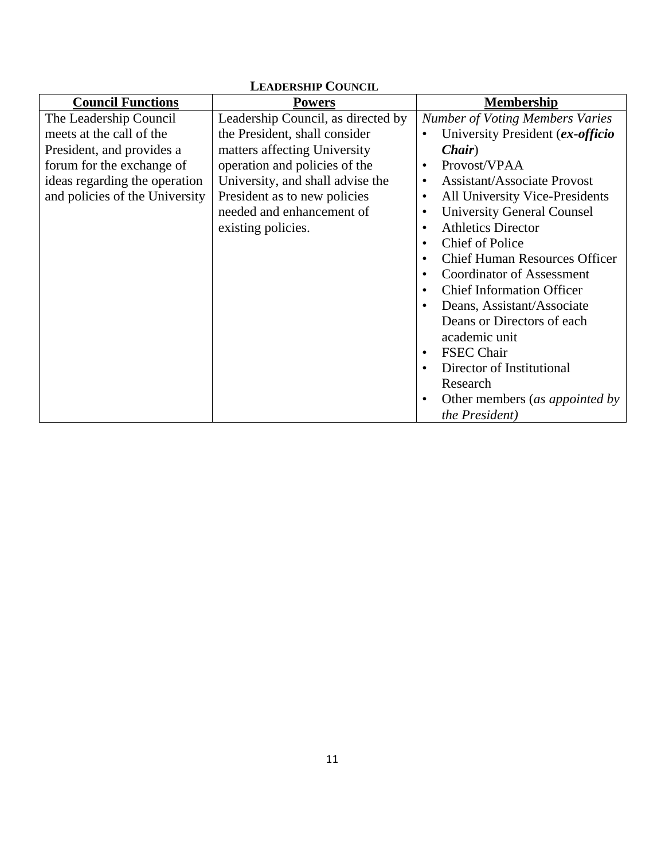| <b>LEADERSHIP COUNCIL</b>      |                                    |                                                |
|--------------------------------|------------------------------------|------------------------------------------------|
| <b>Council Functions</b>       | <b>Powers</b>                      | <b>Membership</b>                              |
| The Leadership Council         | Leadership Council, as directed by | <b>Number of Voting Members Varies</b>         |
| meets at the call of the       | the President, shall consider      | University President (ex-officio               |
| President, and provides a      | matters affecting University       | <i>Chair</i> )                                 |
| forum for the exchange of      | operation and policies of the      | Provost/VPAA                                   |
| ideas regarding the operation  | University, and shall advise the   | <b>Assistant/Associate Provost</b>             |
| and policies of the University | President as to new policies       | All University Vice-Presidents<br>٠            |
|                                | needed and enhancement of          | <b>University General Counsel</b><br>$\bullet$ |
|                                | existing policies.                 | <b>Athletics Director</b>                      |
|                                |                                    | <b>Chief of Police</b><br>$\bullet$            |
|                                |                                    | <b>Chief Human Resources Officer</b>           |
|                                |                                    | <b>Coordinator of Assessment</b>               |
|                                |                                    | <b>Chief Information Officer</b><br>$\bullet$  |
|                                |                                    | Deans, Assistant/Associate                     |
|                                |                                    | Deans or Directors of each                     |
|                                |                                    | academic unit                                  |
|                                |                                    | <b>FSEC Chair</b>                              |
|                                |                                    | Director of Institutional                      |
|                                |                                    | Research                                       |
|                                |                                    | Other members (as appointed by                 |
|                                |                                    | the President)                                 |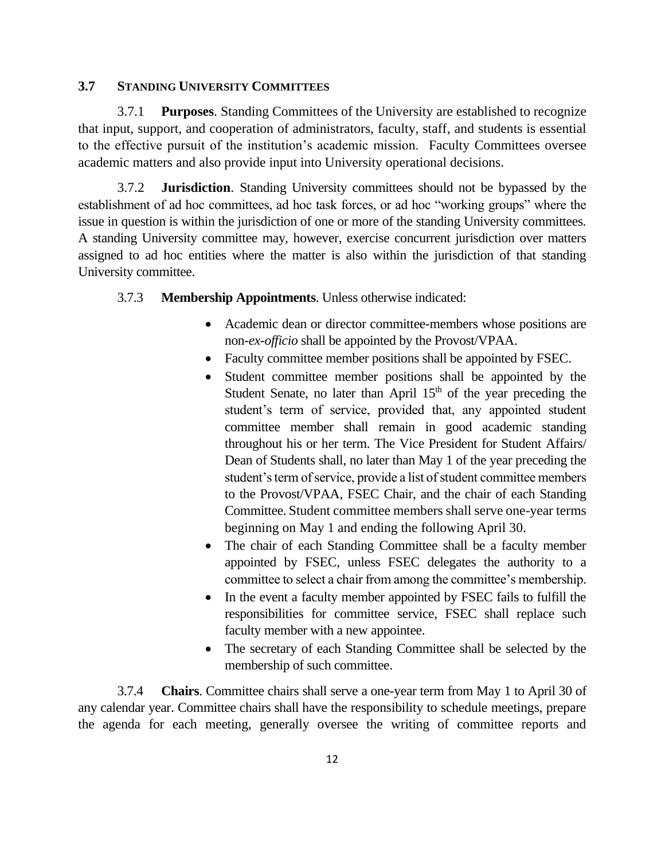#### **3.7 STANDING UNIVERSITY COMMITTEES**

3.7.1 **Purposes**. Standing Committees of the University are established to recognize that input, support, and cooperation of administrators, faculty, staff, and students is essential to the effective pursuit of the institution's academic mission. Faculty Committees oversee academic matters and also provide input into University operational decisions.

3.7.2 **Jurisdiction**. Standing University committees should not be bypassed by the establishment of ad hoc committees, ad hoc task forces, or ad hoc "working groups" where the issue in question is within the jurisdiction of one or more of the standing University committees. A standing University committee may, however, exercise concurrent jurisdiction over matters assigned to ad hoc entities where the matter is also within the jurisdiction of that standing University committee.

#### 3.7.3 **Membership Appointments**. Unless otherwise indicated:

- Academic dean or director committee-members whose positions are non-*ex-officio* shall be appointed by the Provost/VPAA.
- Faculty committee member positions shall be appointed by FSEC.
- Student committee member positions shall be appointed by the Student Senate, no later than April  $15<sup>th</sup>$  of the year preceding the student's term of service, provided that, any appointed student committee member shall remain in good academic standing throughout his or her term. The Vice President for Student Affairs/ Dean of Students shall, no later than May 1 of the year preceding the student's term of service, provide a list of student committee members to the Provost/VPAA, FSEC Chair, and the chair of each Standing Committee. Student committee members shall serve one-year terms beginning on May 1 and ending the following April 30.
- The chair of each Standing Committee shall be a faculty member appointed by FSEC, unless FSEC delegates the authority to a committee to select a chair from among the committee's membership.
- In the event a faculty member appointed by FSEC fails to fulfill the responsibilities for committee service, FSEC shall replace such faculty member with a new appointee.
- The secretary of each Standing Committee shall be selected by the membership of such committee.

3.7.4 **Chairs**. Committee chairs shall serve a one-year term from May 1 to April 30 of any calendar year. Committee chairs shall have the responsibility to schedule meetings, prepare the agenda for each meeting, generally oversee the writing of committee reports and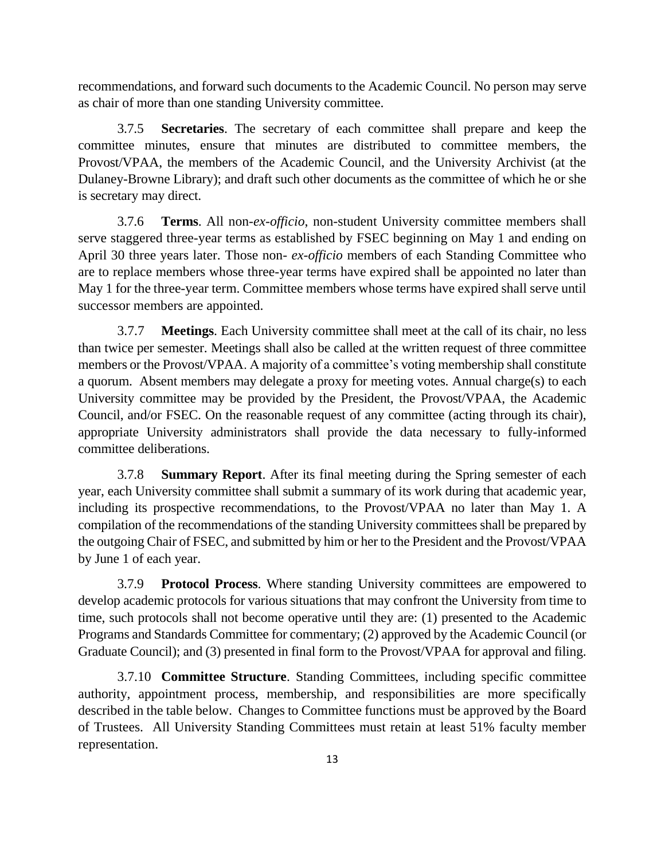recommendations, and forward such documents to the Academic Council. No person may serve as chair of more than one standing University committee.

3.7.5 **Secretaries**. The secretary of each committee shall prepare and keep the committee minutes, ensure that minutes are distributed to committee members, the Provost/VPAA, the members of the Academic Council, and the University Archivist (at the Dulaney-Browne Library); and draft such other documents as the committee of which he or she is secretary may direct.

3.7.6 **Terms**. All non-*ex-officio*, non-student University committee members shall serve staggered three-year terms as established by FSEC beginning on May 1 and ending on April 30 three years later. Those non- *ex-officio* members of each Standing Committee who are to replace members whose three-year terms have expired shall be appointed no later than May 1 for the three-year term. Committee members whose terms have expired shall serve until successor members are appointed.

3.7.7 **Meetings**. Each University committee shall meet at the call of its chair, no less than twice per semester. Meetings shall also be called at the written request of three committee members or the Provost/VPAA. A majority of a committee's voting membership shall constitute a quorum. Absent members may delegate a proxy for meeting votes. Annual charge(s) to each University committee may be provided by the President, the Provost/VPAA, the Academic Council, and/or FSEC. On the reasonable request of any committee (acting through its chair), appropriate University administrators shall provide the data necessary to fully-informed committee deliberations.

3.7.8 **Summary Report**. After its final meeting during the Spring semester of each year, each University committee shall submit a summary of its work during that academic year, including its prospective recommendations, to the Provost/VPAA no later than May 1. A compilation of the recommendations of the standing University committees shall be prepared by the outgoing Chair of FSEC, and submitted by him or her to the President and the Provost/VPAA by June 1 of each year.

3.7.9 **Protocol Process**. Where standing University committees are empowered to develop academic protocols for various situations that may confront the University from time to time, such protocols shall not become operative until they are: (1) presented to the Academic Programs and Standards Committee for commentary; (2) approved by the Academic Council (or Graduate Council); and (3) presented in final form to the Provost/VPAA for approval and filing.

3.7.10 **Committee Structure**. Standing Committees, including specific committee authority, appointment process, membership, and responsibilities are more specifically described in the table below. Changes to Committee functions must be approved by the Board of Trustees. All University Standing Committees must retain at least 51% faculty member representation.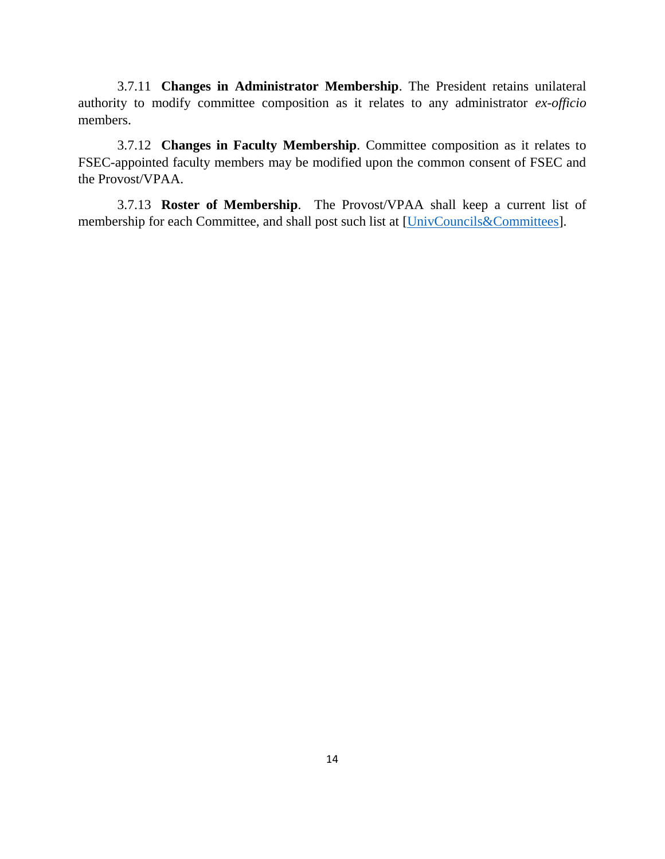3.7.11 **Changes in Administrator Membership**. The President retains unilateral authority to modify committee composition as it relates to any administrator *ex-officio* members.

3.7.12 **Changes in Faculty Membership**. Committee composition as it relates to FSEC-appointed faculty members may be modified upon the common consent of FSEC and the Provost/VPAA.

3.7.13 **Roster of Membership**. The Provost/VPAA shall keep a current list of membership for each Committee, and shall post such list at [\[UnivCouncils&Committees\]](http://starnet.okcu.edu/admin/aa/University%20Councils%20and%20Committees/University%20Councils%20and%20Committees%20AY%202016-17.pdf).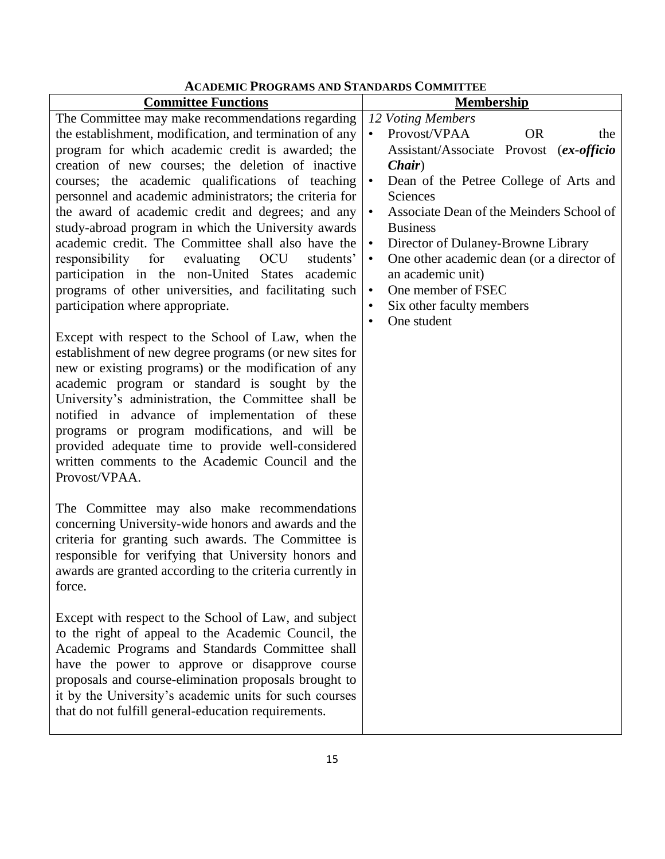## **ACADEMIC PROGRAMS AND STANDARDS COMMITTEE**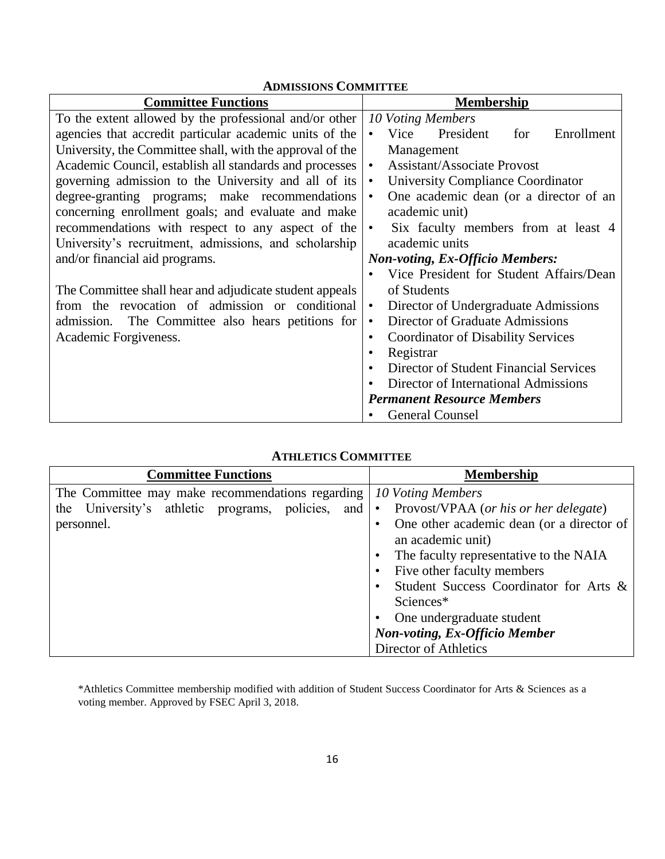| <b>ADMISSIONS COMMITTEE</b>                               |                                                        |  |
|-----------------------------------------------------------|--------------------------------------------------------|--|
| <b>Committee Functions</b>                                | <b>Membership</b>                                      |  |
| To the extent allowed by the professional and/or other    | 10 Voting Members                                      |  |
| agencies that accredit particular academic units of the   | Vice<br>President<br>Enrollment<br>for                 |  |
| University, the Committee shall, with the approval of the | Management                                             |  |
| Academic Council, establish all standards and processes   | <b>Assistant/Associate Provost</b><br>$\bullet$        |  |
| governing admission to the University and all of its      | University Compliance Coordinator<br>$\bullet$         |  |
| degree-granting programs; make recommendations            | One academic dean (or a director of an<br>$\bullet$    |  |
| concerning enrollment goals; and evaluate and make        | academic unit)                                         |  |
| recommendations with respect to any aspect of the         | Six faculty members from at least 4<br>$\bullet$       |  |
| University's recruitment, admissions, and scholarship     | academic units                                         |  |
| and/or financial aid programs.                            | <b>Non-voting, Ex-Officio Members:</b>                 |  |
|                                                           | Vice President for Student Affairs/Dean                |  |
| The Committee shall hear and adjudicate student appeals   | of Students                                            |  |
| from the revocation of admission or conditional           | Director of Undergraduate Admissions<br>$\bullet$      |  |
| admission. The Committee also hears petitions for         | Director of Graduate Admissions<br>$\bullet$           |  |
| Academic Forgiveness.                                     | <b>Coordinator of Disability Services</b><br>$\bullet$ |  |
|                                                           | Registrar<br>٠                                         |  |
|                                                           | Director of Student Financial Services                 |  |
|                                                           | Director of International Admissions                   |  |
|                                                           | <b>Permanent Resource Members</b>                      |  |
|                                                           | <b>General Counsel</b>                                 |  |

## **ATHLETICS COMMITTEE**

| <b>Committee Functions</b>                                                                | <b>Membership</b>                                              |
|-------------------------------------------------------------------------------------------|----------------------------------------------------------------|
| The Committee may make recommendations regarding   10 Voting Members                      |                                                                |
| the University's athletic programs, policies, and • Provost/VPAA (or his or her delegate) |                                                                |
| personnel.                                                                                | One other academic dean (or a director of<br>an academic unit) |
|                                                                                           | The faculty representative to the NAIA                         |
|                                                                                           | Five other faculty members                                     |
|                                                                                           | Student Success Coordinator for Arts &                         |
|                                                                                           | Sciences*                                                      |
|                                                                                           | One undergraduate student                                      |
|                                                                                           | <b>Non-voting, Ex-Officio Member</b>                           |
|                                                                                           | Director of Athletics                                          |

\*Athletics Committee membership modified with addition of Student Success Coordinator for Arts & Sciences as a voting member. Approved by FSEC April 3, 2018.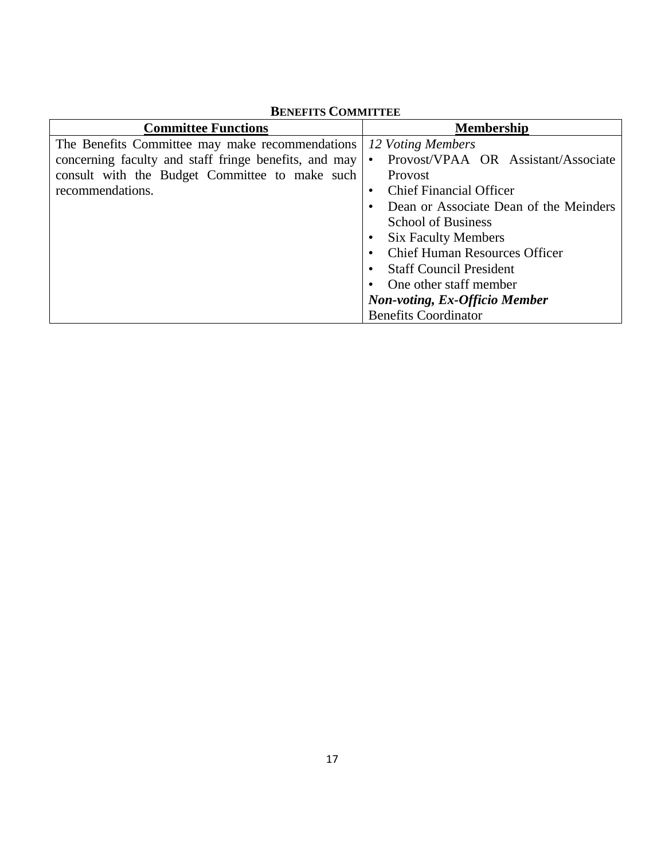| <b>Committee Functions</b>                            | <b>Membership</b>                                |
|-------------------------------------------------------|--------------------------------------------------|
| The Benefits Committee may make recommendations       | 12 Voting Members                                |
| concerning faculty and staff fringe benefits, and may | Provost/VPAA OR Assistant/Associate<br>$\bullet$ |
| consult with the Budget Committee to make such        | Provost                                          |
| recommendations.                                      | <b>Chief Financial Officer</b><br>$\bullet$      |
|                                                       | Dean or Associate Dean of the Meinders           |
|                                                       | <b>School of Business</b>                        |
|                                                       | <b>Six Faculty Members</b>                       |
|                                                       | <b>Chief Human Resources Officer</b>             |
|                                                       | <b>Staff Council President</b>                   |
|                                                       | One other staff member                           |
|                                                       | <b>Non-voting, Ex-Officio Member</b>             |
|                                                       | <b>Benefits Coordinator</b>                      |

## **BENEFITS COMMITTEE**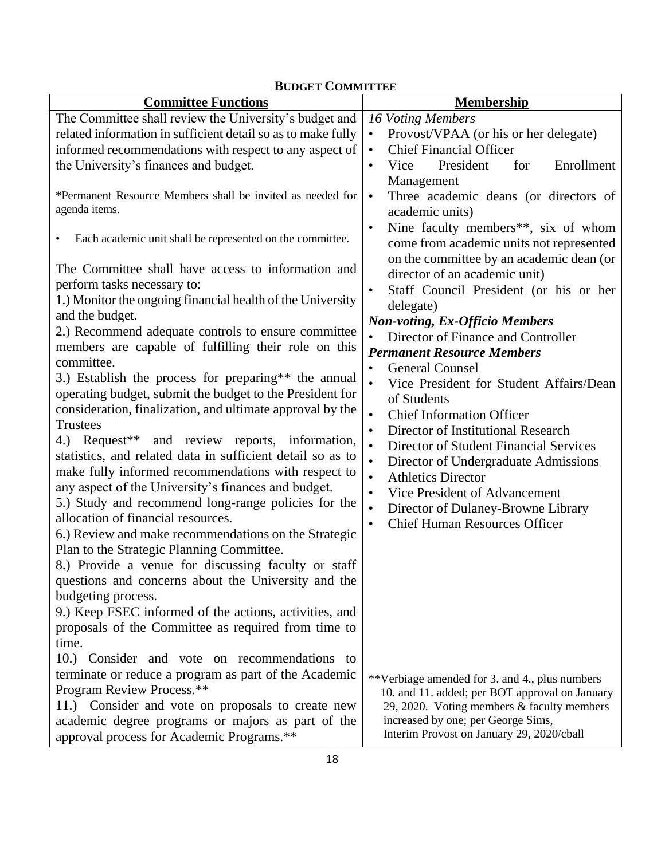| <b>Committee Functions</b>                                                  | <b>Membership</b>                                                                            |
|-----------------------------------------------------------------------------|----------------------------------------------------------------------------------------------|
| The Committee shall review the University's budget and                      | 16 Voting Members                                                                            |
| related information in sufficient detail so as to make fully                | Provost/VPAA (or his or her delegate)<br>$\bullet$                                           |
| informed recommendations with respect to any aspect of                      | <b>Chief Financial Officer</b><br>$\bullet$                                                  |
| the University's finances and budget.                                       | President<br>Enrollment<br>Vice<br>for<br>$\bullet$                                          |
|                                                                             | Management                                                                                   |
| *Permanent Resource Members shall be invited as needed for<br>agenda items. | Three academic deans (or directors of<br>$\bullet$<br>academic units)                        |
| Each academic unit shall be represented on the committee.<br>$\bullet$      | Nine faculty members**, six of whom<br>$\bullet$<br>come from academic units not represented |
| The Committee shall have access to information and                          | on the committee by an academic dean (or<br>director of an academic unit)                    |
| perform tasks necessary to:                                                 | Staff Council President (or his or her<br>$\bullet$                                          |
| 1.) Monitor the ongoing financial health of the University                  | delegate)                                                                                    |
| and the budget.                                                             | <b>Non-voting, Ex-Officio Members</b>                                                        |
| 2.) Recommend adequate controls to ensure committee                         | Director of Finance and Controller                                                           |
| members are capable of fulfilling their role on this<br>committee.          | <b>Permanent Resource Members</b>                                                            |
| 3.) Establish the process for preparing** the annual                        | <b>General Counsel</b><br>$\bullet$                                                          |
| operating budget, submit the budget to the President for                    | Vice President for Student Affairs/Dean                                                      |
| consideration, finalization, and ultimate approval by the                   | of Students                                                                                  |
| <b>Trustees</b>                                                             | <b>Chief Information Officer</b><br>$\bullet$                                                |
| 4.) Request <sup>**</sup> and review reports, information,                  | Director of Institutional Research<br>$\bullet$                                              |
| statistics, and related data in sufficient detail so as to                  | Director of Student Financial Services<br>$\bullet$                                          |
| make fully informed recommendations with respect to                         | $\bullet$<br>Director of Undergraduate Admissions                                            |
| any aspect of the University's finances and budget.                         | <b>Athletics Director</b><br>$\bullet$                                                       |
| 5.) Study and recommend long-range policies for the                         | Vice President of Advancement<br>$\bullet$                                                   |
| allocation of financial resources.                                          | Director of Dulaney-Browne Library<br>$\bullet$                                              |
| 6.) Review and make recommendations on the Strategic                        | <b>Chief Human Resources Officer</b><br>$\bullet$                                            |
| Plan to the Strategic Planning Committee.                                   |                                                                                              |
| 8.) Provide a venue for discussing faculty or staff                         |                                                                                              |
| questions and concerns about the University and the                         |                                                                                              |
| budgeting process.                                                          |                                                                                              |
| 9.) Keep FSEC informed of the actions, activities, and                      |                                                                                              |
| proposals of the Committee as required from time to                         |                                                                                              |
| time.                                                                       |                                                                                              |
| 10.) Consider and vote on recommendations<br>to                             |                                                                                              |
| terminate or reduce a program as part of the Academic                       | **Verbiage amended for 3. and 4., plus numbers                                               |
| Program Review Process.**                                                   | 10. and 11. added; per BOT approval on January                                               |
| 11.) Consider and vote on proposals to create new                           | 29, 2020. Voting members & faculty members                                                   |
| academic degree programs or majors as part of the                           | increased by one; per George Sims,                                                           |
| approval process for Academic Programs.**                                   | Interim Provost on January 29, 2020/cball                                                    |

## **BUDGET COMMITTEE**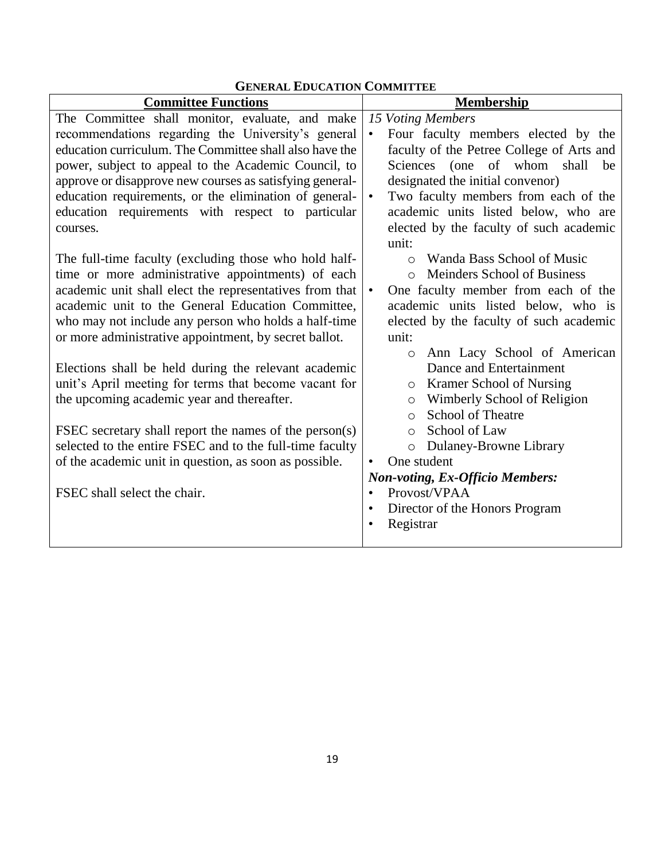| <b>Committee Functions</b>                               | <b>Membership</b>                                      |
|----------------------------------------------------------|--------------------------------------------------------|
| The Committee shall monitor, evaluate, and make          | 15 Voting Members                                      |
| recommendations regarding the University's general       | Four faculty members elected by the<br>$\bullet$       |
| education curriculum. The Committee shall also have the  | faculty of the Petree College of Arts and              |
| power, subject to appeal to the Academic Council, to     | Sciences (one of whom<br>shall<br>be                   |
| approve or disapprove new courses as satisfying general- | designated the initial convenor)                       |
| education requirements, or the elimination of general-   | Two faculty members from each of the<br>$\bullet$      |
| education requirements with respect to particular        | academic units listed below, who are                   |
| courses.                                                 | elected by the faculty of such academic                |
|                                                          | unit:                                                  |
| The full-time faculty (excluding those who hold half-    | Wanda Bass School of Music<br>$\bigcap$                |
| time or more administrative appointments) of each        | <b>Meinders School of Business</b><br>$\bigcap$        |
| academic unit shall elect the representatives from that  | One faculty member from each of the<br>$\bullet$       |
| academic unit to the General Education Committee,        | academic units listed below, who is                    |
| who may not include any person who holds a half-time     | elected by the faculty of such academic                |
| or more administrative appointment, by secret ballot.    | unit:                                                  |
|                                                          | Ann Lacy School of American<br>$\circ$                 |
| Elections shall be held during the relevant academic     | Dance and Entertainment                                |
| unit's April meeting for terms that become vacant for    | <b>Kramer School of Nursing</b><br>O                   |
| the upcoming academic year and thereafter.               | Wimberly School of Religion<br>$\circ$                 |
|                                                          | <b>School of Theatre</b><br>$\circ$                    |
| FSEC secretary shall report the names of the person(s)   | School of Law<br>$\Omega$                              |
| selected to the entire FSEC and to the full-time faculty | Dulaney-Browne Library<br>$\circ$                      |
| of the academic unit in question, as soon as possible.   | One student                                            |
| FSEC shall select the chair.                             | <b>Non-voting, Ex-Officio Members:</b><br>Provost/VPAA |
|                                                          | $\bullet$                                              |
|                                                          | Director of the Honors Program<br>$\bullet$            |
|                                                          | Registrar                                              |
|                                                          |                                                        |

## **GENERAL EDUCATION COMMITTEE**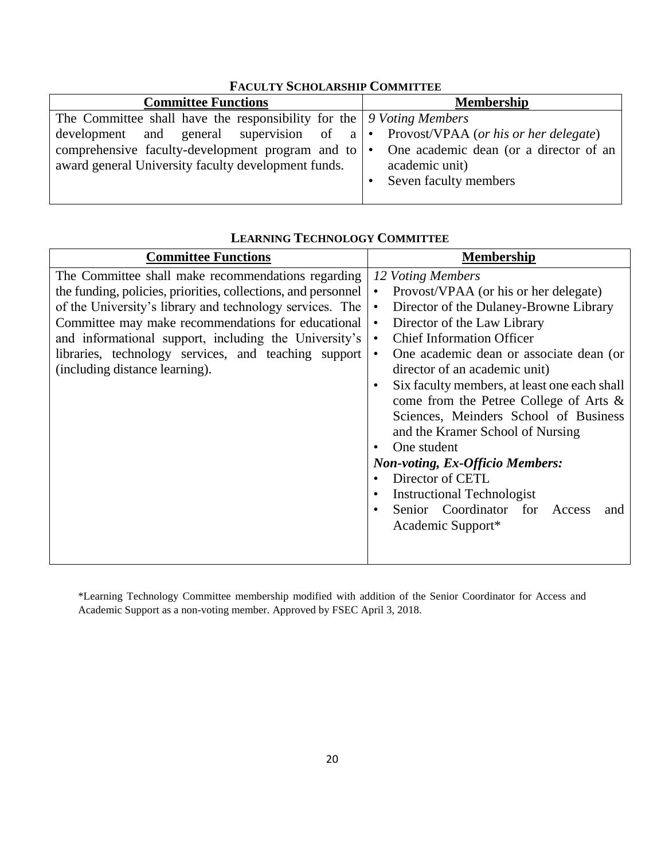| <b>Committee Functions</b>                                                                                                                                                                                                                                                                                                       | <b>Membership</b>                         |
|----------------------------------------------------------------------------------------------------------------------------------------------------------------------------------------------------------------------------------------------------------------------------------------------------------------------------------|-------------------------------------------|
| The Committee shall have the responsibility for the $\vert$ 9 Voting Members<br>development and general supervision of a $\cdot$ Provost/VPAA (or his or her delegate)<br>comprehensive faculty-development program and to $\cdot$ One academic dean (or a director of an<br>award general University faculty development funds. | academic unit)<br>• Seven faculty members |
|                                                                                                                                                                                                                                                                                                                                  |                                           |

## **FACULTY SCHOLARSHIP COMMITTEE**

### **LEARNING TECHNOLOGY COMMITTEE**

\*Learning Technology Committee membership modified with addition of the Senior Coordinator for Access and Academic Support as a non-voting member. Approved by FSEC April 3, 2018.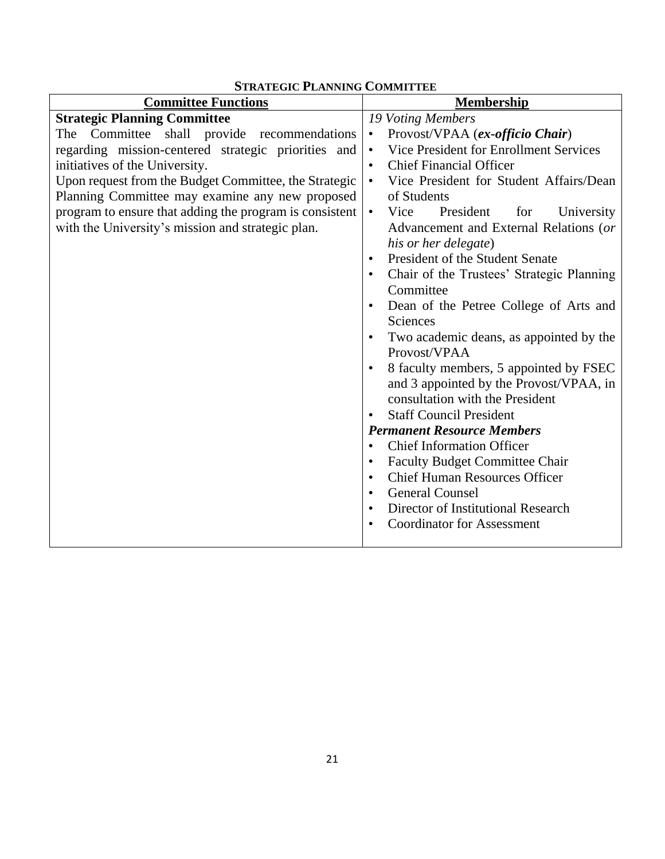| <b>Committee Functions</b>                              | <b>Membership</b>                                                           |
|---------------------------------------------------------|-----------------------------------------------------------------------------|
| <b>Strategic Planning Committee</b>                     | 19 Voting Members                                                           |
| The Committee shall provide recommendations             | Provost/VPAA (ex-officio Chair)<br>$\bullet$                                |
| regarding mission-centered strategic priorities and     | Vice President for Enrollment Services<br>$\bullet$                         |
| initiatives of the University.                          | <b>Chief Financial Officer</b><br>$\bullet$                                 |
| Upon request from the Budget Committee, the Strategic   | Vice President for Student Affairs/Dean<br>$\bullet$                        |
| Planning Committee may examine any new proposed         | of Students                                                                 |
| program to ensure that adding the program is consistent | President<br>Vice<br>for<br>University<br>$\bullet$                         |
| with the University's mission and strategic plan.       | Advancement and External Relations (or                                      |
|                                                         | his or her delegate)                                                        |
|                                                         | President of the Student Senate<br>$\bullet$                                |
|                                                         | Chair of the Trustees' Strategic Planning                                   |
|                                                         | Committee                                                                   |
|                                                         | Dean of the Petree College of Arts and<br>$\bullet$                         |
|                                                         | Sciences                                                                    |
|                                                         | Two academic deans, as appointed by the                                     |
|                                                         | Provost/VPAA                                                                |
|                                                         | 8 faculty members, 5 appointed by FSEC                                      |
|                                                         | and 3 appointed by the Provost/VPAA, in                                     |
|                                                         | consultation with the President                                             |
|                                                         | <b>Staff Council President</b>                                              |
|                                                         | <b>Permanent Resource Members</b>                                           |
|                                                         | <b>Chief Information Officer</b><br>$\bullet$                               |
|                                                         | <b>Faculty Budget Committee Chair</b>                                       |
|                                                         | <b>Chief Human Resources Officer</b><br>$\bullet$<br><b>General Counsel</b> |
|                                                         | $\bullet$<br>Director of Institutional Research                             |
|                                                         | <b>Coordinator for Assessment</b>                                           |
|                                                         |                                                                             |
|                                                         |                                                                             |

## **STRATEGIC PLANNING COMMITTEE**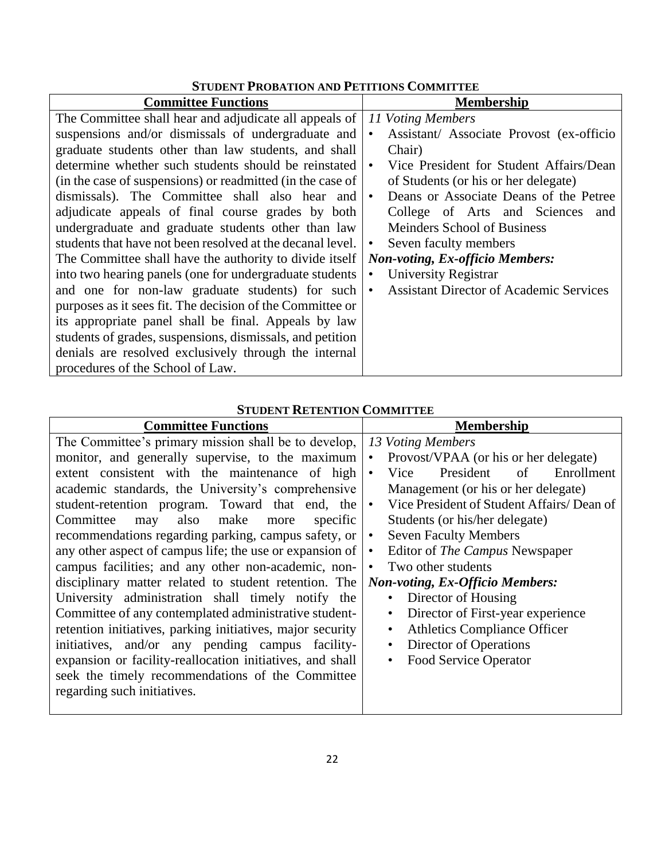| <b>Committee Functions</b>                                 | <b>Membership</b>                                           |
|------------------------------------------------------------|-------------------------------------------------------------|
| The Committee shall hear and adjudicate all appeals of     | 11 Voting Members                                           |
| suspensions and/or dismissals of undergraduate and         | Assistant/ Associate Provost (ex-officio<br>$\bullet$       |
| graduate students other than law students, and shall       | Chair)                                                      |
| determine whether such students should be reinstated       | Vice President for Student Affairs/Dean<br>$\bullet$        |
| (in the case of suspensions) or readmitted (in the case of | of Students (or his or her delegate)                        |
| dismissals). The Committee shall also hear and             | Deans or Associate Deans of the Petree<br>$\bullet$         |
| adjudicate appeals of final course grades by both          | College of Arts and Sciences<br>and                         |
| undergraduate and graduate students other than law         | Meinders School of Business                                 |
| students that have not been resolved at the decanal level. | Seven faculty members<br>$\bullet$                          |
| The Committee shall have the authority to divide itself    | <b>Non-voting, Ex-officio Members:</b>                      |
| into two hearing panels (one for undergraduate students    | University Registrar                                        |
| and one for non-law graduate students) for such            | <b>Assistant Director of Academic Services</b><br>$\bullet$ |
| purposes as it sees fit. The decision of the Committee or  |                                                             |
| its appropriate panel shall be final. Appeals by law       |                                                             |
| students of grades, suspensions, dismissals, and petition  |                                                             |
| denials are resolved exclusively through the internal      |                                                             |
| procedures of the School of Law.                           |                                                             |

## **STUDENT RETENTION COMMITTEE**

| <b>Committee Functions</b>                                 | <b>Membership</b>                                      |
|------------------------------------------------------------|--------------------------------------------------------|
| The Committee's primary mission shall be to develop,       | 13 Voting Members                                      |
| monitor, and generally supervise, to the maximum           | Provost/VPAA (or his or her delegate)<br>$\bullet$     |
| extent consistent with the maintenance of high             | President<br>of<br>Enrollment<br>Vice<br>$\bullet$     |
| academic standards, the University's comprehensive         | Management (or his or her delegate)                    |
| student-retention program. Toward that end, the            | Vice President of Student Affairs/Dean of<br>$\bullet$ |
| also make<br>Committee<br>specific<br>may<br>more          | Students (or his/her delegate)                         |
| recommendations regarding parking, campus safety, or       | <b>Seven Faculty Members</b><br>$\bullet$              |
| any other aspect of campus life; the use or expansion of   | Editor of The Campus Newspaper<br>$\bullet$            |
| campus facilities; and any other non-academic, non-        | Two other students<br>$\bullet$                        |
| disciplinary matter related to student retention. The      | <b>Non-voting, Ex-Officio Members:</b>                 |
| University administration shall timely notify the          | Director of Housing<br>$\bullet$                       |
| Committee of any contemplated administrative student-      | Director of First-year experience<br>$\bullet$         |
| retention initiatives, parking initiatives, major security | <b>Athletics Compliance Officer</b><br>$\bullet$       |
| initiatives, and/or any pending campus facility-           | Director of Operations<br>$\bullet$                    |
| expansion or facility-reallocation initiatives, and shall  | <b>Food Service Operator</b><br>$\bullet$              |
| seek the timely recommendations of the Committee           |                                                        |
| regarding such initiatives.                                |                                                        |
|                                                            |                                                        |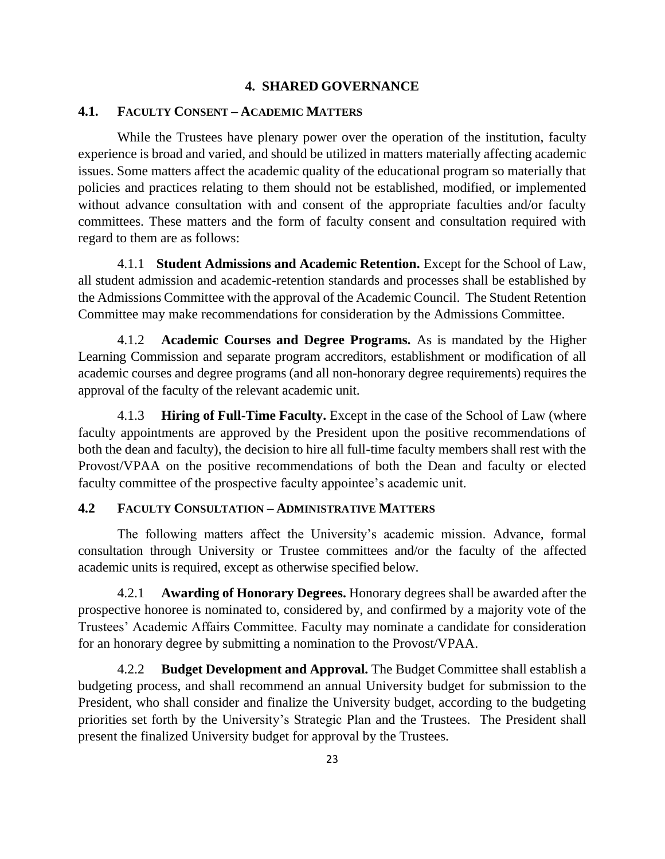#### **4. SHARED GOVERNANCE**

#### **4.1. FACULTY CONSENT – ACADEMIC MATTERS**

While the Trustees have plenary power over the operation of the institution, faculty experience is broad and varied, and should be utilized in matters materially affecting academic issues. Some matters affect the academic quality of the educational program so materially that policies and practices relating to them should not be established, modified, or implemented without advance consultation with and consent of the appropriate faculties and/or faculty committees. These matters and the form of faculty consent and consultation required with regard to them are as follows:

4.1.1 **Student Admissions and Academic Retention.** Except for the School of Law, all student admission and academic-retention standards and processes shall be established by the Admissions Committee with the approval of the Academic Council. The Student Retention Committee may make recommendations for consideration by the Admissions Committee.

4.1.2 **Academic Courses and Degree Programs.** As is mandated by the Higher Learning Commission and separate program accreditors, establishment or modification of all academic courses and degree programs (and all non-honorary degree requirements) requires the approval of the faculty of the relevant academic unit.

4.1.3 **Hiring of Full-Time Faculty.** Except in the case of the School of Law (where faculty appointments are approved by the President upon the positive recommendations of both the dean and faculty), the decision to hire all full-time faculty members shall rest with the Provost/VPAA on the positive recommendations of both the Dean and faculty or elected faculty committee of the prospective faculty appointee's academic unit.

#### **4.2 FACULTY CONSULTATION – ADMINISTRATIVE MATTERS**

The following matters affect the University's academic mission. Advance, formal consultation through University or Trustee committees and/or the faculty of the affected academic units is required, except as otherwise specified below.

4.2.1 **Awarding of Honorary Degrees.** Honorary degrees shall be awarded after the prospective honoree is nominated to, considered by, and confirmed by a majority vote of the Trustees' Academic Affairs Committee. Faculty may nominate a candidate for consideration for an honorary degree by submitting a nomination to the Provost/VPAA.

4.2.2 **Budget Development and Approval.** The Budget Committee shall establish a budgeting process, and shall recommend an annual University budget for submission to the President, who shall consider and finalize the University budget, according to the budgeting priorities set forth by the University's Strategic Plan and the Trustees. The President shall present the finalized University budget for approval by the Trustees.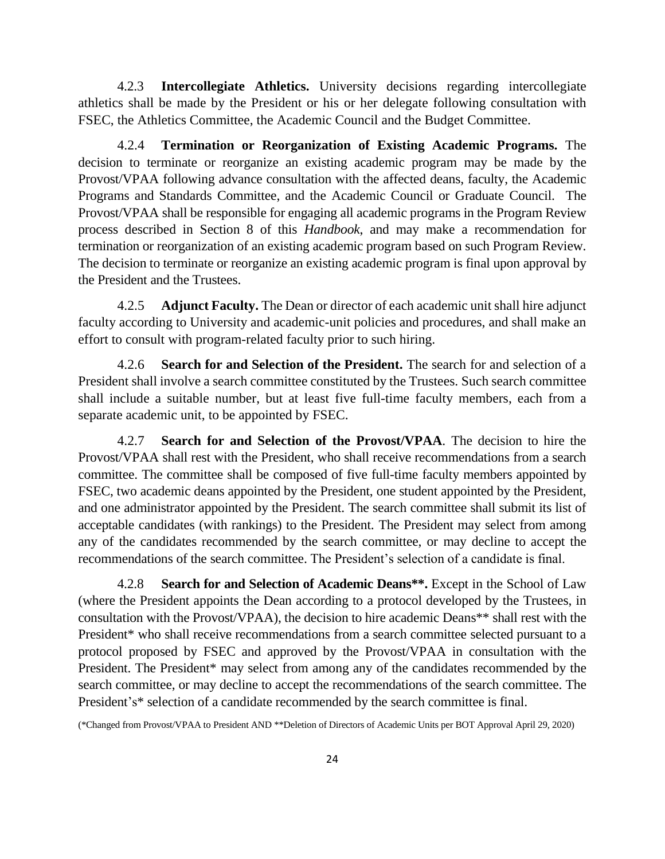4.2.3 **Intercollegiate Athletics.** University decisions regarding intercollegiate athletics shall be made by the President or his or her delegate following consultation with FSEC, the Athletics Committee, the Academic Council and the Budget Committee.

4.2.4 **Termination or Reorganization of Existing Academic Programs.** The decision to terminate or reorganize an existing academic program may be made by the Provost/VPAA following advance consultation with the affected deans, faculty, the Academic Programs and Standards Committee, and the Academic Council or Graduate Council. The Provost/VPAA shall be responsible for engaging all academic programs in the Program Review process described in Section 8 of this *Handbook*, and may make a recommendation for termination or reorganization of an existing academic program based on such Program Review. The decision to terminate or reorganize an existing academic program is final upon approval by the President and the Trustees.

4.2.5 **Adjunct Faculty.** The Dean or director of each academic unit shall hire adjunct faculty according to University and academic-unit policies and procedures, and shall make an effort to consult with program-related faculty prior to such hiring.

4.2.6 **Search for and Selection of the President.** The search for and selection of a President shall involve a search committee constituted by the Trustees. Such search committee shall include a suitable number, but at least five full-time faculty members, each from a separate academic unit, to be appointed by FSEC.

4.2.7 **Search for and Selection of the Provost/VPAA**. The decision to hire the Provost/VPAA shall rest with the President, who shall receive recommendations from a search committee. The committee shall be composed of five full-time faculty members appointed by FSEC, two academic deans appointed by the President, one student appointed by the President, and one administrator appointed by the President. The search committee shall submit its list of acceptable candidates (with rankings) to the President. The President may select from among any of the candidates recommended by the search committee, or may decline to accept the recommendations of the search committee. The President's selection of a candidate is final.

4.2.8 **Search for and Selection of Academic Deans\*\*.** Except in the School of Law (where the President appoints the Dean according to a protocol developed by the Trustees, in consultation with the Provost/VPAA), the decision to hire academic Deans\*\* shall rest with the President\* who shall receive recommendations from a search committee selected pursuant to a protocol proposed by FSEC and approved by the Provost/VPAA in consultation with the President. The President\* may select from among any of the candidates recommended by the search committee, or may decline to accept the recommendations of the search committee. The President's\* selection of a candidate recommended by the search committee is final.

(\*Changed from Provost/VPAA to President AND \*\*Deletion of Directors of Academic Units per BOT Approval April 29, 2020)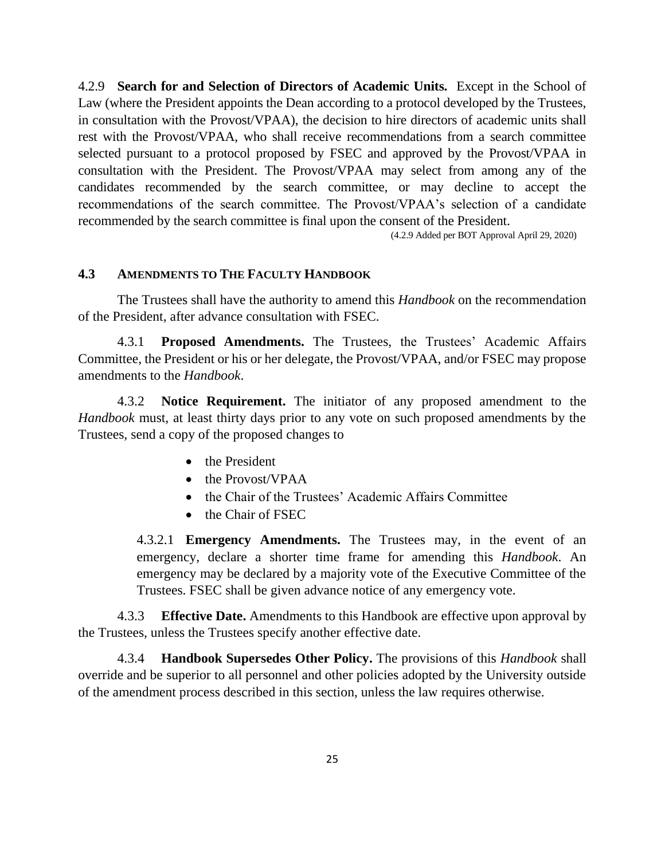4.2.9 **Search for and Selection of Directors of Academic Units.** Except in the School of Law (where the President appoints the Dean according to a protocol developed by the Trustees, in consultation with the Provost/VPAA), the decision to hire directors of academic units shall rest with the Provost/VPAA, who shall receive recommendations from a search committee selected pursuant to a protocol proposed by FSEC and approved by the Provost/VPAA in consultation with the President. The Provost/VPAA may select from among any of the candidates recommended by the search committee, or may decline to accept the recommendations of the search committee. The Provost/VPAA's selection of a candidate recommended by the search committee is final upon the consent of the President.

(4.2.9 Added per BOT Approval April 29, 2020)

#### **4.3 AMENDMENTS TO THE FACULTY HANDBOOK**

The Trustees shall have the authority to amend this *Handbook* on the recommendation of the President, after advance consultation with FSEC.

4.3.1 **Proposed Amendments.** The Trustees, the Trustees' Academic Affairs Committee, the President or his or her delegate, the Provost/VPAA, and/or FSEC may propose amendments to the *Handbook*.

4.3.2 **Notice Requirement.** The initiator of any proposed amendment to the *Handbook* must, at least thirty days prior to any vote on such proposed amendments by the Trustees, send a copy of the proposed changes to

- the President
- the Provost/VPAA
- the Chair of the Trustees' Academic Affairs Committee
- the Chair of FSEC

4.3.2.1 **Emergency Amendments.** The Trustees may, in the event of an emergency, declare a shorter time frame for amending this *Handbook*. An emergency may be declared by a majority vote of the Executive Committee of the Trustees. FSEC shall be given advance notice of any emergency vote.

4.3.3 **Effective Date.** Amendments to this Handbook are effective upon approval by the Trustees, unless the Trustees specify another effective date.

4.3.4 **Handbook Supersedes Other Policy.** The provisions of this *Handbook* shall override and be superior to all personnel and other policies adopted by the University outside of the amendment process described in this section, unless the law requires otherwise.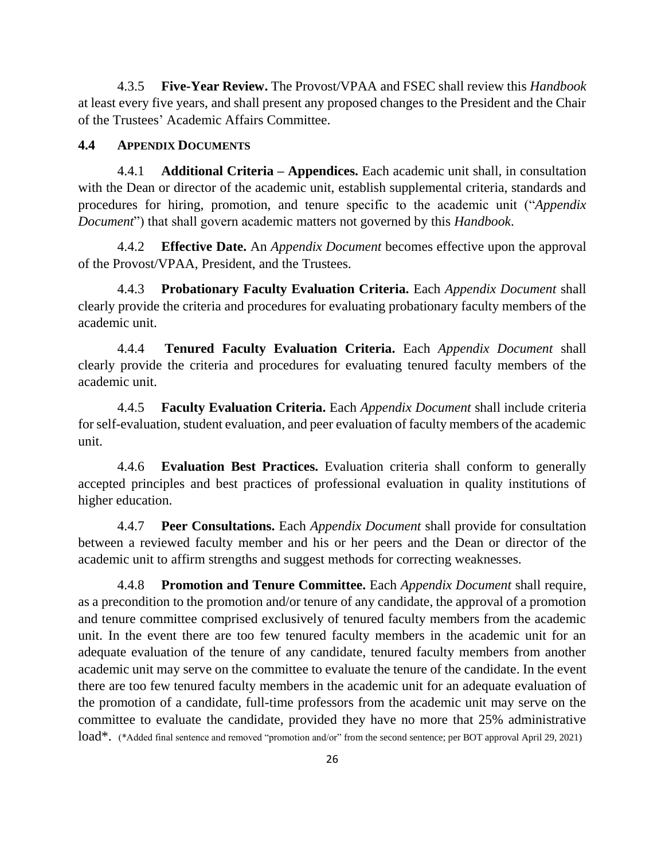4.3.5 **Five-Year Review.** The Provost/VPAA and FSEC shall review this *Handbook* at least every five years, and shall present any proposed changes to the President and the Chair of the Trustees' Academic Affairs Committee.

## **4.4 APPENDIX DOCUMENTS**

4.4.1 **Additional Criteria – Appendices.** Each academic unit shall, in consultation with the Dean or director of the academic unit, establish supplemental criteria, standards and procedures for hiring, promotion, and tenure specific to the academic unit ("*Appendix Document*") that shall govern academic matters not governed by this *Handbook*.

4.4.2 **Effective Date.** An *Appendix Document* becomes effective upon the approval of the Provost/VPAA, President, and the Trustees.

4.4.3 **Probationary Faculty Evaluation Criteria.** Each *Appendix Document* shall clearly provide the criteria and procedures for evaluating probationary faculty members of the academic unit.

4.4.4 **Tenured Faculty Evaluation Criteria.** Each *Appendix Document* shall clearly provide the criteria and procedures for evaluating tenured faculty members of the academic unit.

4.4.5 **Faculty Evaluation Criteria.** Each *Appendix Document* shall include criteria for self-evaluation, student evaluation, and peer evaluation of faculty members of the academic unit.

4.4.6 **Evaluation Best Practices.** Evaluation criteria shall conform to generally accepted principles and best practices of professional evaluation in quality institutions of higher education.

4.4.7 **Peer Consultations.** Each *Appendix Document* shall provide for consultation between a reviewed faculty member and his or her peers and the Dean or director of the academic unit to affirm strengths and suggest methods for correcting weaknesses.

4.4.8 **Promotion and Tenure Committee.** Each *Appendix Document* shall require, as a precondition to the promotion and/or tenure of any candidate, the approval of a promotion and tenure committee comprised exclusively of tenured faculty members from the academic unit. In the event there are too few tenured faculty members in the academic unit for an adequate evaluation of the tenure of any candidate, tenured faculty members from another academic unit may serve on the committee to evaluate the tenure of the candidate. In the event there are too few tenured faculty members in the academic unit for an adequate evaluation of the promotion of a candidate, full-time professors from the academic unit may serve on the committee to evaluate the candidate, provided they have no more that 25% administrative load\*. (\*Added final sentence and removed "promotion and/or" from the second sentence; per BOT approval April 29, 2021)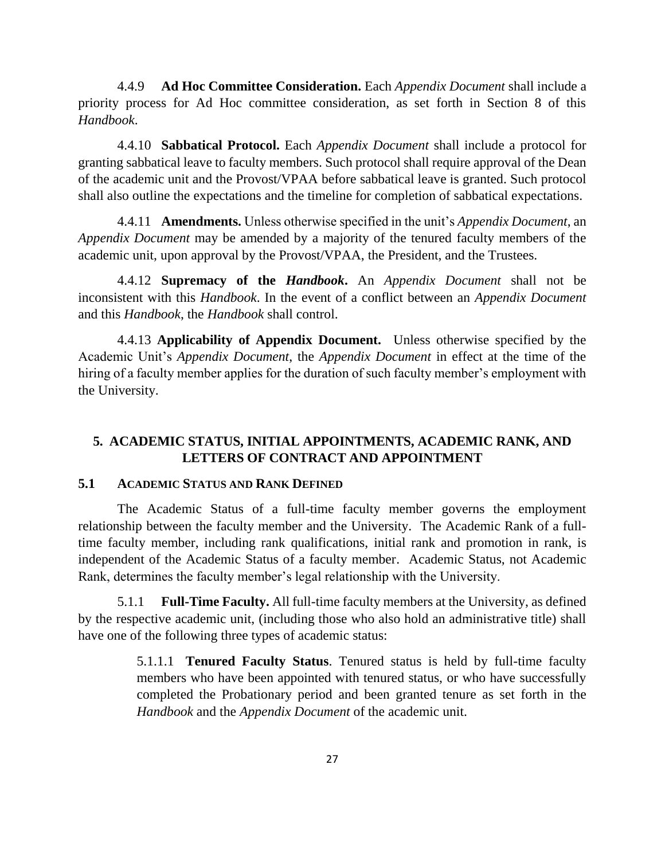4.4.9 **Ad Hoc Committee Consideration.** Each *Appendix Document* shall include a priority process for Ad Hoc committee consideration, as set forth in Section 8 of this *Handbook*.

4.4.10 **Sabbatical Protocol.** Each *Appendix Document* shall include a protocol for granting sabbatical leave to faculty members. Such protocol shall require approval of the Dean of the academic unit and the Provost/VPAA before sabbatical leave is granted. Such protocol shall also outline the expectations and the timeline for completion of sabbatical expectations.

4.4.11 **Amendments.** Unless otherwise specified in the unit's *Appendix Document*, an *Appendix Document* may be amended by a majority of the tenured faculty members of the academic unit, upon approval by the Provost/VPAA, the President, and the Trustees.

4.4.12 **Supremacy of the** *Handbook***.** An *Appendix Document* shall not be inconsistent with this *Handbook*. In the event of a conflict between an *Appendix Document* and this *Handbook*, the *Handbook* shall control.

4.4.13 **Applicability of Appendix Document.** Unless otherwise specified by the Academic Unit's *Appendix Document*, the *Appendix Document* in effect at the time of the hiring of a faculty member applies for the duration of such faculty member's employment with the University.

## **5. ACADEMIC STATUS, INITIAL APPOINTMENTS, ACADEMIC RANK, AND LETTERS OF CONTRACT AND APPOINTMENT**

#### **5.1 ACADEMIC STATUS AND RANK DEFINED**

The Academic Status of a full-time faculty member governs the employment relationship between the faculty member and the University. The Academic Rank of a fulltime faculty member, including rank qualifications, initial rank and promotion in rank, is independent of the Academic Status of a faculty member. Academic Status, not Academic Rank, determines the faculty member's legal relationship with the University.

5.1.1 **Full-Time Faculty.** All full-time faculty members at the University, as defined by the respective academic unit, (including those who also hold an administrative title) shall have one of the following three types of academic status:

> 5.1.1.1 **Tenured Faculty Status**. Tenured status is held by full-time faculty members who have been appointed with tenured status, or who have successfully completed the Probationary period and been granted tenure as set forth in the *Handbook* and the *Appendix Document* of the academic unit.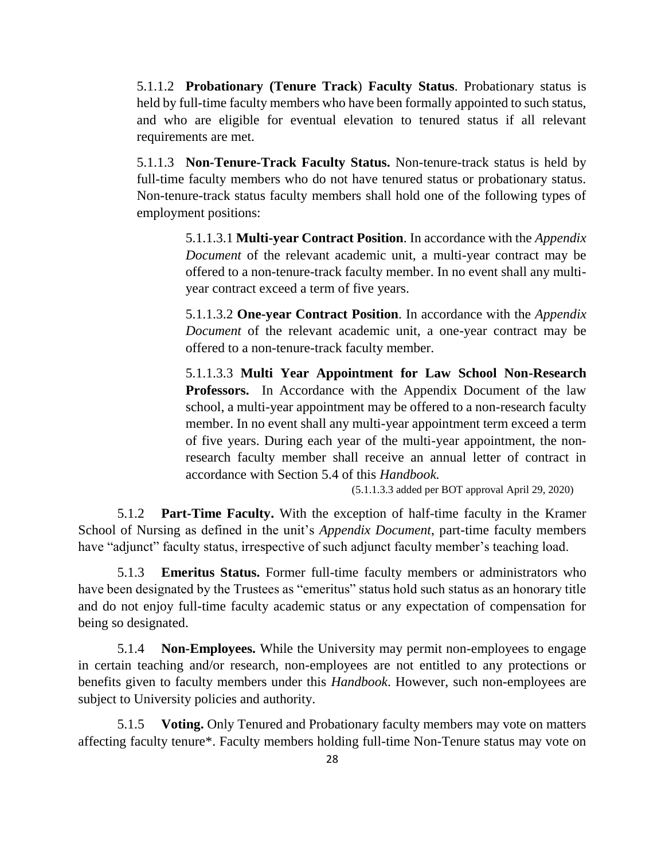5.1.1.2 **Probationary (Tenure Track**) **Faculty Status**. Probationary status is held by full-time faculty members who have been formally appointed to such status, and who are eligible for eventual elevation to tenured status if all relevant requirements are met.

5.1.1.3 **Non-Tenure-Track Faculty Status.** Non-tenure-track status is held by full-time faculty members who do not have tenured status or probationary status. Non-tenure-track status faculty members shall hold one of the following types of employment positions:

> 5.1.1.3.1 **Multi-year Contract Position**. In accordance with the *Appendix Document* of the relevant academic unit, a multi-year contract may be offered to a non-tenure-track faculty member. In no event shall any multiyear contract exceed a term of five years.

> 5.1.1.3.2 **One-year Contract Position**. In accordance with the *Appendix Document* of the relevant academic unit, a one-year contract may be offered to a non-tenure-track faculty member.

> 5.1.1.3.3 **Multi Year Appointment for Law School Non-Research Professors.** In Accordance with the Appendix Document of the law school, a multi-year appointment may be offered to a non-research faculty member. In no event shall any multi-year appointment term exceed a term of five years. During each year of the multi-year appointment, the nonresearch faculty member shall receive an annual letter of contract in accordance with Section 5.4 of this *Handbook.*

> > (5.1.1.3.3 added per BOT approval April 29, 2020)

5.1.2 **Part-Time Faculty.** With the exception of half-time faculty in the Kramer School of Nursing as defined in the unit's *Appendix Document*, part-time faculty members have "adjunct" faculty status, irrespective of such adjunct faculty member's teaching load.

5.1.3 **Emeritus Status.** Former full-time faculty members or administrators who have been designated by the Trustees as "emeritus" status hold such status as an honorary title and do not enjoy full-time faculty academic status or any expectation of compensation for being so designated.

5.1.4 **Non-Employees.** While the University may permit non-employees to engage in certain teaching and/or research, non-employees are not entitled to any protections or benefits given to faculty members under this *Handbook*. However, such non-employees are subject to University policies and authority.

5.1.5 **Voting.** Only Tenured and Probationary faculty members may vote on matters affecting faculty tenure\*. Faculty members holding full-time Non-Tenure status may vote on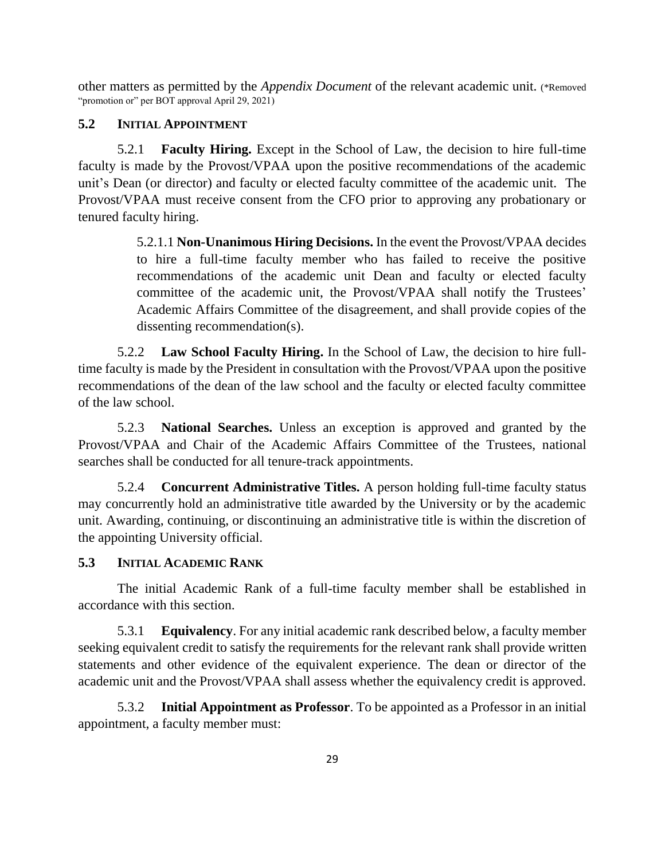other matters as permitted by the *Appendix Document* of the relevant academic unit. (\*Removed "promotion or" per BOT approval April 29, 2021)

#### **5.2 INITIAL APPOINTMENT**

5.2.1 **Faculty Hiring.** Except in the School of Law, the decision to hire full-time faculty is made by the Provost/VPAA upon the positive recommendations of the academic unit's Dean (or director) and faculty or elected faculty committee of the academic unit. The Provost/VPAA must receive consent from the CFO prior to approving any probationary or tenured faculty hiring.

> 5.2.1.1 **Non-Unanimous Hiring Decisions.** In the event the Provost/VPAA decides to hire a full-time faculty member who has failed to receive the positive recommendations of the academic unit Dean and faculty or elected faculty committee of the academic unit, the Provost/VPAA shall notify the Trustees' Academic Affairs Committee of the disagreement, and shall provide copies of the dissenting recommendation(s).

5.2.2 **Law School Faculty Hiring.** In the School of Law, the decision to hire fulltime faculty is made by the President in consultation with the Provost/VPAA upon the positive recommendations of the dean of the law school and the faculty or elected faculty committee of the law school.

5.2.3 **National Searches.** Unless an exception is approved and granted by the Provost/VPAA and Chair of the Academic Affairs Committee of the Trustees, national searches shall be conducted for all tenure-track appointments.

5.2.4 **Concurrent Administrative Titles.** A person holding full-time faculty status may concurrently hold an administrative title awarded by the University or by the academic unit. Awarding, continuing, or discontinuing an administrative title is within the discretion of the appointing University official.

#### **5.3 INITIAL ACADEMIC RANK**

The initial Academic Rank of a full-time faculty member shall be established in accordance with this section.

5.3.1 **Equivalency**. For any initial academic rank described below, a faculty member seeking equivalent credit to satisfy the requirements for the relevant rank shall provide written statements and other evidence of the equivalent experience. The dean or director of the academic unit and the Provost/VPAA shall assess whether the equivalency credit is approved.

5.3.2 **Initial Appointment as Professor**. To be appointed as a Professor in an initial appointment, a faculty member must: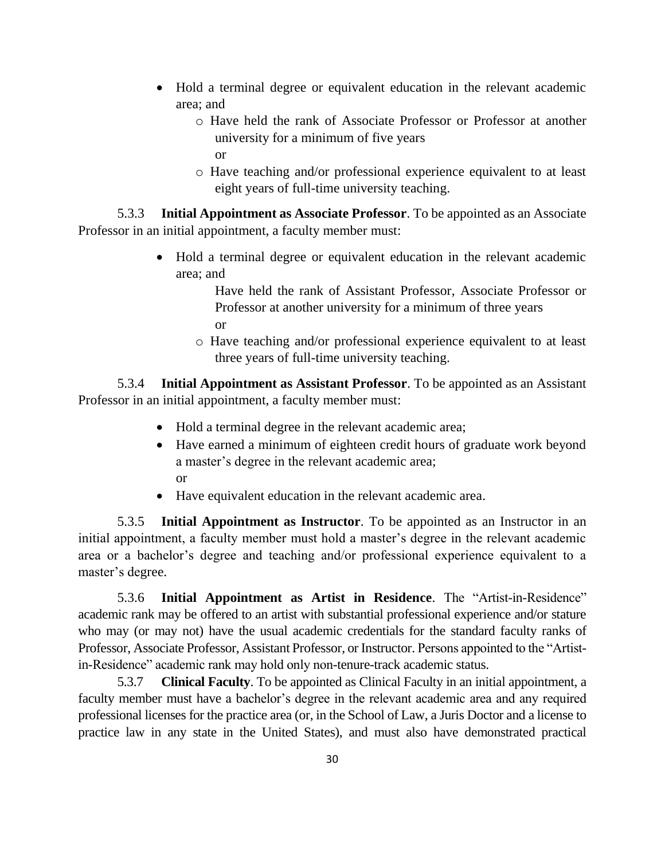- Hold a terminal degree or equivalent education in the relevant academic area; and
	- o Have held the rank of Associate Professor or Professor at another university for a minimum of five years or
	- o Have teaching and/or professional experience equivalent to at least eight years of full-time university teaching.

5.3.3 **Initial Appointment as Associate Professor**. To be appointed as an Associate Professor in an initial appointment, a faculty member must:

> • Hold a terminal degree or equivalent education in the relevant academic area; and

> > Have held the rank of Assistant Professor, Associate Professor or Professor at another university for a minimum of three years or

o Have teaching and/or professional experience equivalent to at least three years of full-time university teaching.

5.3.4 **Initial Appointment as Assistant Professor**. To be appointed as an Assistant Professor in an initial appointment, a faculty member must:

- Hold a terminal degree in the relevant academic area;
- Have earned a minimum of eighteen credit hours of graduate work beyond a master's degree in the relevant academic area; or
- Have equivalent education in the relevant academic area.

5.3.5 **Initial Appointment as Instructor**. To be appointed as an Instructor in an initial appointment, a faculty member must hold a master's degree in the relevant academic area or a bachelor's degree and teaching and/or professional experience equivalent to a master's degree.

5.3.6 **Initial Appointment as Artist in Residence**. The "Artist-in-Residence" academic rank may be offered to an artist with substantial professional experience and/or stature who may (or may not) have the usual academic credentials for the standard faculty ranks of Professor, Associate Professor, Assistant Professor, or Instructor. Persons appointed to the "Artistin-Residence" academic rank may hold only non-tenure-track academic status.

5.3.7 **Clinical Faculty**. To be appointed as Clinical Faculty in an initial appointment, a faculty member must have a bachelor's degree in the relevant academic area and any required professional licenses for the practice area (or, in the School of Law, a Juris Doctor and a license to practice law in any state in the United States), and must also have demonstrated practical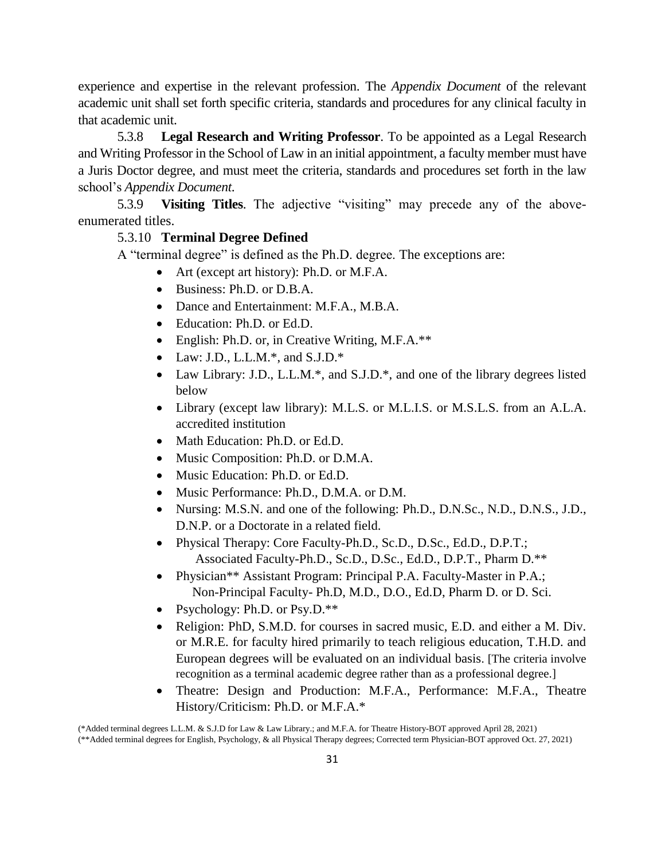experience and expertise in the relevant profession. The *Appendix Document* of the relevant academic unit shall set forth specific criteria, standards and procedures for any clinical faculty in that academic unit.

5.3.8 **Legal Research and Writing Professor**. To be appointed as a Legal Research and Writing Professor in the School of Law in an initial appointment, a faculty member must have a Juris Doctor degree, and must meet the criteria, standards and procedures set forth in the law school's *Appendix Document*.

5.3.9 **Visiting Titles**. The adjective "visiting" may precede any of the aboveenumerated titles.

#### 5.3.10 **Terminal Degree Defined**

A "terminal degree" is defined as the Ph.D. degree. The exceptions are:

- Art (except art history): Ph.D. or M.F.A.
- Business: Ph.D. or D.B.A.
- Dance and Entertainment: M.F.A., M.B.A.
- Education: Ph.D. or Ed.D.
- English: Ph.D. or, in Creative Writing, M.F.A.\*\*
- Law: J.D., L.L.M.\*, and S.J.D.\*
- Law Library: J.D., L.L.M.\*, and S.J.D.\*, and one of the library degrees listed below
- Library (except law library): M.L.S. or M.L.I.S. or M.S.L.S. from an A.L.A. accredited institution
- Math Education: Ph.D. or Ed.D.
- Music Composition: Ph.D. or D.M.A.
- Music Education: Ph.D. or Ed.D.
- Music Performance: Ph.D., D.M.A. or D.M.
- Nursing: M.S.N. and one of the following: Ph.D., D.N.Sc., N.D., D.N.S., J.D., D.N.P. or a Doctorate in a related field.
- Physical Therapy: Core Faculty-Ph.D., Sc.D., D.Sc., Ed.D., D.P.T.; Associated Faculty-Ph.D., Sc.D., D.Sc., Ed.D., D.P.T., Pharm D.\*\*
- Physician<sup>\*\*</sup> Assistant Program: Principal P.A. Faculty-Master in P.A.; Non-Principal Faculty- Ph.D, M.D., D.O., Ed.D, Pharm D. or D. Sci.
- Psychology: Ph.D. or Psy.D.\*\*
- Religion: PhD, S.M.D. for courses in sacred music, E.D. and either a M. Div. or M.R.E. for faculty hired primarily to teach religious education, T.H.D. and European degrees will be evaluated on an individual basis. [The criteria involve recognition as a terminal academic degree rather than as a professional degree.]
- Theatre: Design and Production: M.F.A., Performance: M.F.A., Theatre History/Criticism: Ph.D. or M.F.A.\*

<sup>(\*</sup>Added terminal degrees L.L.M. & S.J.D for Law & Law Library.; and M.F.A. for Theatre History-BOT approved April 28, 2021) (\*\*Added terminal degrees for English, Psychology, & all Physical Therapy degrees; Corrected term Physician-BOT approved Oct. 27, 2021)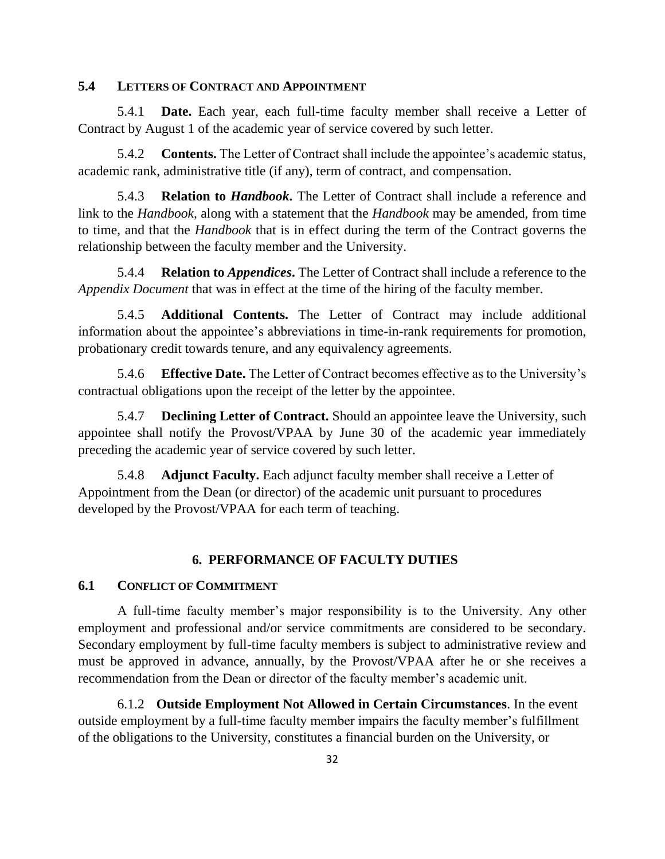#### **5.4 LETTERS OF CONTRACT AND APPOINTMENT**

5.4.1 **Date.** Each year, each full-time faculty member shall receive a Letter of Contract by August 1 of the academic year of service covered by such letter.

5.4.2 **Contents.** The Letter of Contract shall include the appointee's academic status, academic rank, administrative title (if any), term of contract, and compensation.

5.4.3 **Relation to** *Handbook***.** The Letter of Contract shall include a reference and link to the *Handbook,* along with a statement that the *Handbook* may be amended, from time to time, and that the *Handbook* that is in effect during the term of the Contract governs the relationship between the faculty member and the University.

5.4.4 **Relation to** *Appendices***.** The Letter of Contract shall include a reference to the *Appendix Document* that was in effect at the time of the hiring of the faculty member.

5.4.5 **Additional Contents.** The Letter of Contract may include additional information about the appointee's abbreviations in time-in-rank requirements for promotion, probationary credit towards tenure, and any equivalency agreements.

5.4.6 **Effective Date.** The Letter of Contract becomes effective as to the University's contractual obligations upon the receipt of the letter by the appointee.

5.4.7 **Declining Letter of Contract.** Should an appointee leave the University, such appointee shall notify the Provost/VPAA by June 30 of the academic year immediately preceding the academic year of service covered by such letter.

5.4.8 **Adjunct Faculty.** Each adjunct faculty member shall receive a Letter of Appointment from the Dean (or director) of the academic unit pursuant to procedures developed by the Provost/VPAA for each term of teaching.

#### **6. PERFORMANCE OF FACULTY DUTIES**

#### **6.1 CONFLICT OF COMMITMENT**

A full-time faculty member's major responsibility is to the University. Any other employment and professional and/or service commitments are considered to be secondary. Secondary employment by full-time faculty members is subject to administrative review and must be approved in advance, annually, by the Provost/VPAA after he or she receives a recommendation from the Dean or director of the faculty member's academic unit.

6.1.2 **Outside Employment Not Allowed in Certain Circumstances**. In the event outside employment by a full-time faculty member impairs the faculty member's fulfillment of the obligations to the University, constitutes a financial burden on the University, or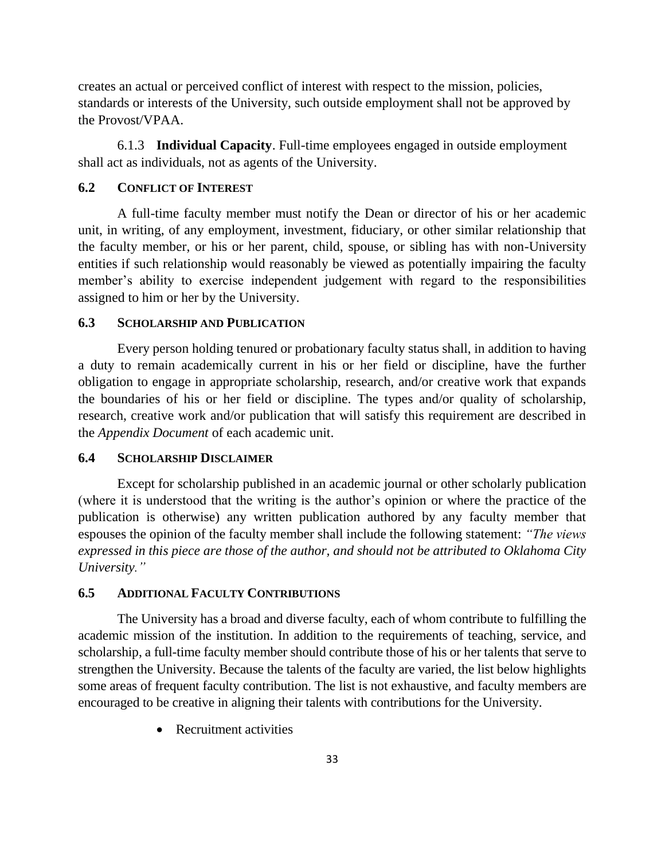creates an actual or perceived conflict of interest with respect to the mission, policies, standards or interests of the University, such outside employment shall not be approved by the Provost/VPAA.

6.1.3 **Individual Capacity**. Full-time employees engaged in outside employment shall act as individuals, not as agents of the University.

#### **6.2 CONFLICT OF INTEREST**

A full-time faculty member must notify the Dean or director of his or her academic unit, in writing, of any employment, investment, fiduciary, or other similar relationship that the faculty member, or his or her parent, child, spouse, or sibling has with non-University entities if such relationship would reasonably be viewed as potentially impairing the faculty member's ability to exercise independent judgement with regard to the responsibilities assigned to him or her by the University.

#### **6.3 SCHOLARSHIP AND PUBLICATION**

Every person holding tenured or probationary faculty status shall, in addition to having a duty to remain academically current in his or her field or discipline, have the further obligation to engage in appropriate scholarship, research, and/or creative work that expands the boundaries of his or her field or discipline. The types and/or quality of scholarship, research, creative work and/or publication that will satisfy this requirement are described in the *Appendix Document* of each academic unit.

#### **6.4 SCHOLARSHIP DISCLAIMER**

Except for scholarship published in an academic journal or other scholarly publication (where it is understood that the writing is the author's opinion or where the practice of the publication is otherwise) any written publication authored by any faculty member that espouses the opinion of the faculty member shall include the following statement: *"The views expressed in this piece are those of the author, and should not be attributed to Oklahoma City University."*

#### **6.5 ADDITIONAL FACULTY CONTRIBUTIONS**

The University has a broad and diverse faculty, each of whom contribute to fulfilling the academic mission of the institution. In addition to the requirements of teaching, service, and scholarship, a full-time faculty member should contribute those of his or her talents that serve to strengthen the University. Because the talents of the faculty are varied, the list below highlights some areas of frequent faculty contribution. The list is not exhaustive, and faculty members are encouraged to be creative in aligning their talents with contributions for the University.

• Recruitment activities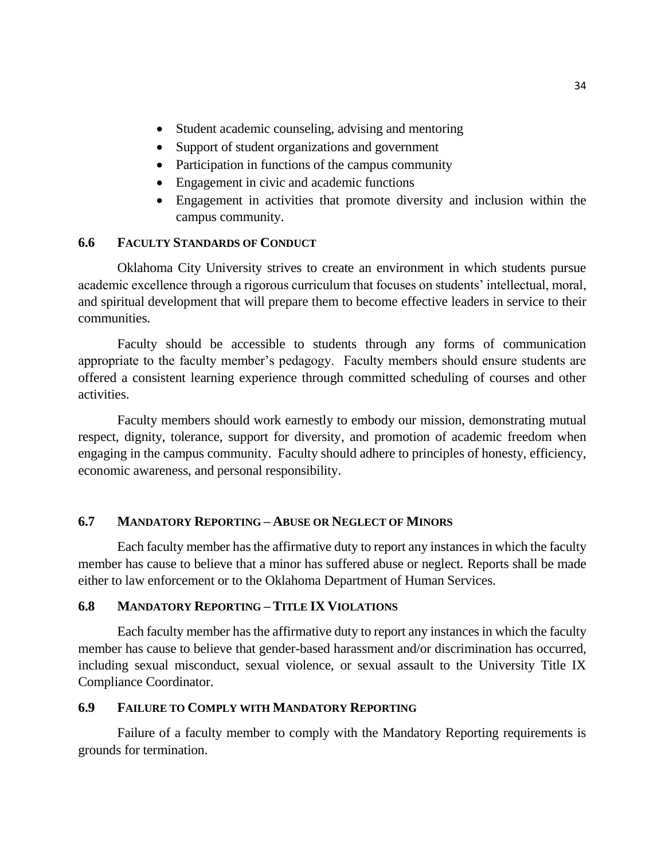- Student academic counseling, advising and mentoring
- Support of student organizations and government
- Participation in functions of the campus community
- Engagement in civic and academic functions
- Engagement in activities that promote diversity and inclusion within the campus community.

### **6.6 FACULTY STANDARDS OF CONDUCT**

Oklahoma City University strives to create an environment in which students pursue academic excellence through a rigorous curriculum that focuses on students' intellectual, moral, and spiritual development that will prepare them to become effective leaders in service to their communities.

Faculty should be accessible to students through any forms of communication appropriate to the faculty member's pedagogy. Faculty members should ensure students are offered a consistent learning experience through committed scheduling of courses and other activities.

Faculty members should work earnestly to embody our mission, demonstrating mutual respect, dignity, tolerance, support for diversity, and promotion of academic freedom when engaging in the campus community. Faculty should adhere to principles of honesty, efficiency, economic awareness, and personal responsibility.

### **6.7 MANDATORY REPORTING – ABUSE OR NEGLECT OF MINORS**

Each faculty member has the affirmative duty to report any instances in which the faculty member has cause to believe that a minor has suffered abuse or neglect. Reports shall be made either to law enforcement or to the Oklahoma Department of Human Services.

#### **6.8 MANDATORY REPORTING – TITLE IX VIOLATIONS**

Each faculty member has the affirmative duty to report any instances in which the faculty member has cause to believe that gender-based harassment and/or discrimination has occurred, including sexual misconduct, sexual violence, or sexual assault to the University Title IX Compliance Coordinator.

## **6.9 FAILURE TO COMPLY WITH MANDATORY REPORTING**

Failure of a faculty member to comply with the Mandatory Reporting requirements is grounds for termination.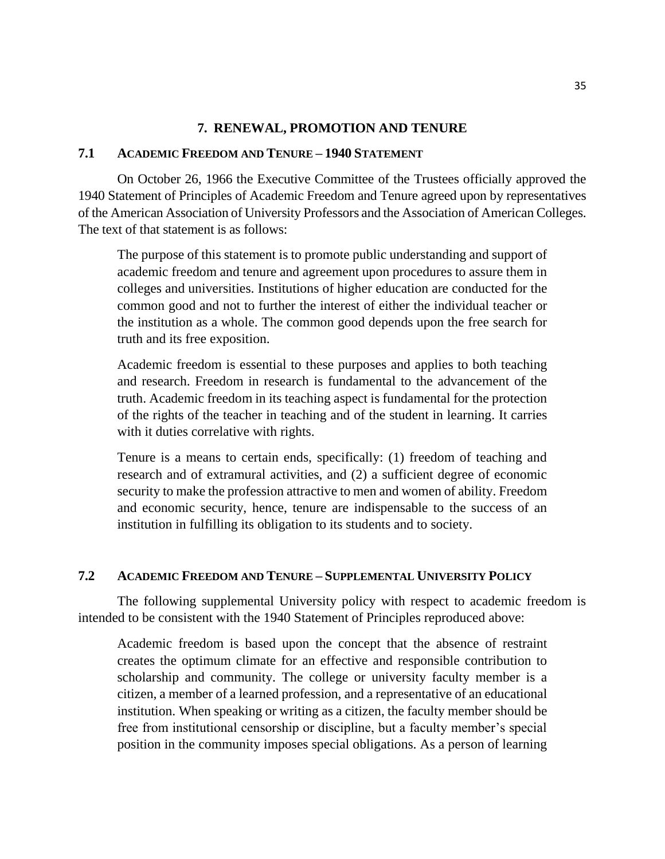#### **7. RENEWAL, PROMOTION AND TENURE**

#### **7.1 ACADEMIC FREEDOM AND TENURE – 1940 STATEMENT**

On October 26, 1966 the Executive Committee of the Trustees officially approved the 1940 Statement of Principles of Academic Freedom and Tenure agreed upon by representatives of the American Association of University Professors and the Association of American Colleges. The text of that statement is as follows:

The purpose of this statement is to promote public understanding and support of academic freedom and tenure and agreement upon procedures to assure them in colleges and universities. Institutions of higher education are conducted for the common good and not to further the interest of either the individual teacher or the institution as a whole. The common good depends upon the free search for truth and its free exposition.

Academic freedom is essential to these purposes and applies to both teaching and research. Freedom in research is fundamental to the advancement of the truth. Academic freedom in its teaching aspect is fundamental for the protection of the rights of the teacher in teaching and of the student in learning. It carries with it duties correlative with rights.

Tenure is a means to certain ends, specifically: (1) freedom of teaching and research and of extramural activities, and (2) a sufficient degree of economic security to make the profession attractive to men and women of ability. Freedom and economic security, hence, tenure are indispensable to the success of an institution in fulfilling its obligation to its students and to society.

#### **7.2 ACADEMIC FREEDOM AND TENURE – SUPPLEMENTAL UNIVERSITY POLICY**

The following supplemental University policy with respect to academic freedom is intended to be consistent with the 1940 Statement of Principles reproduced above:

Academic freedom is based upon the concept that the absence of restraint creates the optimum climate for an effective and responsible contribution to scholarship and community. The college or university faculty member is a citizen, a member of a learned profession, and a representative of an educational institution. When speaking or writing as a citizen, the faculty member should be free from institutional censorship or discipline, but a faculty member's special position in the community imposes special obligations. As a person of learning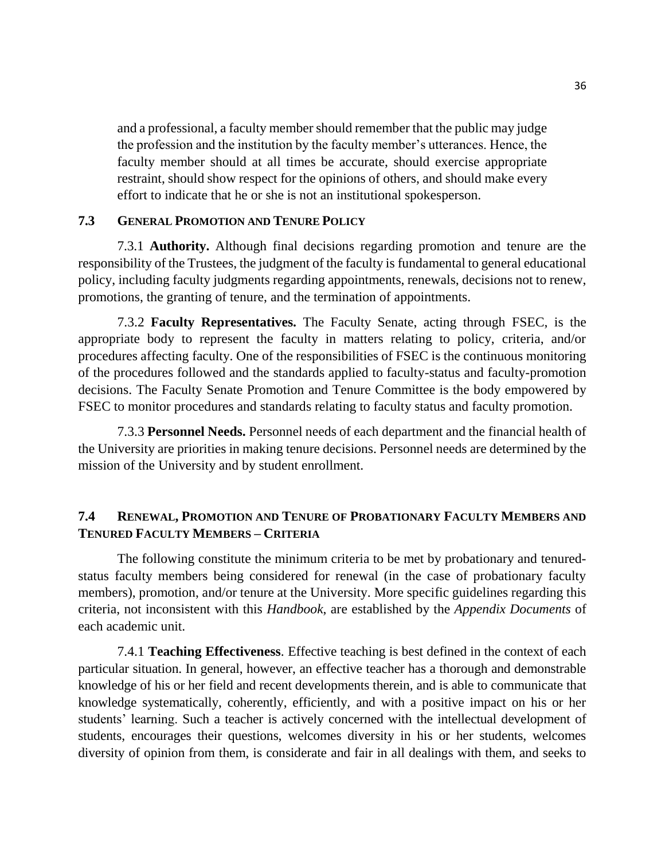and a professional, a faculty member should remember that the public may judge the profession and the institution by the faculty member's utterances. Hence, the faculty member should at all times be accurate, should exercise appropriate restraint, should show respect for the opinions of others, and should make every effort to indicate that he or she is not an institutional spokesperson.

#### **7.3 GENERAL PROMOTION AND TENURE POLICY**

7.3.1 **Authority.** Although final decisions regarding promotion and tenure are the responsibility of the Trustees, the judgment of the faculty is fundamental to general educational policy, including faculty judgments regarding appointments, renewals, decisions not to renew, promotions, the granting of tenure, and the termination of appointments.

7.3.2 **Faculty Representatives.** The Faculty Senate, acting through FSEC, is the appropriate body to represent the faculty in matters relating to policy, criteria, and/or procedures affecting faculty. One of the responsibilities of FSEC is the continuous monitoring of the procedures followed and the standards applied to faculty-status and faculty-promotion decisions. The Faculty Senate Promotion and Tenure Committee is the body empowered by FSEC to monitor procedures and standards relating to faculty status and faculty promotion.

7.3.3 **Personnel Needs.** Personnel needs of each department and the financial health of the University are priorities in making tenure decisions. Personnel needs are determined by the mission of the University and by student enrollment.

## **7.4 RENEWAL, PROMOTION AND TENURE OF PROBATIONARY FACULTY MEMBERS AND TENURED FACULTY MEMBERS – CRITERIA**

The following constitute the minimum criteria to be met by probationary and tenuredstatus faculty members being considered for renewal (in the case of probationary faculty members), promotion, and/or tenure at the University. More specific guidelines regarding this criteria, not inconsistent with this *Handbook*, are established by the *Appendix Documents* of each academic unit.

7.4.1 **Teaching Effectiveness**. Effective teaching is best defined in the context of each particular situation. In general, however, an effective teacher has a thorough and demonstrable knowledge of his or her field and recent developments therein, and is able to communicate that knowledge systematically, coherently, efficiently, and with a positive impact on his or her students' learning. Such a teacher is actively concerned with the intellectual development of students, encourages their questions, welcomes diversity in his or her students, welcomes diversity of opinion from them, is considerate and fair in all dealings with them, and seeks to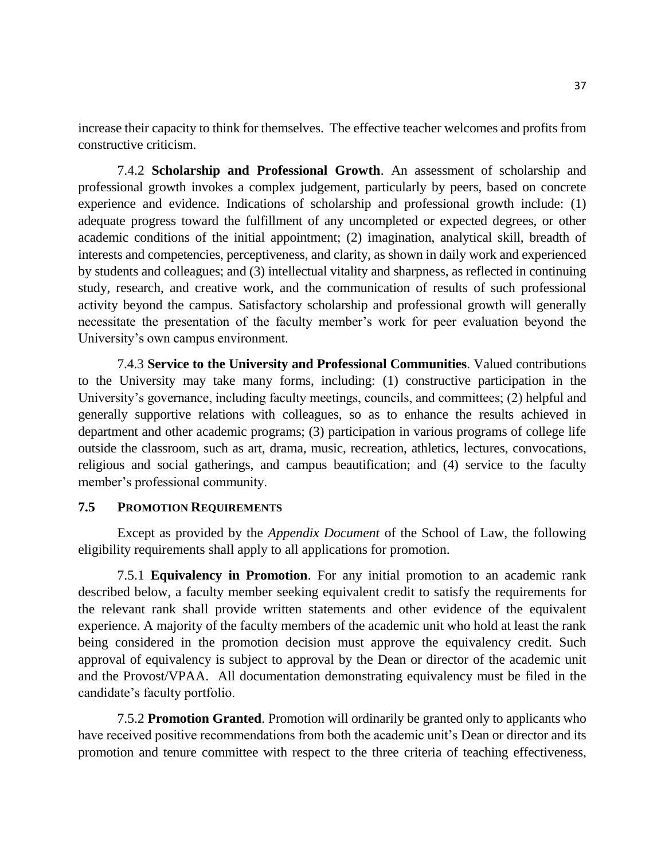increase their capacity to think for themselves. The effective teacher welcomes and profits from constructive criticism.

7.4.2 **Scholarship and Professional Growth**. An assessment of scholarship and professional growth invokes a complex judgement, particularly by peers, based on concrete experience and evidence. Indications of scholarship and professional growth include: (1) adequate progress toward the fulfillment of any uncompleted or expected degrees, or other academic conditions of the initial appointment; (2) imagination, analytical skill, breadth of interests and competencies, perceptiveness, and clarity, as shown in daily work and experienced by students and colleagues; and (3) intellectual vitality and sharpness, as reflected in continuing study, research, and creative work, and the communication of results of such professional activity beyond the campus. Satisfactory scholarship and professional growth will generally necessitate the presentation of the faculty member's work for peer evaluation beyond the University's own campus environment.

7.4.3 **Service to the University and Professional Communities**. Valued contributions to the University may take many forms, including: (1) constructive participation in the University's governance, including faculty meetings, councils, and committees; (2) helpful and generally supportive relations with colleagues, so as to enhance the results achieved in department and other academic programs; (3) participation in various programs of college life outside the classroom, such as art, drama, music, recreation, athletics, lectures, convocations, religious and social gatherings, and campus beautification; and (4) service to the faculty member's professional community.

#### **7.5 PROMOTION REQUIREMENTS**

Except as provided by the *Appendix Document* of the School of Law, the following eligibility requirements shall apply to all applications for promotion.

7.5.1 **Equivalency in Promotion**. For any initial promotion to an academic rank described below, a faculty member seeking equivalent credit to satisfy the requirements for the relevant rank shall provide written statements and other evidence of the equivalent experience. A majority of the faculty members of the academic unit who hold at least the rank being considered in the promotion decision must approve the equivalency credit. Such approval of equivalency is subject to approval by the Dean or director of the academic unit and the Provost/VPAA. All documentation demonstrating equivalency must be filed in the candidate's faculty portfolio.

7.5.2 **Promotion Granted**. Promotion will ordinarily be granted only to applicants who have received positive recommendations from both the academic unit's Dean or director and its promotion and tenure committee with respect to the three criteria of teaching effectiveness,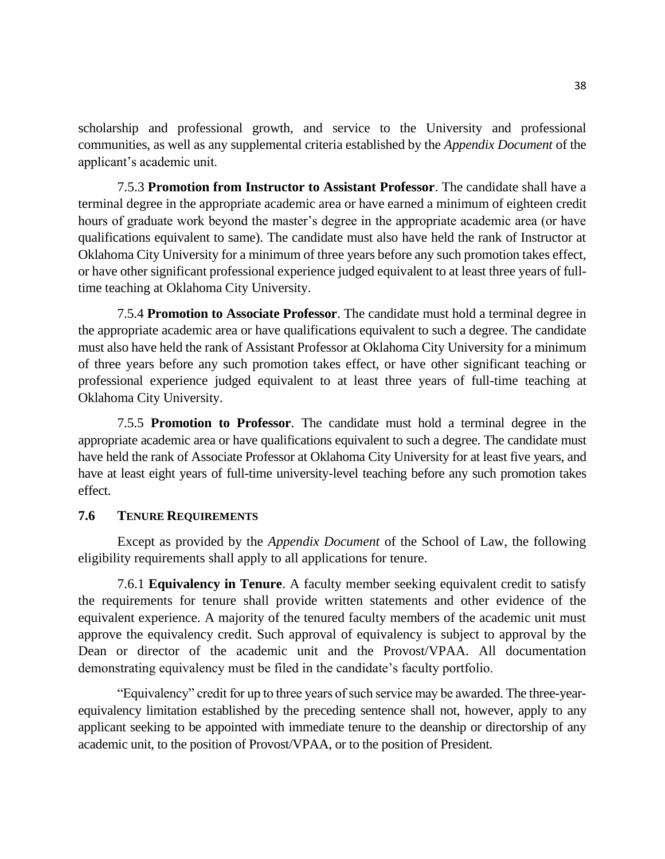scholarship and professional growth, and service to the University and professional communities, as well as any supplemental criteria established by the *Appendix Document* of the applicant's academic unit.

7.5.3 **Promotion from Instructor to Assistant Professor**. The candidate shall have a terminal degree in the appropriate academic area or have earned a minimum of eighteen credit hours of graduate work beyond the master's degree in the appropriate academic area (or have qualifications equivalent to same). The candidate must also have held the rank of Instructor at Oklahoma City University for a minimum of three years before any such promotion takes effect, or have other significant professional experience judged equivalent to at least three years of fulltime teaching at Oklahoma City University.

7.5.4 **Promotion to Associate Professor**. The candidate must hold a terminal degree in the appropriate academic area or have qualifications equivalent to such a degree. The candidate must also have held the rank of Assistant Professor at Oklahoma City University for a minimum of three years before any such promotion takes effect, or have other significant teaching or professional experience judged equivalent to at least three years of full-time teaching at Oklahoma City University.

7.5.5 **Promotion to Professor**. The candidate must hold a terminal degree in the appropriate academic area or have qualifications equivalent to such a degree. The candidate must have held the rank of Associate Professor at Oklahoma City University for at least five years, and have at least eight years of full-time university-level teaching before any such promotion takes effect.

### **7.6 TENURE REQUIREMENTS**

Except as provided by the *Appendix Document* of the School of Law, the following eligibility requirements shall apply to all applications for tenure.

7.6.1 **Equivalency in Tenure**. A faculty member seeking equivalent credit to satisfy the requirements for tenure shall provide written statements and other evidence of the equivalent experience. A majority of the tenured faculty members of the academic unit must approve the equivalency credit. Such approval of equivalency is subject to approval by the Dean or director of the academic unit and the Provost/VPAA. All documentation demonstrating equivalency must be filed in the candidate's faculty portfolio.

"Equivalency" credit for up to three years of such service may be awarded. The three-yearequivalency limitation established by the preceding sentence shall not, however, apply to any applicant seeking to be appointed with immediate tenure to the deanship or directorship of any academic unit, to the position of Provost/VPAA, or to the position of President.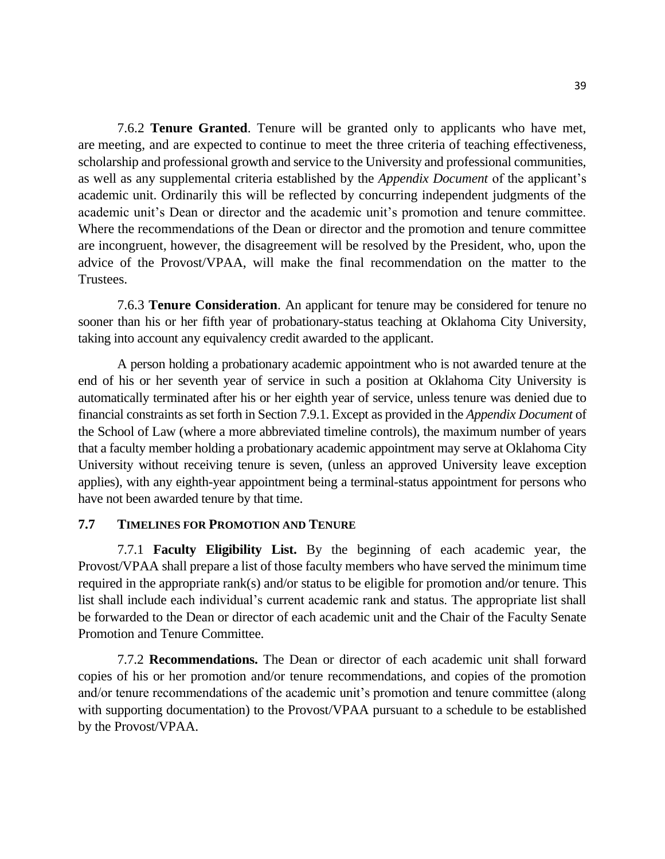7.6.2 **Tenure Granted**. Tenure will be granted only to applicants who have met, are meeting, and are expected to continue to meet the three criteria of teaching effectiveness, scholarship and professional growth and service to the University and professional communities, as well as any supplemental criteria established by the *Appendix Document* of the applicant's academic unit. Ordinarily this will be reflected by concurring independent judgments of the academic unit's Dean or director and the academic unit's promotion and tenure committee. Where the recommendations of the Dean or director and the promotion and tenure committee are incongruent, however, the disagreement will be resolved by the President, who, upon the advice of the Provost/VPAA, will make the final recommendation on the matter to the Trustees.

7.6.3 **Tenure Consideration**. An applicant for tenure may be considered for tenure no sooner than his or her fifth year of probationary-status teaching at Oklahoma City University, taking into account any equivalency credit awarded to the applicant.

A person holding a probationary academic appointment who is not awarded tenure at the end of his or her seventh year of service in such a position at Oklahoma City University is automatically terminated after his or her eighth year of service, unless tenure was denied due to financial constraints as set forth in Section 7.9.1. Except as provided in the *Appendix Document* of the School of Law (where a more abbreviated timeline controls), the maximum number of years that a faculty member holding a probationary academic appointment may serve at Oklahoma City University without receiving tenure is seven, (unless an approved University leave exception applies), with any eighth-year appointment being a terminal-status appointment for persons who have not been awarded tenure by that time.

#### **7.7 TIMELINES FOR PROMOTION AND TENURE**

7.7.1 **Faculty Eligibility List.** By the beginning of each academic year, the Provost/VPAA shall prepare a list of those faculty members who have served the minimum time required in the appropriate rank(s) and/or status to be eligible for promotion and/or tenure. This list shall include each individual's current academic rank and status. The appropriate list shall be forwarded to the Dean or director of each academic unit and the Chair of the Faculty Senate Promotion and Tenure Committee.

7.7.2 **Recommendations.** The Dean or director of each academic unit shall forward copies of his or her promotion and/or tenure recommendations, and copies of the promotion and/or tenure recommendations of the academic unit's promotion and tenure committee (along with supporting documentation) to the Provost/VPAA pursuant to a schedule to be established by the Provost/VPAA.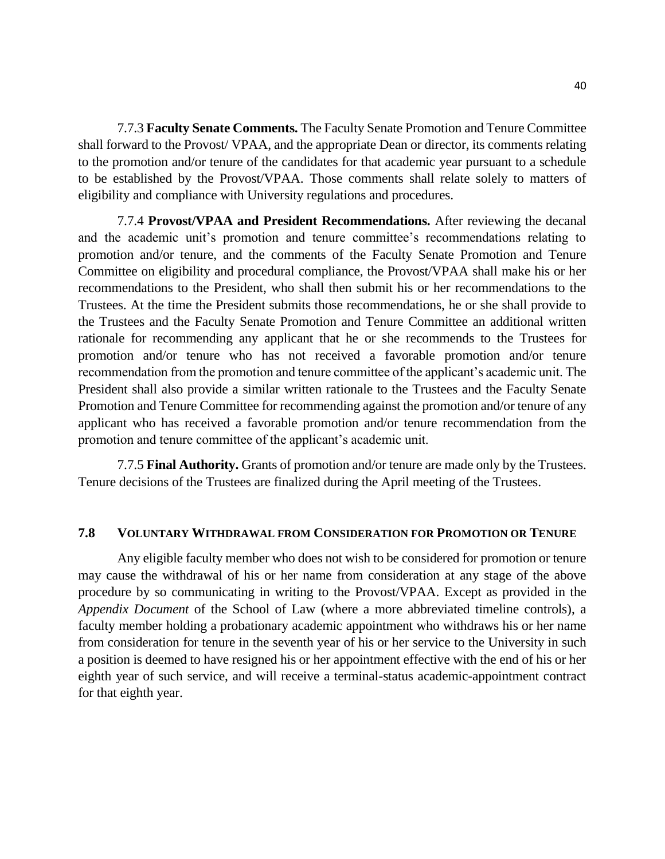7.7.3 **Faculty Senate Comments.** The Faculty Senate Promotion and Tenure Committee shall forward to the Provost/ VPAA, and the appropriate Dean or director, its comments relating to the promotion and/or tenure of the candidates for that academic year pursuant to a schedule to be established by the Provost/VPAA. Those comments shall relate solely to matters of eligibility and compliance with University regulations and procedures.

7.7.4 **Provost/VPAA and President Recommendations.** After reviewing the decanal and the academic unit's promotion and tenure committee's recommendations relating to promotion and/or tenure, and the comments of the Faculty Senate Promotion and Tenure Committee on eligibility and procedural compliance, the Provost/VPAA shall make his or her recommendations to the President, who shall then submit his or her recommendations to the Trustees. At the time the President submits those recommendations, he or she shall provide to the Trustees and the Faculty Senate Promotion and Tenure Committee an additional written rationale for recommending any applicant that he or she recommends to the Trustees for promotion and/or tenure who has not received a favorable promotion and/or tenure recommendation from the promotion and tenure committee of the applicant's academic unit. The President shall also provide a similar written rationale to the Trustees and the Faculty Senate Promotion and Tenure Committee for recommending against the promotion and/or tenure of any applicant who has received a favorable promotion and/or tenure recommendation from the promotion and tenure committee of the applicant's academic unit.

7.7.5 **Final Authority.** Grants of promotion and/or tenure are made only by the Trustees. Tenure decisions of the Trustees are finalized during the April meeting of the Trustees.

#### **7.8 VOLUNTARY WITHDRAWAL FROM CONSIDERATION FOR PROMOTION OR TENURE**

Any eligible faculty member who does not wish to be considered for promotion or tenure may cause the withdrawal of his or her name from consideration at any stage of the above procedure by so communicating in writing to the Provost/VPAA. Except as provided in the *Appendix Document* of the School of Law (where a more abbreviated timeline controls), a faculty member holding a probationary academic appointment who withdraws his or her name from consideration for tenure in the seventh year of his or her service to the University in such a position is deemed to have resigned his or her appointment effective with the end of his or her eighth year of such service, and will receive a terminal-status academic-appointment contract for that eighth year.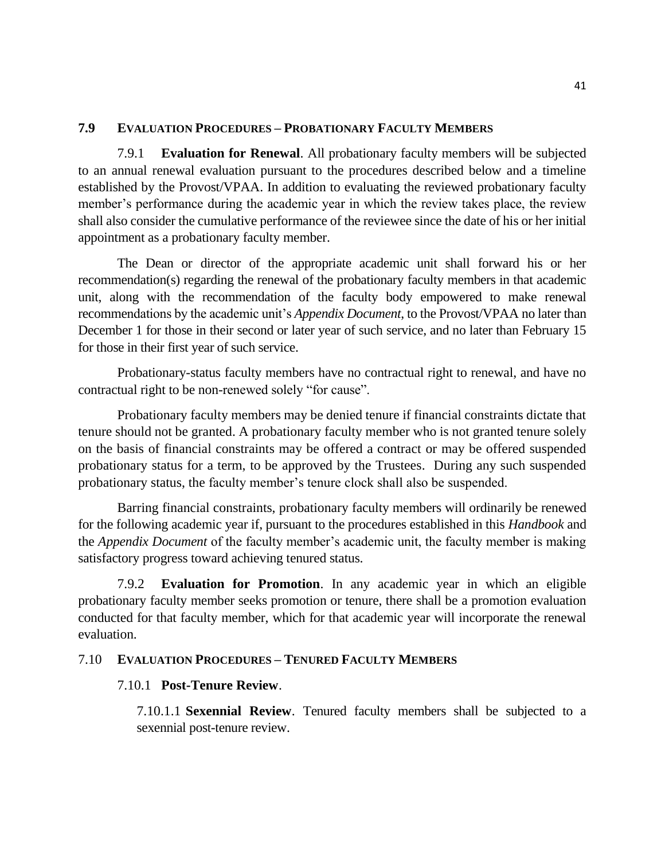#### **7.9 EVALUATION PROCEDURES – PROBATIONARY FACULTY MEMBERS**

7.9.1 **Evaluation for Renewal**. All probationary faculty members will be subjected to an annual renewal evaluation pursuant to the procedures described below and a timeline established by the Provost/VPAA. In addition to evaluating the reviewed probationary faculty member's performance during the academic year in which the review takes place, the review shall also consider the cumulative performance of the reviewee since the date of his or her initial appointment as a probationary faculty member.

The Dean or director of the appropriate academic unit shall forward his or her recommendation(s) regarding the renewal of the probationary faculty members in that academic unit, along with the recommendation of the faculty body empowered to make renewal recommendations by the academic unit's *Appendix Document*, to the Provost/VPAA no later than December 1 for those in their second or later year of such service, and no later than February 15 for those in their first year of such service.

Probationary-status faculty members have no contractual right to renewal, and have no contractual right to be non-renewed solely "for cause".

Probationary faculty members may be denied tenure if financial constraints dictate that tenure should not be granted. A probationary faculty member who is not granted tenure solely on the basis of financial constraints may be offered a contract or may be offered suspended probationary status for a term, to be approved by the Trustees. During any such suspended probationary status, the faculty member's tenure clock shall also be suspended.

Barring financial constraints, probationary faculty members will ordinarily be renewed for the following academic year if, pursuant to the procedures established in this *Handbook* and the *Appendix Document* of the faculty member's academic unit, the faculty member is making satisfactory progress toward achieving tenured status.

7.9.2 **Evaluation for Promotion**. In any academic year in which an eligible probationary faculty member seeks promotion or tenure, there shall be a promotion evaluation conducted for that faculty member, which for that academic year will incorporate the renewal evaluation.

#### 7.10 **EVALUATION PROCEDURES – TENURED FACULTY MEMBERS**

#### 7.10.1 **Post-Tenure Review**.

7.10.1.1 **Sexennial Review**. Tenured faculty members shall be subjected to a sexennial post-tenure review.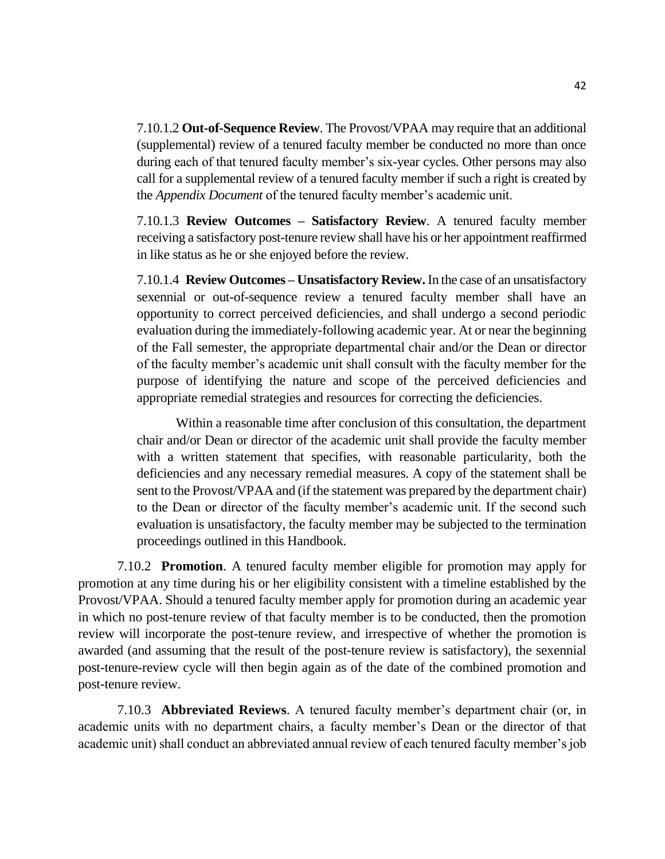7.10.1.2 **Out-of-Sequence Review**. The Provost/VPAA may require that an additional (supplemental) review of a tenured faculty member be conducted no more than once during each of that tenured faculty member's six-year cycles. Other persons may also call for a supplemental review of a tenured faculty member if such a right is created by the *Appendix Document* of the tenured faculty member's academic unit.

7.10.1.3 **Review Outcomes – Satisfactory Review**. A tenured faculty member receiving a satisfactory post-tenure review shall have his or her appointment reaffirmed in like status as he or she enjoyed before the review.

7.10.1.4 **Review Outcomes – Unsatisfactory Review.**In the case of an unsatisfactory sexennial or out-of-sequence review a tenured faculty member shall have an opportunity to correct perceived deficiencies, and shall undergo a second periodic evaluation during the immediately-following academic year. At or near the beginning of the Fall semester, the appropriate departmental chair and/or the Dean or director of the faculty member's academic unit shall consult with the faculty member for the purpose of identifying the nature and scope of the perceived deficiencies and appropriate remedial strategies and resources for correcting the deficiencies.

Within a reasonable time after conclusion of this consultation, the department chair and/or Dean or director of the academic unit shall provide the faculty member with a written statement that specifies, with reasonable particularity, both the deficiencies and any necessary remedial measures. A copy of the statement shall be sent to the Provost/VPAA and (if the statement was prepared by the department chair) to the Dean or director of the faculty member's academic unit. If the second such evaluation is unsatisfactory, the faculty member may be subjected to the termination proceedings outlined in this Handbook.

7.10.2 **Promotion**. A tenured faculty member eligible for promotion may apply for promotion at any time during his or her eligibility consistent with a timeline established by the Provost/VPAA. Should a tenured faculty member apply for promotion during an academic year in which no post-tenure review of that faculty member is to be conducted, then the promotion review will incorporate the post-tenure review, and irrespective of whether the promotion is awarded (and assuming that the result of the post-tenure review is satisfactory), the sexennial post-tenure-review cycle will then begin again as of the date of the combined promotion and post-tenure review.

7.10.3 **Abbreviated Reviews**. A tenured faculty member's department chair (or, in academic units with no department chairs, a faculty member's Dean or the director of that academic unit) shall conduct an abbreviated annual review of each tenured faculty member's job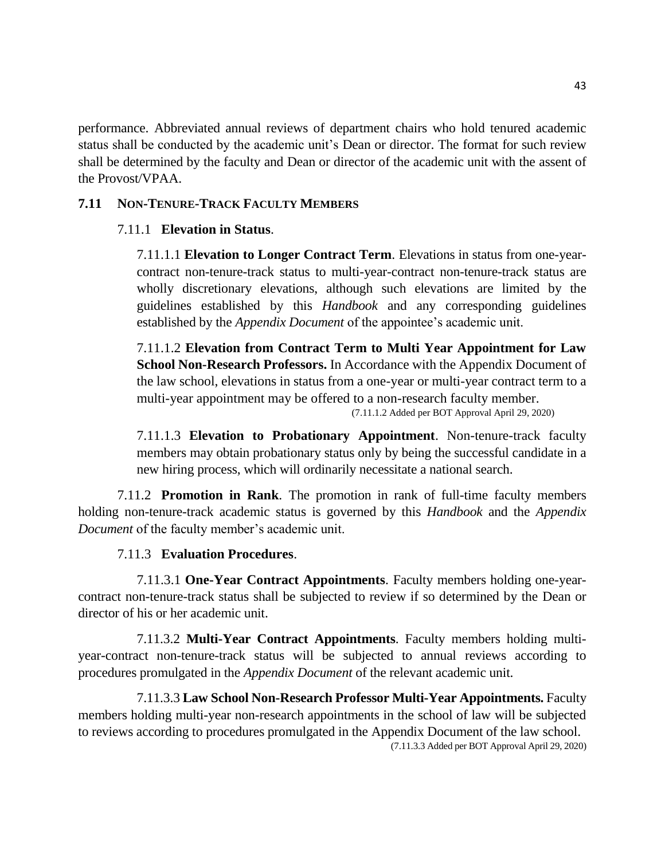performance. Abbreviated annual reviews of department chairs who hold tenured academic status shall be conducted by the academic unit's Dean or director. The format for such review shall be determined by the faculty and Dean or director of the academic unit with the assent of the Provost/VPAA.

### **7.11 NON-TENURE-TRACK FACULTY MEMBERS**

### 7.11.1 **Elevation in Status**.

7.11.1.1 **Elevation to Longer Contract Term**. Elevations in status from one-yearcontract non-tenure-track status to multi-year-contract non-tenure-track status are wholly discretionary elevations, although such elevations are limited by the guidelines established by this *Handbook* and any corresponding guidelines established by the *Appendix Document* of the appointee's academic unit.

7.11.1.2 **Elevation from Contract Term to Multi Year Appointment for Law School Non-Research Professors.** In Accordance with the Appendix Document of the law school, elevations in status from a one-year or multi-year contract term to a multi-year appointment may be offered to a non-research faculty member.

(7.11.1.2 Added per BOT Approval April 29, 2020)

7.11.1.3 **Elevation to Probationary Appointment**. Non-tenure-track faculty members may obtain probationary status only by being the successful candidate in a new hiring process, which will ordinarily necessitate a national search.

7.11.2 **Promotion in Rank**. The promotion in rank of full-time faculty members holding non-tenure-track academic status is governed by this *Handbook* and the *Appendix Document* of the faculty member's academic unit.

#### 7.11.3 **Evaluation Procedures**.

7.11.3.1 **One-Year Contract Appointments**. Faculty members holding one-yearcontract non-tenure-track status shall be subjected to review if so determined by the Dean or director of his or her academic unit.

7.11.3.2 **Multi-Year Contract Appointments**. Faculty members holding multiyear-contract non-tenure-track status will be subjected to annual reviews according to procedures promulgated in the *Appendix Document* of the relevant academic unit.

7.11.3.3 **Law School Non-Research Professor Multi-Year Appointments.** Faculty members holding multi-year non-research appointments in the school of law will be subjected to reviews according to procedures promulgated in the Appendix Document of the law school. (7.11.3.3 Added per BOT Approval April 29, 2020)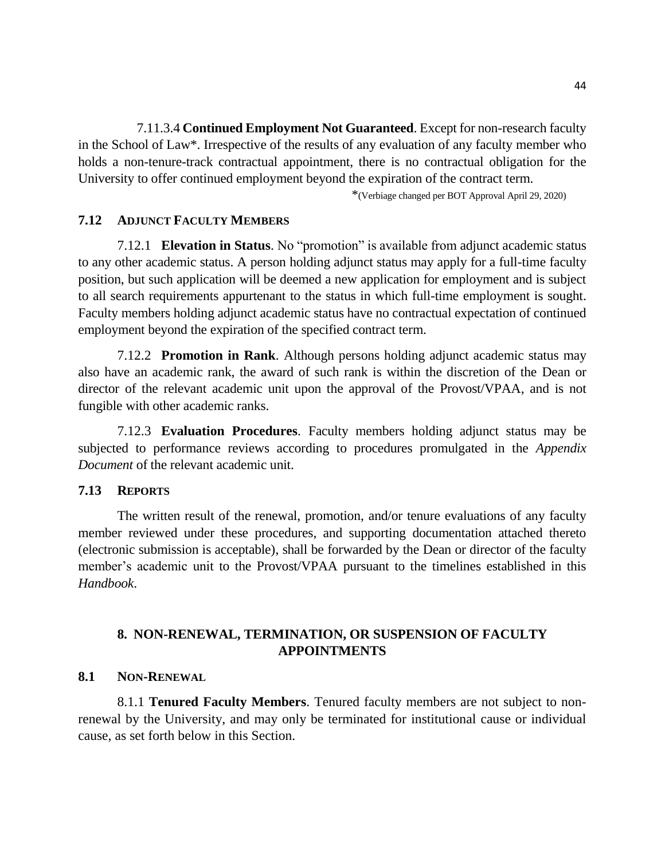7.11.3.4 **Continued Employment Not Guaranteed**. Except for non-research faculty in the School of Law\*. Irrespective of the results of any evaluation of any faculty member who holds a non-tenure-track contractual appointment, there is no contractual obligation for the University to offer continued employment beyond the expiration of the contract term.

\*(Verbiage changed per BOT Approval April 29, 2020)

#### **7.12 ADJUNCT FACULTY MEMBERS**

7.12.1 **Elevation in Status**. No "promotion" is available from adjunct academic status to any other academic status. A person holding adjunct status may apply for a full-time faculty position, but such application will be deemed a new application for employment and is subject to all search requirements appurtenant to the status in which full-time employment is sought. Faculty members holding adjunct academic status have no contractual expectation of continued employment beyond the expiration of the specified contract term.

7.12.2 **Promotion in Rank**. Although persons holding adjunct academic status may also have an academic rank, the award of such rank is within the discretion of the Dean or director of the relevant academic unit upon the approval of the Provost/VPAA, and is not fungible with other academic ranks.

7.12.3 **Evaluation Procedures**. Faculty members holding adjunct status may be subjected to performance reviews according to procedures promulgated in the *Appendix Document* of the relevant academic unit.

#### **7.13 REPORTS**

The written result of the renewal, promotion, and/or tenure evaluations of any faculty member reviewed under these procedures, and supporting documentation attached thereto (electronic submission is acceptable), shall be forwarded by the Dean or director of the faculty member's academic unit to the Provost/VPAA pursuant to the timelines established in this *Handbook*.

## **8. NON-RENEWAL, TERMINATION, OR SUSPENSION OF FACULTY APPOINTMENTS**

#### **8.1 NON-RENEWAL**

8.1.1 **Tenured Faculty Members**. Tenured faculty members are not subject to nonrenewal by the University, and may only be terminated for institutional cause or individual cause, as set forth below in this Section.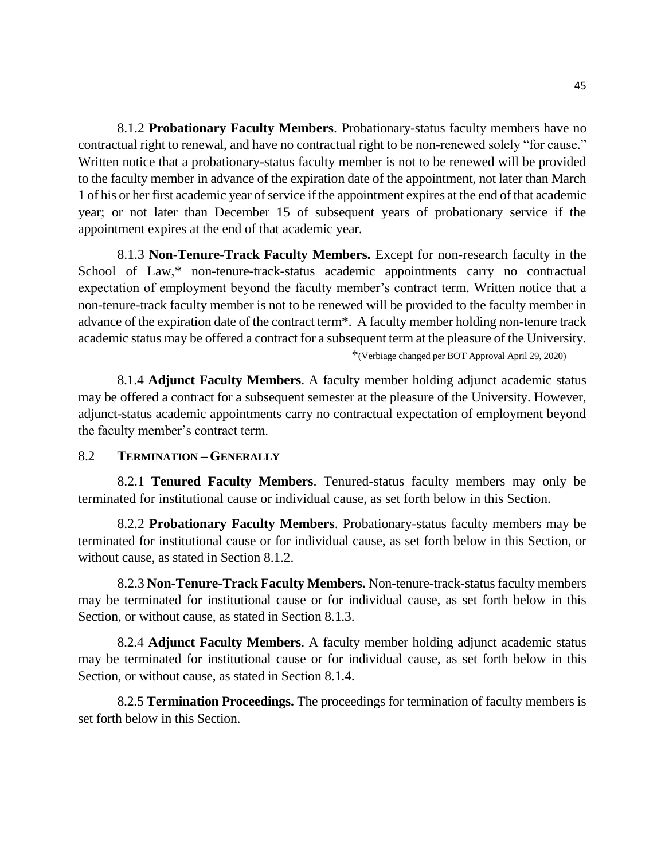8.1.2 **Probationary Faculty Members**. Probationary-status faculty members have no contractual right to renewal, and have no contractual right to be non-renewed solely "for cause." Written notice that a probationary-status faculty member is not to be renewed will be provided to the faculty member in advance of the expiration date of the appointment, not later than March 1 of his or her first academic year of service if the appointment expires at the end of that academic year; or not later than December 15 of subsequent years of probationary service if the appointment expires at the end of that academic year.

8.1.3 **Non-Tenure-Track Faculty Members.** Except for non-research faculty in the School of Law,\* non-tenure-track-status academic appointments carry no contractual expectation of employment beyond the faculty member's contract term. Written notice that a non-tenure-track faculty member is not to be renewed will be provided to the faculty member in advance of the expiration date of the contract term\*. A faculty member holding non-tenure track academic status may be offered a contract for a subsequent term at the pleasure of the University.

\*(Verbiage changed per BOT Approval April 29, 2020)

8.1.4 **Adjunct Faculty Members**. A faculty member holding adjunct academic status may be offered a contract for a subsequent semester at the pleasure of the University. However, adjunct-status academic appointments carry no contractual expectation of employment beyond the faculty member's contract term.

#### 8.2 **TERMINATION – GENERALLY**

8.2.1 **Tenured Faculty Members**. Tenured-status faculty members may only be terminated for institutional cause or individual cause, as set forth below in this Section.

8.2.2 **Probationary Faculty Members**. Probationary-status faculty members may be terminated for institutional cause or for individual cause, as set forth below in this Section, or without cause, as stated in Section 8.1.2.

8.2.3 **Non-Tenure-Track Faculty Members.** Non-tenure-track-status faculty members may be terminated for institutional cause or for individual cause, as set forth below in this Section, or without cause, as stated in Section 8.1.3.

8.2.4 **Adjunct Faculty Members**. A faculty member holding adjunct academic status may be terminated for institutional cause or for individual cause, as set forth below in this Section, or without cause, as stated in Section 8.1.4.

8.2.5 **Termination Proceedings.** The proceedings for termination of faculty members is set forth below in this Section.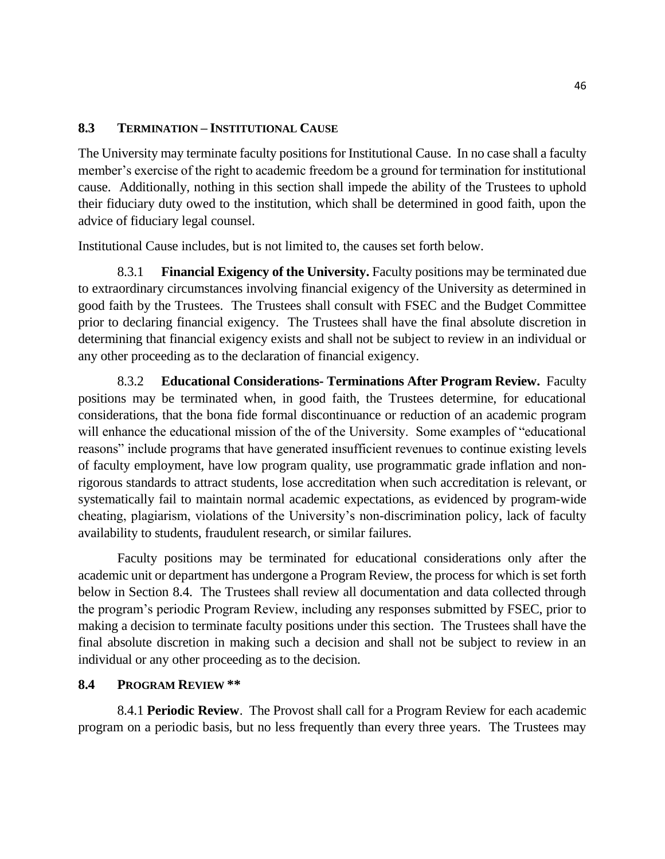### **8.3 TERMINATION – INSTITUTIONAL CAUSE**

The University may terminate faculty positions for Institutional Cause. In no case shall a faculty member's exercise of the right to academic freedom be a ground for termination for institutional cause. Additionally, nothing in this section shall impede the ability of the Trustees to uphold their fiduciary duty owed to the institution, which shall be determined in good faith, upon the advice of fiduciary legal counsel.

Institutional Cause includes, but is not limited to, the causes set forth below.

8.3.1 **Financial Exigency of the University.** Faculty positions may be terminated due to extraordinary circumstances involving financial exigency of the University as determined in good faith by the Trustees. The Trustees shall consult with FSEC and the Budget Committee prior to declaring financial exigency. The Trustees shall have the final absolute discretion in determining that financial exigency exists and shall not be subject to review in an individual or any other proceeding as to the declaration of financial exigency.

8.3.2 **Educational Considerations- Terminations After Program Review.** Faculty positions may be terminated when, in good faith, the Trustees determine, for educational considerations, that the bona fide formal discontinuance or reduction of an academic program will enhance the educational mission of the of the University. Some examples of "educational" reasons" include programs that have generated insufficient revenues to continue existing levels of faculty employment, have low program quality, use programmatic grade inflation and nonrigorous standards to attract students, lose accreditation when such accreditation is relevant, or systematically fail to maintain normal academic expectations, as evidenced by program-wide cheating, plagiarism, violations of the University's non-discrimination policy, lack of faculty availability to students, fraudulent research, or similar failures.

Faculty positions may be terminated for educational considerations only after the academic unit or department has undergone a Program Review, the process for which is set forth below in Section 8.4. The Trustees shall review all documentation and data collected through the program's periodic Program Review, including any responses submitted by FSEC, prior to making a decision to terminate faculty positions under this section. The Trustees shall have the final absolute discretion in making such a decision and shall not be subject to review in an individual or any other proceeding as to the decision.

#### **8.4 PROGRAM REVIEW \*\***

8.4.1 **Periodic Review**. The Provost shall call for a Program Review for each academic program on a periodic basis, but no less frequently than every three years. The Trustees may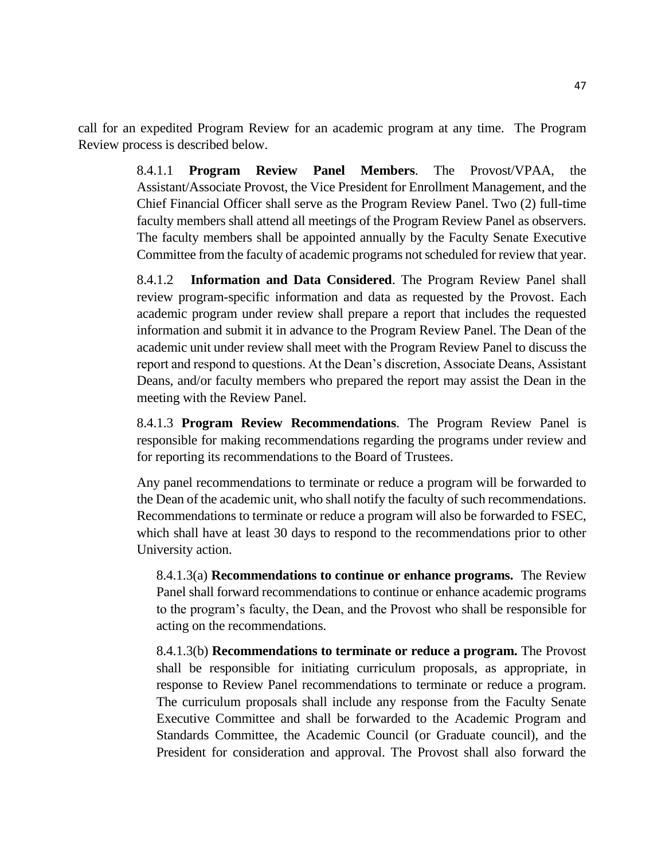call for an expedited Program Review for an academic program at any time. The Program Review process is described below.

> 8.4.1.1 **Program Review Panel Members**. The Provost/VPAA, the Assistant/Associate Provost, the Vice President for Enrollment Management, and the Chief Financial Officer shall serve as the Program Review Panel. Two (2) full-time faculty members shall attend all meetings of the Program Review Panel as observers. The faculty members shall be appointed annually by the Faculty Senate Executive Committee from the faculty of academic programs not scheduled for review that year.

> 8.4.1.2 **Information and Data Considered**. The Program Review Panel shall review program-specific information and data as requested by the Provost. Each academic program under review shall prepare a report that includes the requested information and submit it in advance to the Program Review Panel. The Dean of the academic unit under review shall meet with the Program Review Panel to discuss the report and respond to questions. At the Dean's discretion, Associate Deans, Assistant Deans, and/or faculty members who prepared the report may assist the Dean in the meeting with the Review Panel.

> 8.4.1.3 **Program Review Recommendations**. The Program Review Panel is responsible for making recommendations regarding the programs under review and for reporting its recommendations to the Board of Trustees.

> Any panel recommendations to terminate or reduce a program will be forwarded to the Dean of the academic unit, who shall notify the faculty of such recommendations. Recommendations to terminate or reduce a program will also be forwarded to FSEC, which shall have at least 30 days to respond to the recommendations prior to other University action.

8.4.1.3(a) **Recommendations to continue or enhance programs.** The Review Panel shall forward recommendations to continue or enhance academic programs to the program's faculty, the Dean, and the Provost who shall be responsible for acting on the recommendations.

8.4.1.3(b) **Recommendations to terminate or reduce a program.** The Provost shall be responsible for initiating curriculum proposals, as appropriate, in response to Review Panel recommendations to terminate or reduce a program. The curriculum proposals shall include any response from the Faculty Senate Executive Committee and shall be forwarded to the Academic Program and Standards Committee, the Academic Council (or Graduate council), and the President for consideration and approval. The Provost shall also forward the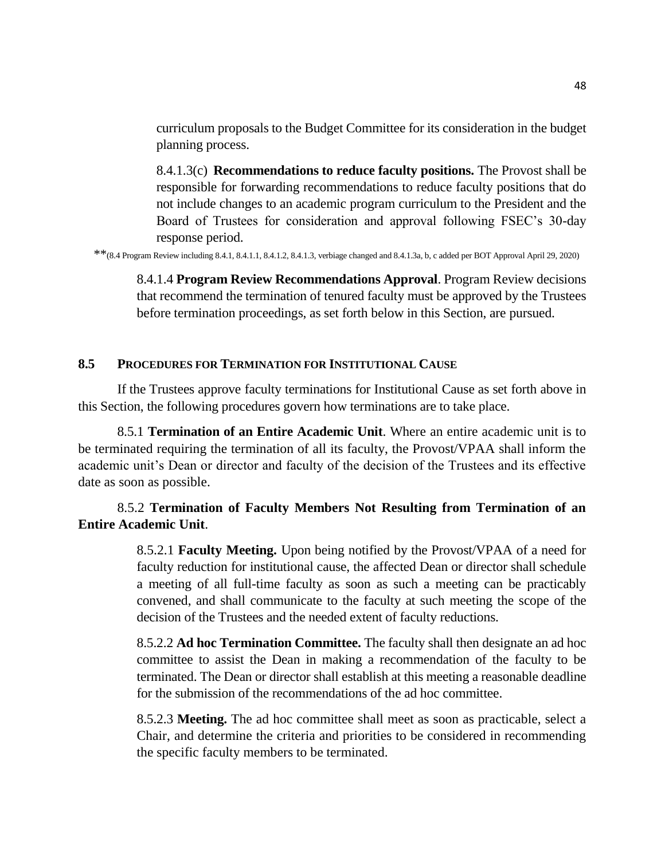curriculum proposals to the Budget Committee for its consideration in the budget planning process.

8.4.1.3(c) **Recommendations to reduce faculty positions.** The Provost shall be responsible for forwarding recommendations to reduce faculty positions that do not include changes to an academic program curriculum to the President and the Board of Trustees for consideration and approval following FSEC's 30-day response period.

\*\*(8.4 Program Review including 8.4.1, 8.4.1.1, 8.4.1.2, 8.4.1.3, verbiage changed and 8.4.1.3a, b, c added per BOT Approval April 29, 2020)

8.4.1.4 **Program Review Recommendations Approval**. Program Review decisions that recommend the termination of tenured faculty must be approved by the Trustees before termination proceedings, as set forth below in this Section, are pursued.

#### **8.5 PROCEDURES FOR TERMINATION FOR INSTITUTIONAL CAUSE**

If the Trustees approve faculty terminations for Institutional Cause as set forth above in this Section, the following procedures govern how terminations are to take place.

8.5.1 **Termination of an Entire Academic Unit**. Where an entire academic unit is to be terminated requiring the termination of all its faculty, the Provost/VPAA shall inform the academic unit's Dean or director and faculty of the decision of the Trustees and its effective date as soon as possible.

## 8.5.2 **Termination of Faculty Members Not Resulting from Termination of an Entire Academic Unit**.

8.5.2.1 **Faculty Meeting.** Upon being notified by the Provost/VPAA of a need for faculty reduction for institutional cause, the affected Dean or director shall schedule a meeting of all full-time faculty as soon as such a meeting can be practicably convened, and shall communicate to the faculty at such meeting the scope of the decision of the Trustees and the needed extent of faculty reductions.

8.5.2.2 **Ad hoc Termination Committee.** The faculty shall then designate an ad hoc committee to assist the Dean in making a recommendation of the faculty to be terminated. The Dean or director shall establish at this meeting a reasonable deadline for the submission of the recommendations of the ad hoc committee.

8.5.2.3 **Meeting.** The ad hoc committee shall meet as soon as practicable, select a Chair, and determine the criteria and priorities to be considered in recommending the specific faculty members to be terminated.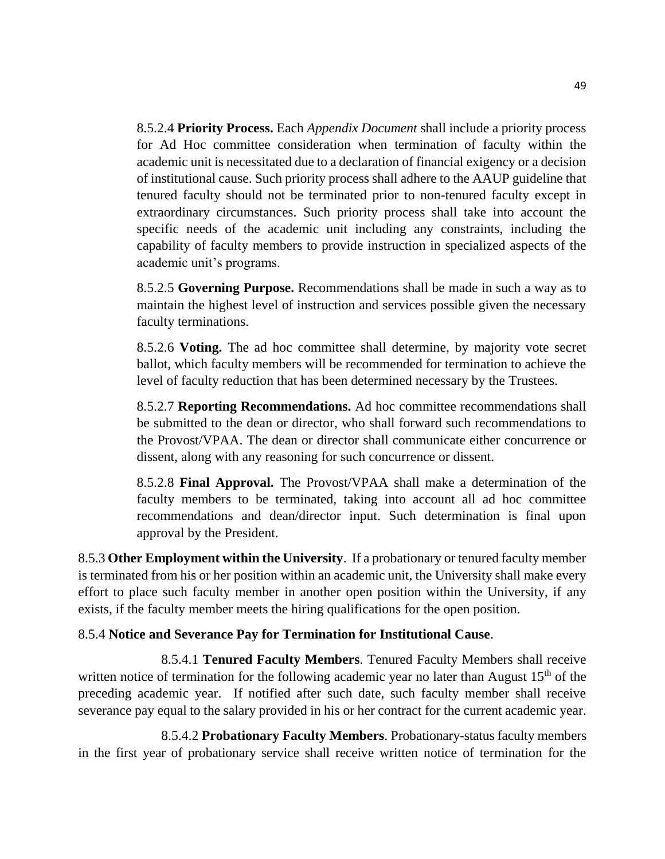8.5.2.4 **Priority Process.** Each *Appendix Document* shall include a priority process for Ad Hoc committee consideration when termination of faculty within the academic unit is necessitated due to a declaration of financial exigency or a decision of institutional cause. Such priority process shall adhere to the AAUP guideline that tenured faculty should not be terminated prior to non-tenured faculty except in extraordinary circumstances. Such priority process shall take into account the specific needs of the academic unit including any constraints, including the capability of faculty members to provide instruction in specialized aspects of the academic unit's programs.

8.5.2.5 **Governing Purpose.** Recommendations shall be made in such a way as to maintain the highest level of instruction and services possible given the necessary faculty terminations.

8.5.2.6 **Voting.** The ad hoc committee shall determine, by majority vote secret ballot, which faculty members will be recommended for termination to achieve the level of faculty reduction that has been determined necessary by the Trustees.

8.5.2.7 **Reporting Recommendations.** Ad hoc committee recommendations shall be submitted to the dean or director, who shall forward such recommendations to the Provost/VPAA. The dean or director shall communicate either concurrence or dissent, along with any reasoning for such concurrence or dissent.

8.5.2.8 **Final Approval.** The Provost/VPAA shall make a determination of the faculty members to be terminated, taking into account all ad hoc committee recommendations and dean/director input. Such determination is final upon approval by the President.

8.5.3 **Other Employment within the University**. If a probationary or tenured faculty member is terminated from his or her position within an academic unit, the University shall make every effort to place such faculty member in another open position within the University, if any exists, if the faculty member meets the hiring qualifications for the open position.

## 8.5.4 **Notice and Severance Pay for Termination for Institutional Cause**.

8.5.4.1 **Tenured Faculty Members**. Tenured Faculty Members shall receive written notice of termination for the following academic year no later than August  $15<sup>th</sup>$  of the preceding academic year. If notified after such date, such faculty member shall receive severance pay equal to the salary provided in his or her contract for the current academic year.

8.5.4.2 **Probationary Faculty Members**. Probationary-status faculty members in the first year of probationary service shall receive written notice of termination for the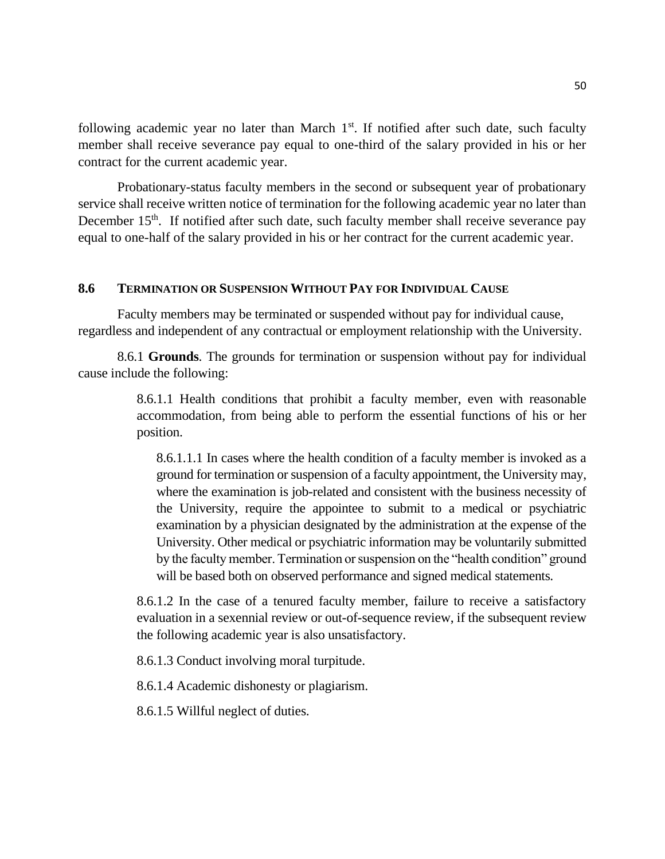following academic year no later than March  $1<sup>st</sup>$ . If notified after such date, such faculty member shall receive severance pay equal to one-third of the salary provided in his or her contract for the current academic year.

Probationary-status faculty members in the second or subsequent year of probationary service shall receive written notice of termination for the following academic year no later than December  $15<sup>th</sup>$ . If notified after such date, such faculty member shall receive severance pay equal to one-half of the salary provided in his or her contract for the current academic year.

## **8.6 TERMINATION OR SUSPENSION WITHOUT PAY FOR INDIVIDUAL CAUSE**

Faculty members may be terminated or suspended without pay for individual cause, regardless and independent of any contractual or employment relationship with the University.

8.6.1 **Grounds**. The grounds for termination or suspension without pay for individual cause include the following:

> 8.6.1.1 Health conditions that prohibit a faculty member, even with reasonable accommodation, from being able to perform the essential functions of his or her position.

8.6.1.1.1 In cases where the health condition of a faculty member is invoked as a ground for termination or suspension of a faculty appointment, the University may, where the examination is job-related and consistent with the business necessity of the University, require the appointee to submit to a medical or psychiatric examination by a physician designated by the administration at the expense of the University. Other medical or psychiatric information may be voluntarily submitted by the faculty member. Termination or suspension on the "health condition" ground will be based both on observed performance and signed medical statements.

8.6.1.2 In the case of a tenured faculty member, failure to receive a satisfactory evaluation in a sexennial review or out-of-sequence review, if the subsequent review the following academic year is also unsatisfactory.

8.6.1.3 Conduct involving moral turpitude.

8.6.1.4 Academic dishonesty or plagiarism.

8.6.1.5 Willful neglect of duties.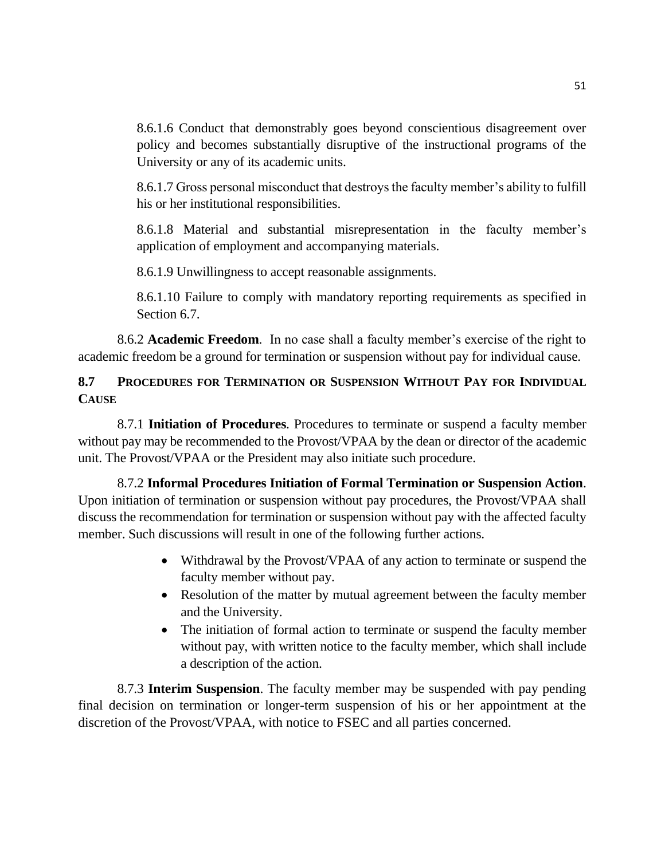8.6.1.6 Conduct that demonstrably goes beyond conscientious disagreement over policy and becomes substantially disruptive of the instructional programs of the University or any of its academic units.

8.6.1.7 Gross personal misconduct that destroys the faculty member's ability to fulfill his or her institutional responsibilities.

8.6.1.8 Material and substantial misrepresentation in the faculty member's application of employment and accompanying materials.

8.6.1.9 Unwillingness to accept reasonable assignments.

8.6.1.10 Failure to comply with mandatory reporting requirements as specified in Section 6.7.

8.6.2 **Academic Freedom**. In no case shall a faculty member's exercise of the right to academic freedom be a ground for termination or suspension without pay for individual cause.

## **8.7 PROCEDURES FOR TERMINATION OR SUSPENSION WITHOUT PAY FOR INDIVIDUAL CAUSE**

8.7.1 **Initiation of Procedures**. Procedures to terminate or suspend a faculty member without pay may be recommended to the Provost/VPAA by the dean or director of the academic unit. The Provost/VPAA or the President may also initiate such procedure.

8.7.2 **Informal Procedures Initiation of Formal Termination or Suspension Action**. Upon initiation of termination or suspension without pay procedures, the Provost/VPAA shall discuss the recommendation for termination or suspension without pay with the affected faculty member. Such discussions will result in one of the following further actions.

- Withdrawal by the Provost/VPAA of any action to terminate or suspend the faculty member without pay.
- Resolution of the matter by mutual agreement between the faculty member and the University.
- The initiation of formal action to terminate or suspend the faculty member without pay, with written notice to the faculty member, which shall include a description of the action.

8.7.3 **Interim Suspension**. The faculty member may be suspended with pay pending final decision on termination or longer-term suspension of his or her appointment at the discretion of the Provost/VPAA, with notice to FSEC and all parties concerned.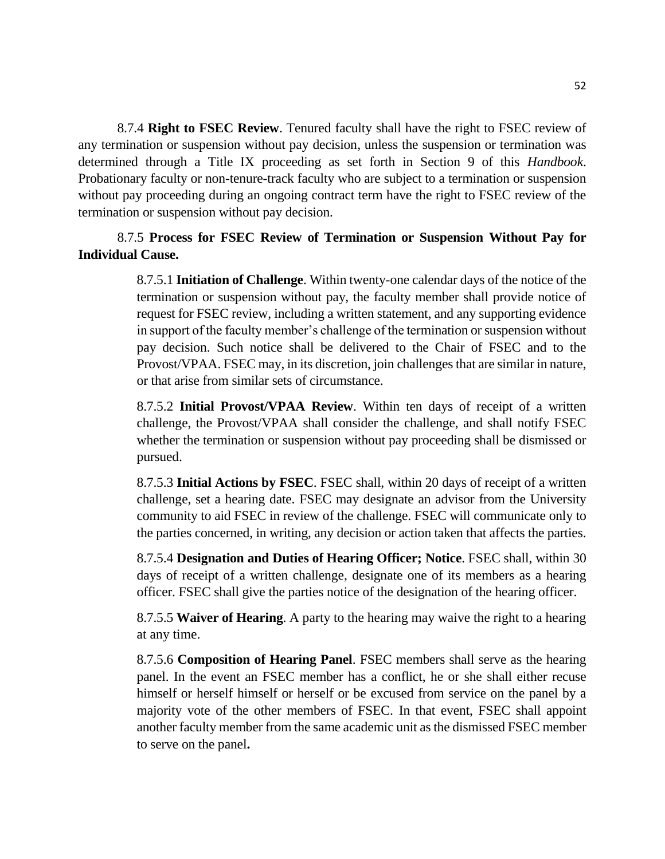8.7.4 **Right to FSEC Review**. Tenured faculty shall have the right to FSEC review of any termination or suspension without pay decision, unless the suspension or termination was determined through a Title IX proceeding as set forth in Section 9 of this *Handbook*. Probationary faculty or non-tenure-track faculty who are subject to a termination or suspension without pay proceeding during an ongoing contract term have the right to FSEC review of the termination or suspension without pay decision.

8.7.5 **Process for FSEC Review of Termination or Suspension Without Pay for Individual Cause.**

> 8.7.5.1 **Initiation of Challenge**. Within twenty-one calendar days of the notice of the termination or suspension without pay, the faculty member shall provide notice of request for FSEC review, including a written statement, and any supporting evidence in support of the faculty member's challenge of the termination or suspension without pay decision. Such notice shall be delivered to the Chair of FSEC and to the Provost/VPAA. FSEC may, in its discretion, join challenges that are similar in nature, or that arise from similar sets of circumstance.

> 8.7.5.2 **Initial Provost/VPAA Review**. Within ten days of receipt of a written challenge, the Provost/VPAA shall consider the challenge, and shall notify FSEC whether the termination or suspension without pay proceeding shall be dismissed or pursued.

> 8.7.5.3 **Initial Actions by FSEC**. FSEC shall, within 20 days of receipt of a written challenge, set a hearing date. FSEC may designate an advisor from the University community to aid FSEC in review of the challenge. FSEC will communicate only to the parties concerned, in writing, any decision or action taken that affects the parties.

> 8.7.5.4 **Designation and Duties of Hearing Officer; Notice**. FSEC shall, within 30 days of receipt of a written challenge, designate one of its members as a hearing officer. FSEC shall give the parties notice of the designation of the hearing officer.

> 8.7.5.5 **Waiver of Hearing**. A party to the hearing may waive the right to a hearing at any time.

> 8.7.5.6 **Composition of Hearing Panel**. FSEC members shall serve as the hearing panel. In the event an FSEC member has a conflict, he or she shall either recuse himself or herself himself or herself or be excused from service on the panel by a majority vote of the other members of FSEC. In that event, FSEC shall appoint another faculty member from the same academic unit as the dismissed FSEC member to serve on the panel**.**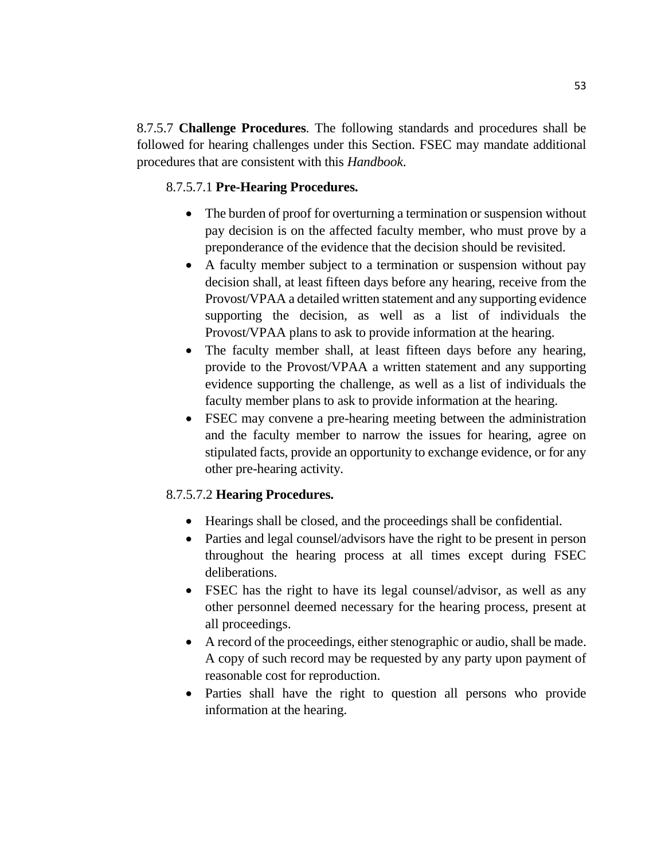8.7.5.7 **Challenge Procedures**. The following standards and procedures shall be followed for hearing challenges under this Section. FSEC may mandate additional procedures that are consistent with this *Handbook*.

### 8.7.5.7.1 **Pre-Hearing Procedures.**

- The burden of proof for overturning a termination or suspension without pay decision is on the affected faculty member, who must prove by a preponderance of the evidence that the decision should be revisited.
- A faculty member subject to a termination or suspension without pay decision shall, at least fifteen days before any hearing, receive from the Provost/VPAA a detailed written statement and any supporting evidence supporting the decision, as well as a list of individuals the Provost/VPAA plans to ask to provide information at the hearing.
- The faculty member shall, at least fifteen days before any hearing, provide to the Provost/VPAA a written statement and any supporting evidence supporting the challenge, as well as a list of individuals the faculty member plans to ask to provide information at the hearing.
- FSEC may convene a pre-hearing meeting between the administration and the faculty member to narrow the issues for hearing, agree on stipulated facts, provide an opportunity to exchange evidence, or for any other pre-hearing activity.

## 8.7.5.7.2 **Hearing Procedures.**

- Hearings shall be closed, and the proceedings shall be confidential.
- Parties and legal counsel/advisors have the right to be present in person throughout the hearing process at all times except during FSEC deliberations.
- FSEC has the right to have its legal counsel/advisor, as well as any other personnel deemed necessary for the hearing process, present at all proceedings.
- A record of the proceedings, either stenographic or audio, shall be made. A copy of such record may be requested by any party upon payment of reasonable cost for reproduction.
- Parties shall have the right to question all persons who provide information at the hearing.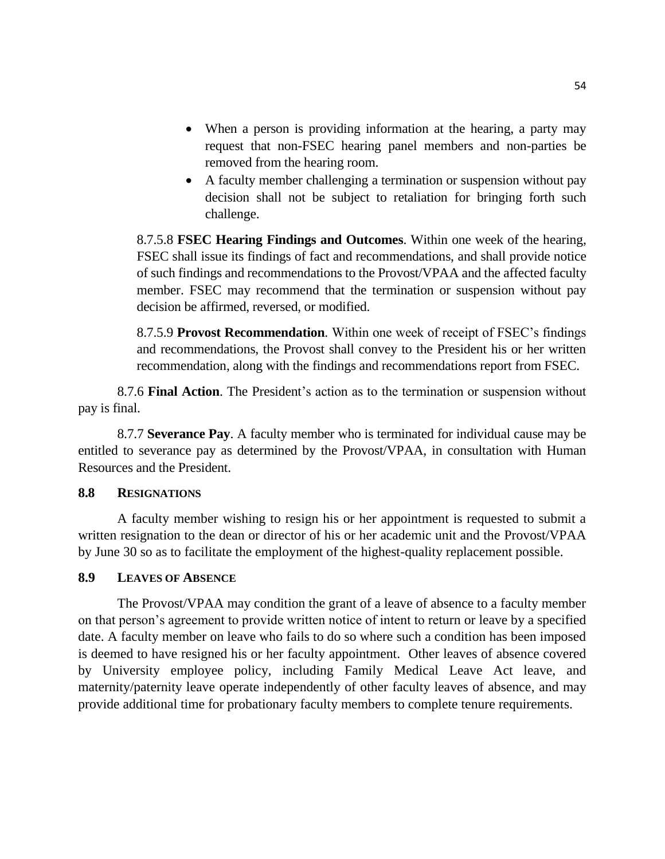- When a person is providing information at the hearing, a party may request that non-FSEC hearing panel members and non-parties be removed from the hearing room.
- A faculty member challenging a termination or suspension without pay decision shall not be subject to retaliation for bringing forth such challenge.

8.7.5.8 **FSEC Hearing Findings and Outcomes**. Within one week of the hearing, FSEC shall issue its findings of fact and recommendations, and shall provide notice of such findings and recommendations to the Provost/VPAA and the affected faculty member. FSEC may recommend that the termination or suspension without pay decision be affirmed, reversed, or modified.

8.7.5.9 **Provost Recommendation**. Within one week of receipt of FSEC's findings and recommendations, the Provost shall convey to the President his or her written recommendation, along with the findings and recommendations report from FSEC.

8.7.6 **Final Action**. The President's action as to the termination or suspension without pay is final.

8.7.7 **Severance Pay**. A faculty member who is terminated for individual cause may be entitled to severance pay as determined by the Provost/VPAA, in consultation with Human Resources and the President.

#### **8.8 RESIGNATIONS**

A faculty member wishing to resign his or her appointment is requested to submit a written resignation to the dean or director of his or her academic unit and the Provost/VPAA by June 30 so as to facilitate the employment of the highest-quality replacement possible.

#### **8.9 LEAVES OF ABSENCE**

The Provost/VPAA may condition the grant of a leave of absence to a faculty member on that person's agreement to provide written notice of intent to return or leave by a specified date. A faculty member on leave who fails to do so where such a condition has been imposed is deemed to have resigned his or her faculty appointment. Other leaves of absence covered by University employee policy, including Family Medical Leave Act leave, and maternity/paternity leave operate independently of other faculty leaves of absence, and may provide additional time for probationary faculty members to complete tenure requirements.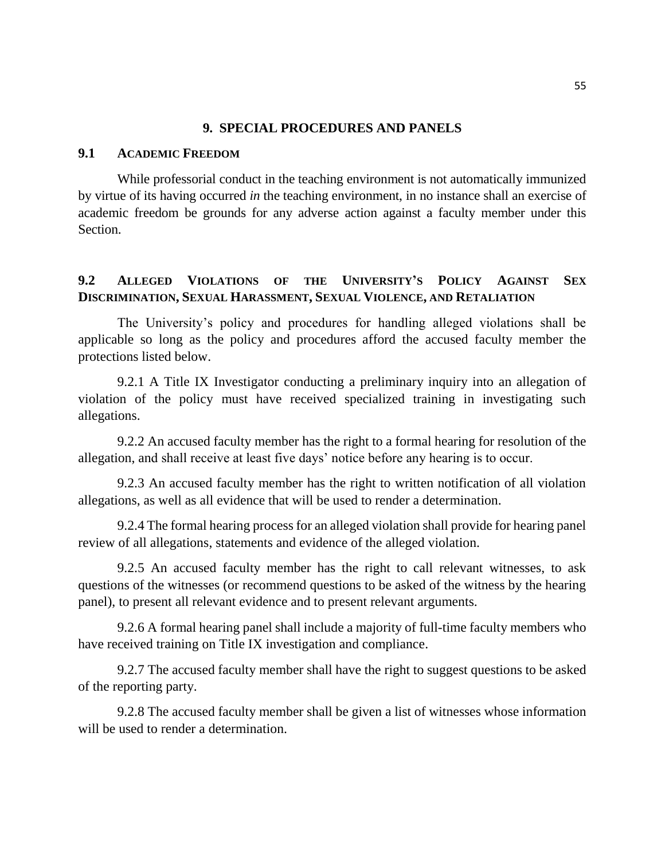#### **9. SPECIAL PROCEDURES AND PANELS**

#### **9.1 ACADEMIC FREEDOM**

While professorial conduct in the teaching environment is not automatically immunized by virtue of its having occurred *in* the teaching environment, in no instance shall an exercise of academic freedom be grounds for any adverse action against a faculty member under this Section.

## **9.2 ALLEGED VIOLATIONS OF THE UNIVERSITY'S POLICY AGAINST SEX DISCRIMINATION, SEXUAL HARASSMENT, SEXUAL VIOLENCE, AND RETALIATION**

The University's policy and procedures for handling alleged violations shall be applicable so long as the policy and procedures afford the accused faculty member the protections listed below.

9.2.1 A Title IX Investigator conducting a preliminary inquiry into an allegation of violation of the policy must have received specialized training in investigating such allegations.

9.2.2 An accused faculty member has the right to a formal hearing for resolution of the allegation, and shall receive at least five days' notice before any hearing is to occur.

9.2.3 An accused faculty member has the right to written notification of all violation allegations, as well as all evidence that will be used to render a determination.

9.2.4 The formal hearing process for an alleged violation shall provide for hearing panel review of all allegations, statements and evidence of the alleged violation.

9.2.5 An accused faculty member has the right to call relevant witnesses, to ask questions of the witnesses (or recommend questions to be asked of the witness by the hearing panel), to present all relevant evidence and to present relevant arguments.

9.2.6 A formal hearing panel shall include a majority of full-time faculty members who have received training on Title IX investigation and compliance.

9.2.7 The accused faculty member shall have the right to suggest questions to be asked of the reporting party.

9.2.8 The accused faculty member shall be given a list of witnesses whose information will be used to render a determination.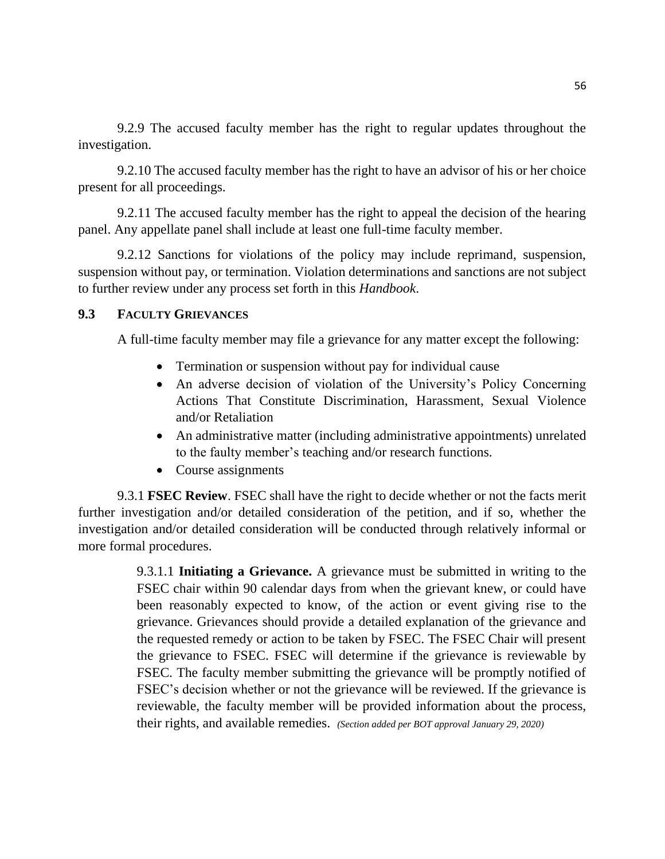9.2.9 The accused faculty member has the right to regular updates throughout the investigation.

9.2.10 The accused faculty member has the right to have an advisor of his or her choice present for all proceedings.

9.2.11 The accused faculty member has the right to appeal the decision of the hearing panel. Any appellate panel shall include at least one full-time faculty member.

9.2.12 Sanctions for violations of the policy may include reprimand, suspension, suspension without pay, or termination. Violation determinations and sanctions are not subject to further review under any process set forth in this *Handbook*.

### **9.3 FACULTY GRIEVANCES**

A full-time faculty member may file a grievance for any matter except the following:

- Termination or suspension without pay for individual cause
- An adverse decision of violation of the University's Policy Concerning Actions That Constitute Discrimination, Harassment, Sexual Violence and/or Retaliation
- An administrative matter (including administrative appointments) unrelated to the faulty member's teaching and/or research functions.
- Course assignments

9.3.1 **FSEC Review**. FSEC shall have the right to decide whether or not the facts merit further investigation and/or detailed consideration of the petition, and if so, whether the investigation and/or detailed consideration will be conducted through relatively informal or more formal procedures.

> 9.3.1.1 **Initiating a Grievance.** A grievance must be submitted in writing to the FSEC chair within 90 calendar days from when the grievant knew, or could have been reasonably expected to know, of the action or event giving rise to the grievance. Grievances should provide a detailed explanation of the grievance and the requested remedy or action to be taken by FSEC. The FSEC Chair will present the grievance to FSEC. FSEC will determine if the grievance is reviewable by FSEC. The faculty member submitting the grievance will be promptly notified of FSEC's decision whether or not the grievance will be reviewed. If the grievance is reviewable, the faculty member will be provided information about the process, their rights, and available remedies. *(Section added per BOT approval January 29, 2020)*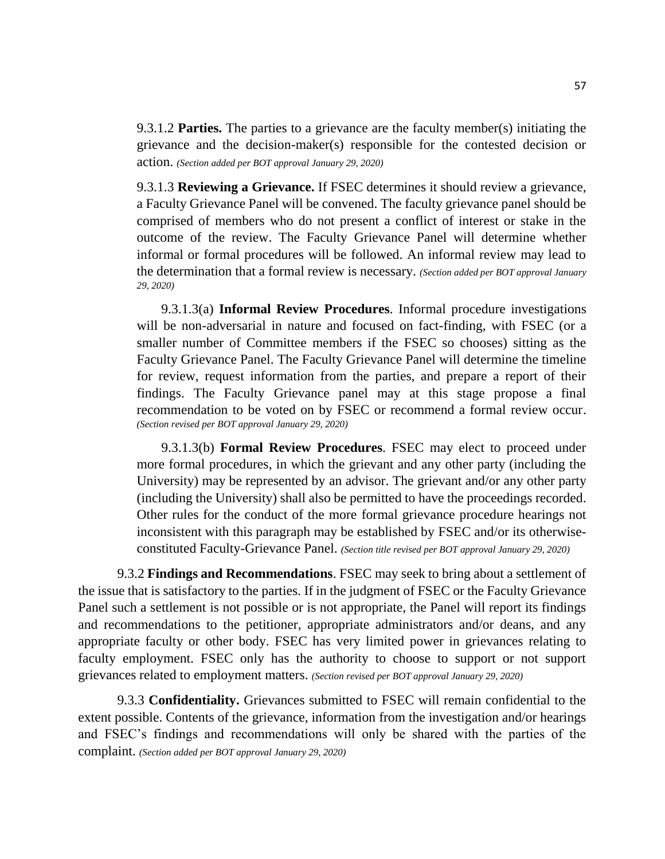9.3.1.2 **Parties.** The parties to a grievance are the faculty member(s) initiating the grievance and the decision-maker(s) responsible for the contested decision or action. *(Section added per BOT approval January 29, 2020)*

9.3.1.3 **Reviewing a Grievance.** If FSEC determines it should review a grievance, a Faculty Grievance Panel will be convened. The faculty grievance panel should be comprised of members who do not present a conflict of interest or stake in the outcome of the review. The Faculty Grievance Panel will determine whether informal or formal procedures will be followed. An informal review may lead to the determination that a formal review is necessary. *(Section added per BOT approval January 29, 2020)*

9.3.1.3(a) **Informal Review Procedures**. Informal procedure investigations will be non-adversarial in nature and focused on fact-finding, with FSEC (or a smaller number of Committee members if the FSEC so chooses) sitting as the Faculty Grievance Panel. The Faculty Grievance Panel will determine the timeline for review, request information from the parties, and prepare a report of their findings. The Faculty Grievance panel may at this stage propose a final recommendation to be voted on by FSEC or recommend a formal review occur. *(Section revised per BOT approval January 29, 2020)*

9.3.1.3(b) **Formal Review Procedures**. FSEC may elect to proceed under more formal procedures, in which the grievant and any other party (including the University) may be represented by an advisor. The grievant and/or any other party (including the University) shall also be permitted to have the proceedings recorded. Other rules for the conduct of the more formal grievance procedure hearings not inconsistent with this paragraph may be established by FSEC and/or its otherwiseconstituted Faculty-Grievance Panel. *(Section title revised per BOT approval January 29, 2020)*

9.3.2 **Findings and Recommendations**. FSEC may seek to bring about a settlement of the issue that is satisfactory to the parties. If in the judgment of FSEC or the Faculty Grievance Panel such a settlement is not possible or is not appropriate, the Panel will report its findings and recommendations to the petitioner, appropriate administrators and/or deans, and any appropriate faculty or other body. FSEC has very limited power in grievances relating to faculty employment. FSEC only has the authority to choose to support or not support grievances related to employment matters. *(Section revised per BOT approval January 29, 2020)*

9.3.3 **Confidentiality.** Grievances submitted to FSEC will remain confidential to the extent possible. Contents of the grievance, information from the investigation and/or hearings and FSEC's findings and recommendations will only be shared with the parties of the complaint. *(Section added per BOT approval January 29, 2020)*